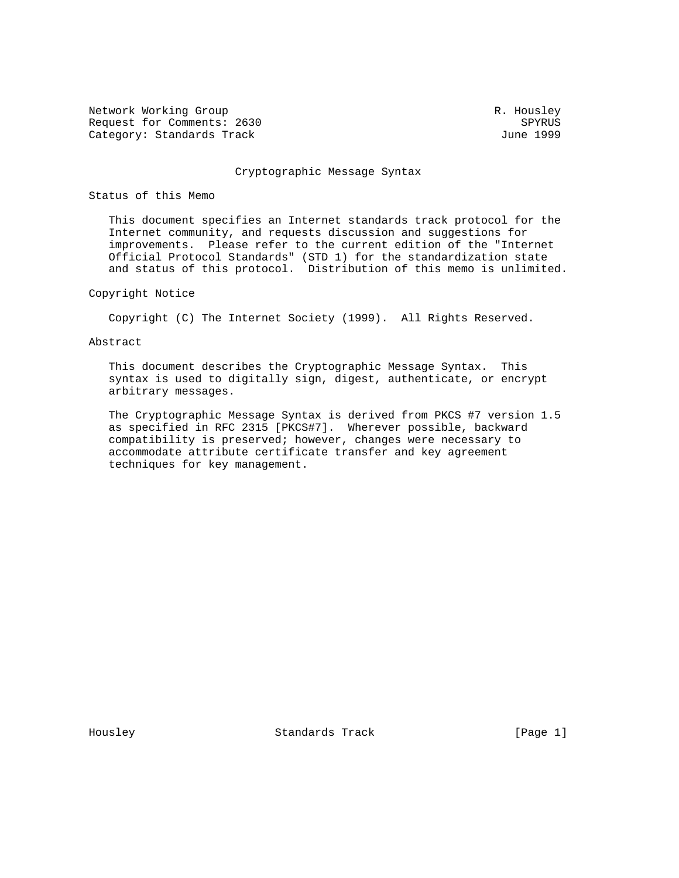Network Working Group and the set of the set of the set of the R. Housley Request for Comments: 2630 SPYRUS<br>
Category: Standards Track Summer (1999 SPYRUS) Category: Standards Track

#### Cryptographic Message Syntax

## Status of this Memo

 This document specifies an Internet standards track protocol for the Internet community, and requests discussion and suggestions for improvements. Please refer to the current edition of the "Internet Official Protocol Standards" (STD 1) for the standardization state and status of this protocol. Distribution of this memo is unlimited.

## Copyright Notice

Copyright (C) The Internet Society (1999). All Rights Reserved.

## Abstract

 This document describes the Cryptographic Message Syntax. This syntax is used to digitally sign, digest, authenticate, or encrypt arbitrary messages.

 The Cryptographic Message Syntax is derived from PKCS #7 version 1.5 as specified in RFC 2315 [PKCS#7]. Wherever possible, backward compatibility is preserved; however, changes were necessary to accommodate attribute certificate transfer and key agreement techniques for key management.

Housley Standards Track [Page 1]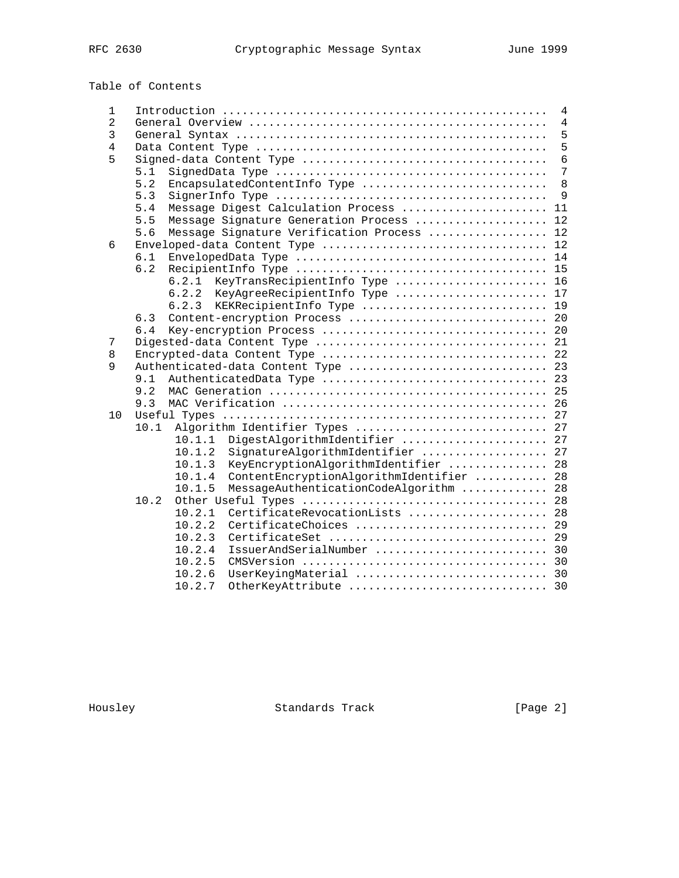# Table of Contents

| 1              | 4                                                  |  |  |  |  |  |
|----------------|----------------------------------------------------|--|--|--|--|--|
| $\overline{2}$ | 4<br>5                                             |  |  |  |  |  |
| 3              |                                                    |  |  |  |  |  |
| 4              |                                                    |  |  |  |  |  |
| 5              | $\overline{6}$                                     |  |  |  |  |  |
|                | 7<br>5.1                                           |  |  |  |  |  |
|                | 5.2<br>EncapsulatedContentInfo Type<br>8           |  |  |  |  |  |
|                | 5.3<br>9                                           |  |  |  |  |  |
|                | Message Digest Calculation Process  11<br>5.4      |  |  |  |  |  |
|                | 5.5<br>Message Signature Generation Process<br>12  |  |  |  |  |  |
|                | Message Signature Verification Process  12<br>5.6  |  |  |  |  |  |
| 6              |                                                    |  |  |  |  |  |
|                | 6.1                                                |  |  |  |  |  |
|                | 6.2                                                |  |  |  |  |  |
|                | 6.2.1 KeyTransRecipientInfo Type  16               |  |  |  |  |  |
|                | 6.2.2 KeyAgreeRecipientInfo Type  17               |  |  |  |  |  |
|                | 6.2.3<br>KEKRecipientInfo Type  19                 |  |  |  |  |  |
|                | 6.3                                                |  |  |  |  |  |
|                | 6.4                                                |  |  |  |  |  |
| 7              |                                                    |  |  |  |  |  |
| 8              | Encrypted-data Content Type  22                    |  |  |  |  |  |
| 9              | Authenticated-data Content Type  23                |  |  |  |  |  |
|                | 9.1                                                |  |  |  |  |  |
|                | 9.2                                                |  |  |  |  |  |
|                | 9.3                                                |  |  |  |  |  |
| 10             |                                                    |  |  |  |  |  |
|                | Algorithm Identifier Types  27<br>10.1             |  |  |  |  |  |
|                | DigestAlgorithmIdentifier  27<br>10.1.1            |  |  |  |  |  |
|                | SignatureAlgorithmIdentifier  27<br>10.1.2         |  |  |  |  |  |
|                | 10.1.3<br>KeyEncryptionAlgorithmIdentifier  28     |  |  |  |  |  |
|                | ContentEncryptionAlgorithmIdentifier  28<br>10.1.4 |  |  |  |  |  |
|                | 10.1.5<br>MessageAuthenticationCodeAlgorithm  28   |  |  |  |  |  |
|                | 10.2                                               |  |  |  |  |  |
|                | 10.2.1<br>CertificateRevocationLists  28           |  |  |  |  |  |
|                | CertificateChoices  29<br>10.2.2                   |  |  |  |  |  |
|                | 10.2.3                                             |  |  |  |  |  |
|                | IssuerAndSerialNumber  30<br>10.2.4                |  |  |  |  |  |
|                | 10.2.5                                             |  |  |  |  |  |
|                | UserKeyingMaterial  30<br>10.2.6                   |  |  |  |  |  |
|                | 10.2.7<br>OtherKeyAttribute  30                    |  |  |  |  |  |

Housley Standards Track [Page 2]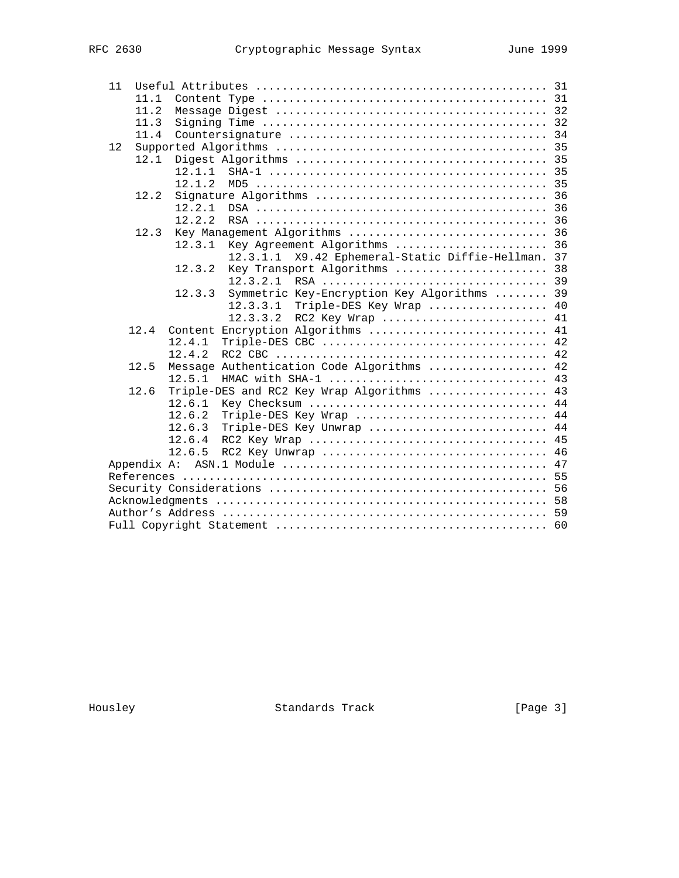| 11 |      |        |                                                                                                              |  |
|----|------|--------|--------------------------------------------------------------------------------------------------------------|--|
|    | 11.1 |        |                                                                                                              |  |
|    | 11.2 |        |                                                                                                              |  |
|    | 11.3 |        | Signing Time $\ldots \ldots \ldots \ldots \ldots \ldots \ldots \ldots \ldots \ldots \ldots \ldots \ldots$ 32 |  |
|    | 11.4 |        |                                                                                                              |  |
| 12 |      |        |                                                                                                              |  |
|    | 12.1 |        |                                                                                                              |  |
|    |      | 12.1.1 |                                                                                                              |  |
|    |      | 12.1.2 |                                                                                                              |  |
|    | 12.2 |        |                                                                                                              |  |
|    |      | 12.2.1 |                                                                                                              |  |
|    |      | 12.2.2 |                                                                                                              |  |
|    | 12.3 |        |                                                                                                              |  |
|    |      | 12.3.1 | Key Agreement Algorithms  36                                                                                 |  |
|    |      |        | X9.42 Ephemeral-Static Diffie-Hellman. 37<br>12.3.1.1                                                        |  |
|    |      | 12.3.2 | Key Transport Algorithms  38                                                                                 |  |
|    |      |        | 12.3.2.1                                                                                                     |  |
|    |      | 12.3.3 | Symmetric Key-Encryption Key Algorithms  39                                                                  |  |
|    |      |        | Triple-DES Key Wrap  40<br>12.3.3.1                                                                          |  |
|    |      |        | 12.3.3.2<br>RC2 Key Wrap  41                                                                                 |  |
|    | 12.4 |        | Content Encryption Algorithms  41                                                                            |  |
|    |      | 12.4.1 |                                                                                                              |  |
|    |      | 12.4.2 |                                                                                                              |  |
|    | 12.5 |        | Message Authentication Code Algorithms  42                                                                   |  |
|    |      | 12.5.1 |                                                                                                              |  |
|    | 12.6 |        | Triple-DES and RC2 Key Wrap Algorithms  43                                                                   |  |
|    |      | 12.6.1 |                                                                                                              |  |
|    |      | 12.6.2 | Triple-DES Key Wrap  44                                                                                      |  |
|    |      | 12.6.3 | Triple-DES Key Unwrap  44                                                                                    |  |
|    |      | 12.6.4 |                                                                                                              |  |
|    |      | 12.6.5 |                                                                                                              |  |
|    |      |        |                                                                                                              |  |
|    |      |        |                                                                                                              |  |
|    |      |        |                                                                                                              |  |
|    |      |        |                                                                                                              |  |
|    |      |        |                                                                                                              |  |
|    |      |        |                                                                                                              |  |
|    |      |        |                                                                                                              |  |

Housley Standards Track [Page 3]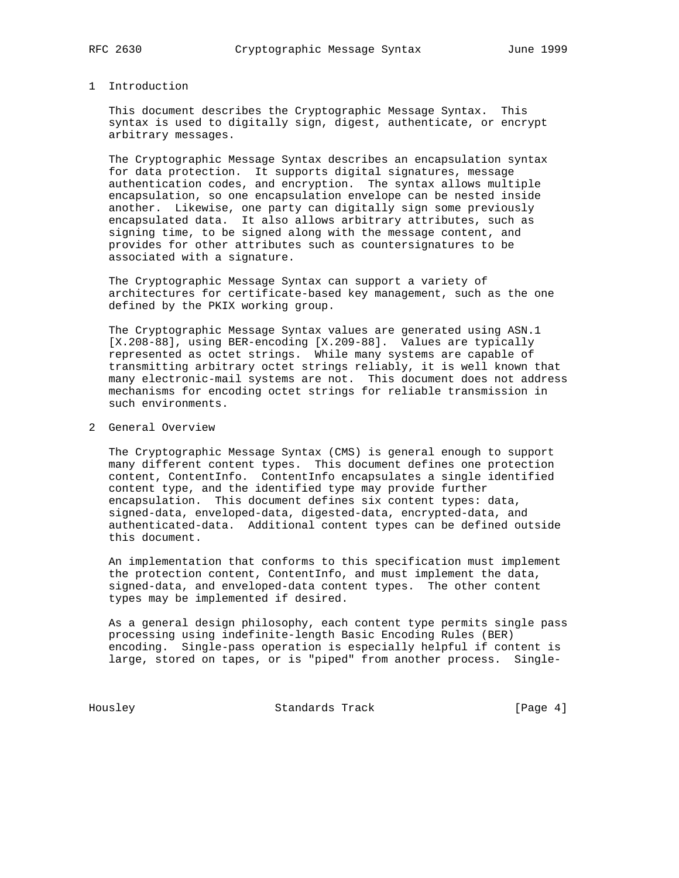#### 1 Introduction

 This document describes the Cryptographic Message Syntax. This syntax is used to digitally sign, digest, authenticate, or encrypt arbitrary messages.

 The Cryptographic Message Syntax describes an encapsulation syntax for data protection. It supports digital signatures, message authentication codes, and encryption. The syntax allows multiple encapsulation, so one encapsulation envelope can be nested inside another. Likewise, one party can digitally sign some previously encapsulated data. It also allows arbitrary attributes, such as signing time, to be signed along with the message content, and provides for other attributes such as countersignatures to be associated with a signature.

 The Cryptographic Message Syntax can support a variety of architectures for certificate-based key management, such as the one defined by the PKIX working group.

 The Cryptographic Message Syntax values are generated using ASN.1 [X.208-88], using BER-encoding [X.209-88]. Values are typically represented as octet strings. While many systems are capable of transmitting arbitrary octet strings reliably, it is well known that many electronic-mail systems are not. This document does not address mechanisms for encoding octet strings for reliable transmission in such environments.

2 General Overview

 The Cryptographic Message Syntax (CMS) is general enough to support many different content types. This document defines one protection content, ContentInfo. ContentInfo encapsulates a single identified content type, and the identified type may provide further encapsulation. This document defines six content types: data, signed-data, enveloped-data, digested-data, encrypted-data, and authenticated-data. Additional content types can be defined outside this document.

 An implementation that conforms to this specification must implement the protection content, ContentInfo, and must implement the data, signed-data, and enveloped-data content types. The other content types may be implemented if desired.

 As a general design philosophy, each content type permits single pass processing using indefinite-length Basic Encoding Rules (BER) encoding. Single-pass operation is especially helpful if content is large, stored on tapes, or is "piped" from another process. Single-

Housley Standards Track [Page 4]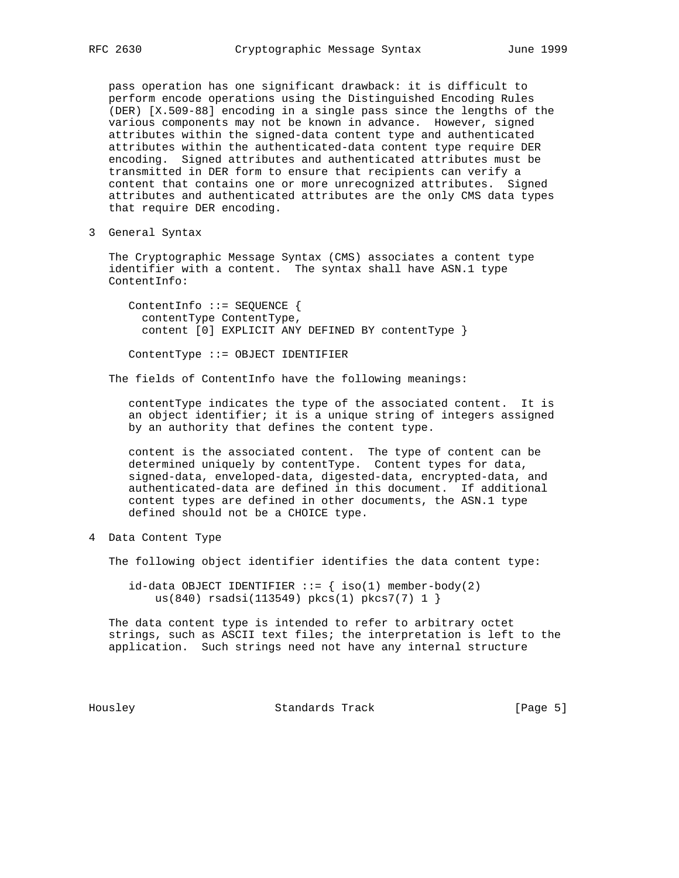pass operation has one significant drawback: it is difficult to perform encode operations using the Distinguished Encoding Rules (DER) [X.509-88] encoding in a single pass since the lengths of the various components may not be known in advance. However, signed attributes within the signed-data content type and authenticated attributes within the authenticated-data content type require DER encoding. Signed attributes and authenticated attributes must be transmitted in DER form to ensure that recipients can verify a content that contains one or more unrecognized attributes. Signed attributes and authenticated attributes are the only CMS data types that require DER encoding.

3 General Syntax

 The Cryptographic Message Syntax (CMS) associates a content type identifier with a content. The syntax shall have ASN.1 type ContentInfo:

 ContentInfo ::= SEQUENCE { contentType ContentType, content [0] EXPLICIT ANY DEFINED BY contentType }

ContentType ::= OBJECT IDENTIFIER

The fields of ContentInfo have the following meanings:

 contentType indicates the type of the associated content. It is an object identifier; it is a unique string of integers assigned by an authority that defines the content type.

 content is the associated content. The type of content can be determined uniquely by contentType. Content types for data, signed-data, enveloped-data, digested-data, encrypted-data, and authenticated-data are defined in this document. If additional content types are defined in other documents, the ASN.1 type defined should not be a CHOICE type.

4 Data Content Type

The following object identifier identifies the data content type:

 $id$ -data OBJECT IDENTIFIER ::= { iso(1) member-body(2) us(840) rsadsi(113549) pkcs(1) pkcs7(7) 1 }

 The data content type is intended to refer to arbitrary octet strings, such as ASCII text files; the interpretation is left to the application. Such strings need not have any internal structure

Housley Standards Track [Page 5]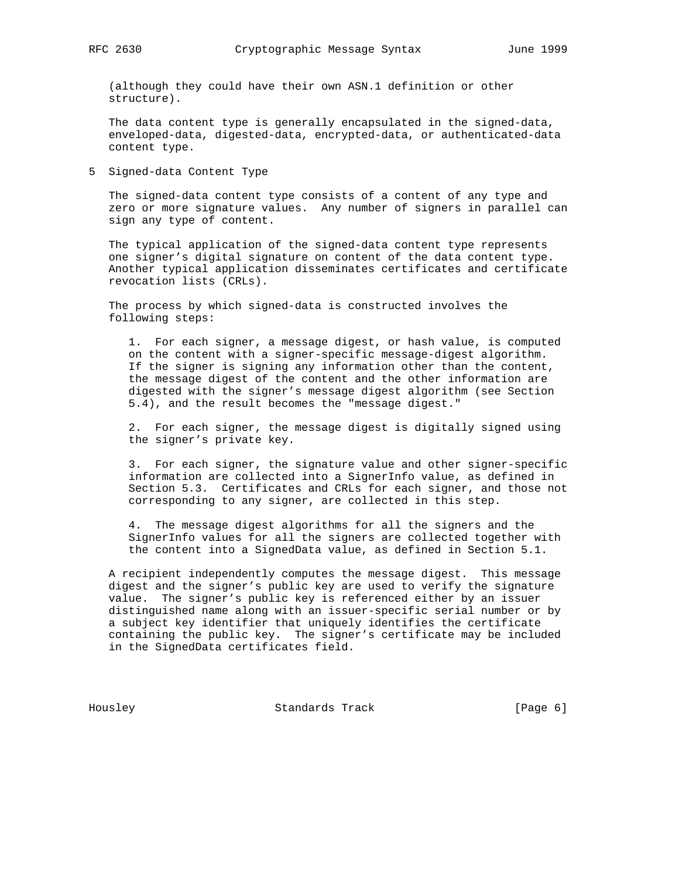(although they could have their own ASN.1 definition or other structure).

 The data content type is generally encapsulated in the signed-data, enveloped-data, digested-data, encrypted-data, or authenticated-data content type.

5 Signed-data Content Type

 The signed-data content type consists of a content of any type and zero or more signature values. Any number of signers in parallel can sign any type of content.

 The typical application of the signed-data content type represents one signer's digital signature on content of the data content type. Another typical application disseminates certificates and certificate revocation lists (CRLs).

 The process by which signed-data is constructed involves the following steps:

 1. For each signer, a message digest, or hash value, is computed on the content with a signer-specific message-digest algorithm. If the signer is signing any information other than the content, the message digest of the content and the other information are digested with the signer's message digest algorithm (see Section 5.4), and the result becomes the "message digest."

 2. For each signer, the message digest is digitally signed using the signer's private key.

 3. For each signer, the signature value and other signer-specific information are collected into a SignerInfo value, as defined in Section 5.3. Certificates and CRLs for each signer, and those not corresponding to any signer, are collected in this step.

 4. The message digest algorithms for all the signers and the SignerInfo values for all the signers are collected together with the content into a SignedData value, as defined in Section 5.1.

 A recipient independently computes the message digest. This message digest and the signer's public key are used to verify the signature value. The signer's public key is referenced either by an issuer distinguished name along with an issuer-specific serial number or by a subject key identifier that uniquely identifies the certificate containing the public key. The signer's certificate may be included in the SignedData certificates field.

Housley Standards Track [Page 6]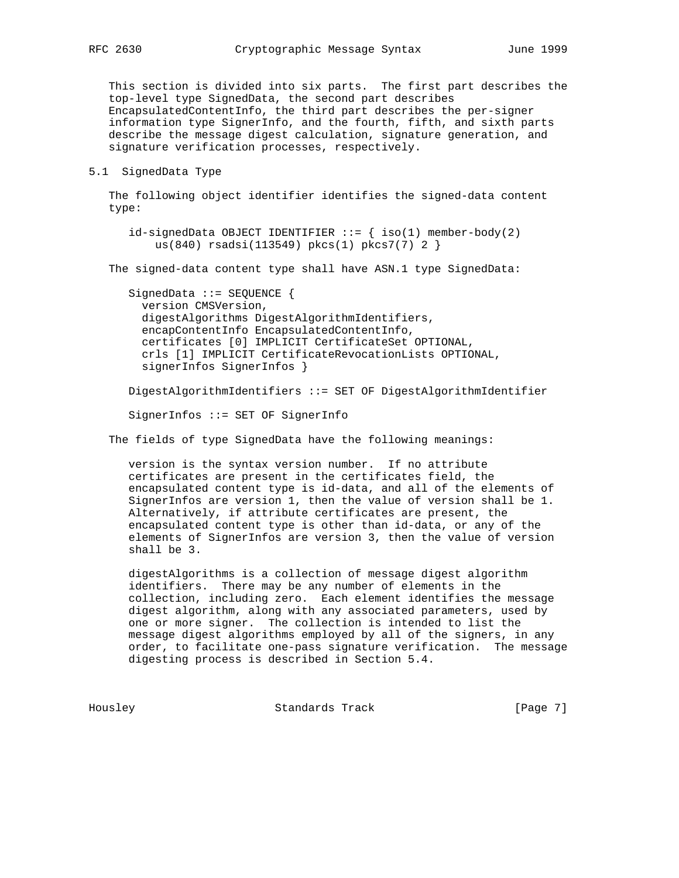This section is divided into six parts. The first part describes the top-level type SignedData, the second part describes EncapsulatedContentInfo, the third part describes the per-signer information type SignerInfo, and the fourth, fifth, and sixth parts describe the message digest calculation, signature generation, and signature verification processes, respectively.

#### 5.1 SignedData Type

 The following object identifier identifies the signed-data content type:

 $id$ -signedData OBJECT IDENTIFIER  $::=$  { iso(1) member-body(2) us(840) rsadsi(113549) pkcs(1) pkcs7(7) 2 }

The signed-data content type shall have ASN.1 type SignedData:

 SignedData ::= SEQUENCE { version CMSVersion, digestAlgorithms DigestAlgorithmIdentifiers, encapContentInfo EncapsulatedContentInfo, certificates [0] IMPLICIT CertificateSet OPTIONAL, crls [1] IMPLICIT CertificateRevocationLists OPTIONAL, signerInfos SignerInfos }

DigestAlgorithmIdentifiers ::= SET OF DigestAlgorithmIdentifier

SignerInfos ::= SET OF SignerInfo

The fields of type SignedData have the following meanings:

 version is the syntax version number. If no attribute certificates are present in the certificates field, the encapsulated content type is id-data, and all of the elements of SignerInfos are version 1, then the value of version shall be 1. Alternatively, if attribute certificates are present, the encapsulated content type is other than id-data, or any of the elements of SignerInfos are version 3, then the value of version shall be 3.

 digestAlgorithms is a collection of message digest algorithm identifiers. There may be any number of elements in the collection, including zero. Each element identifies the message digest algorithm, along with any associated parameters, used by one or more signer. The collection is intended to list the message digest algorithms employed by all of the signers, in any order, to facilitate one-pass signature verification. The message digesting process is described in Section 5.4.

Housley Standards Track [Page 7]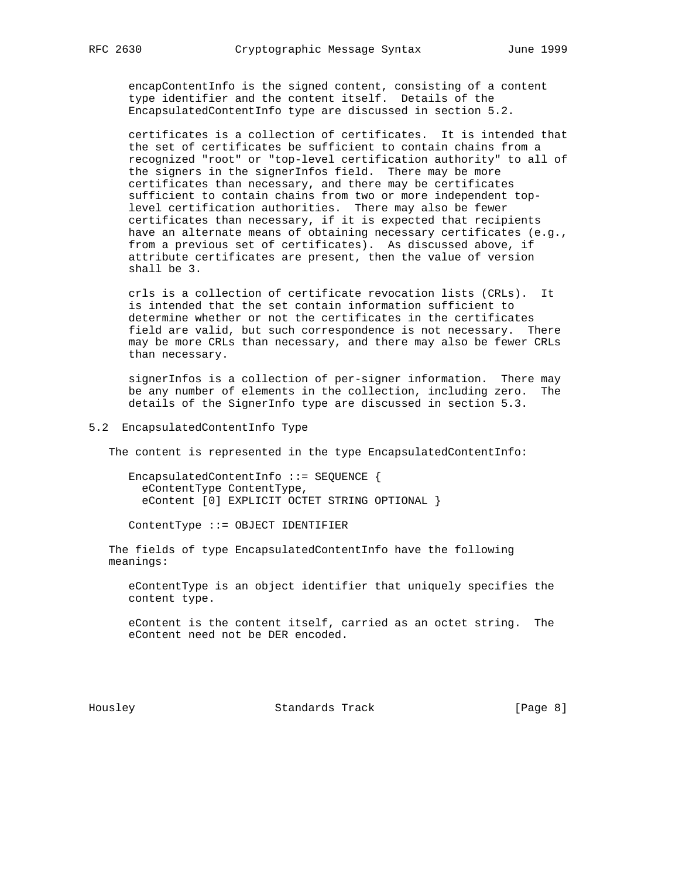encapContentInfo is the signed content, consisting of a content type identifier and the content itself. Details of the EncapsulatedContentInfo type are discussed in section 5.2.

 certificates is a collection of certificates. It is intended that the set of certificates be sufficient to contain chains from a recognized "root" or "top-level certification authority" to all of the signers in the signerInfos field. There may be more certificates than necessary, and there may be certificates sufficient to contain chains from two or more independent top level certification authorities. There may also be fewer certificates than necessary, if it is expected that recipients have an alternate means of obtaining necessary certificates (e.g., from a previous set of certificates). As discussed above, if attribute certificates are present, then the value of version shall be 3.

 crls is a collection of certificate revocation lists (CRLs). It is intended that the set contain information sufficient to determine whether or not the certificates in the certificates field are valid, but such correspondence is not necessary. There may be more CRLs than necessary, and there may also be fewer CRLs than necessary.

 signerInfos is a collection of per-signer information. There may be any number of elements in the collection, including zero. The details of the SignerInfo type are discussed in section 5.3.

5.2 EncapsulatedContentInfo Type

The content is represented in the type EncapsulatedContentInfo:

 EncapsulatedContentInfo ::= SEQUENCE { eContentType ContentType, eContent [0] EXPLICIT OCTET STRING OPTIONAL }

ContentType ::= OBJECT IDENTIFIER

 The fields of type EncapsulatedContentInfo have the following meanings:

 eContentType is an object identifier that uniquely specifies the content type.

 eContent is the content itself, carried as an octet string. The eContent need not be DER encoded.

Housley Standards Track [Page 8]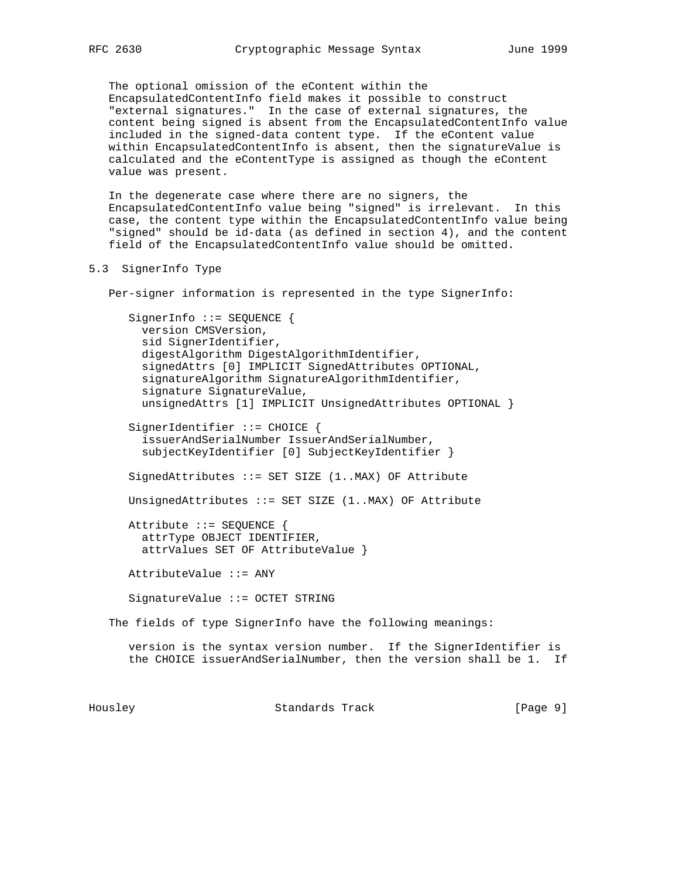The optional omission of the eContent within the EncapsulatedContentInfo field makes it possible to construct "external signatures." In the case of external signatures, the content being signed is absent from the EncapsulatedContentInfo value included in the signed-data content type. If the eContent value within EncapsulatedContentInfo is absent, then the signatureValue is calculated and the eContentType is assigned as though the eContent value was present.

 In the degenerate case where there are no signers, the EncapsulatedContentInfo value being "signed" is irrelevant. In this case, the content type within the EncapsulatedContentInfo value being "signed" should be id-data (as defined in section 4), and the content field of the EncapsulatedContentInfo value should be omitted.

## 5.3 SignerInfo Type

Per-signer information is represented in the type SignerInfo:

 SignerInfo ::= SEQUENCE { version CMSVersion, sid SignerIdentifier, digestAlgorithm DigestAlgorithmIdentifier, signedAttrs [0] IMPLICIT SignedAttributes OPTIONAL, signatureAlgorithm SignatureAlgorithmIdentifier, signature SignatureValue, unsignedAttrs [1] IMPLICIT UnsignedAttributes OPTIONAL } SignerIdentifier ::= CHOICE { issuerAndSerialNumber IssuerAndSerialNumber, subjectKeyIdentifier [0] SubjectKeyIdentifier } SignedAttributes ::= SET SIZE (1..MAX) OF Attribute UnsignedAttributes ::= SET SIZE (1..MAX) OF Attribute

 Attribute ::= SEQUENCE { attrType OBJECT IDENTIFIER, attrValues SET OF AttributeValue }

AttributeValue ::= ANY

SignatureValue ::= OCTET STRING

The fields of type SignerInfo have the following meanings:

 version is the syntax version number. If the SignerIdentifier is the CHOICE issuerAndSerialNumber, then the version shall be 1. If

Housley Standards Track [Page 9]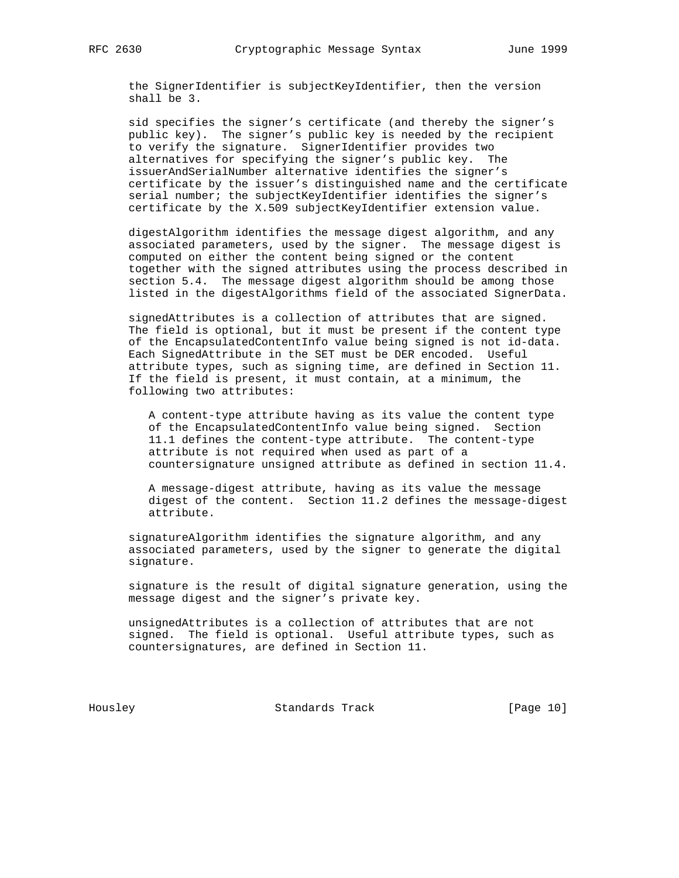the SignerIdentifier is subjectKeyIdentifier, then the version shall be 3.

 sid specifies the signer's certificate (and thereby the signer's public key). The signer's public key is needed by the recipient to verify the signature. SignerIdentifier provides two alternatives for specifying the signer's public key. The issuerAndSerialNumber alternative identifies the signer's certificate by the issuer's distinguished name and the certificate serial number; the subjectKeyIdentifier identifies the signer's certificate by the X.509 subjectKeyIdentifier extension value.

 digestAlgorithm identifies the message digest algorithm, and any associated parameters, used by the signer. The message digest is computed on either the content being signed or the content together with the signed attributes using the process described in section 5.4. The message digest algorithm should be among those listed in the digestAlgorithms field of the associated SignerData.

 signedAttributes is a collection of attributes that are signed. The field is optional, but it must be present if the content type of the EncapsulatedContentInfo value being signed is not id-data. Each SignedAttribute in the SET must be DER encoded. Useful attribute types, such as signing time, are defined in Section 11. If the field is present, it must contain, at a minimum, the following two attributes:

 A content-type attribute having as its value the content type of the EncapsulatedContentInfo value being signed. Section 11.1 defines the content-type attribute. The content-type attribute is not required when used as part of a countersignature unsigned attribute as defined in section 11.4.

 A message-digest attribute, having as its value the message digest of the content. Section 11.2 defines the message-digest attribute.

 signatureAlgorithm identifies the signature algorithm, and any associated parameters, used by the signer to generate the digital signature.

 signature is the result of digital signature generation, using the message digest and the signer's private key.

 unsignedAttributes is a collection of attributes that are not signed. The field is optional. Useful attribute types, such as countersignatures, are defined in Section 11.

Housley Standards Track [Page 10]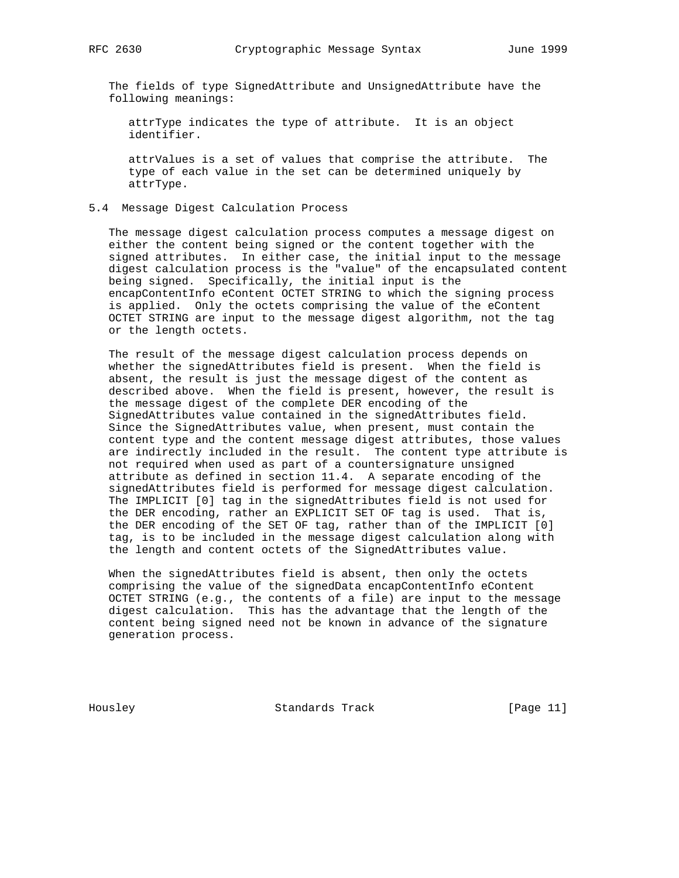The fields of type SignedAttribute and UnsignedAttribute have the following meanings:

 attrType indicates the type of attribute. It is an object identifier.

 attrValues is a set of values that comprise the attribute. The type of each value in the set can be determined uniquely by attrType.

## 5.4 Message Digest Calculation Process

 The message digest calculation process computes a message digest on either the content being signed or the content together with the signed attributes. In either case, the initial input to the message digest calculation process is the "value" of the encapsulated content being signed. Specifically, the initial input is the encapContentInfo eContent OCTET STRING to which the signing process is applied. Only the octets comprising the value of the eContent OCTET STRING are input to the message digest algorithm, not the tag or the length octets.

 The result of the message digest calculation process depends on whether the signedAttributes field is present. When the field is absent, the result is just the message digest of the content as described above. When the field is present, however, the result is the message digest of the complete DER encoding of the SignedAttributes value contained in the signedAttributes field. Since the SignedAttributes value, when present, must contain the content type and the content message digest attributes, those values are indirectly included in the result. The content type attribute is not required when used as part of a countersignature unsigned attribute as defined in section 11.4. A separate encoding of the signedAttributes field is performed for message digest calculation. The IMPLICIT [0] tag in the signedAttributes field is not used for the DER encoding, rather an EXPLICIT SET OF tag is used. That is, the DER encoding of the SET OF tag, rather than of the IMPLICIT [0] tag, is to be included in the message digest calculation along with the length and content octets of the SignedAttributes value.

 When the signedAttributes field is absent, then only the octets comprising the value of the signedData encapContentInfo eContent OCTET STRING (e.g., the contents of a file) are input to the message digest calculation. This has the advantage that the length of the content being signed need not be known in advance of the signature generation process.

Housley Standards Track [Page 11]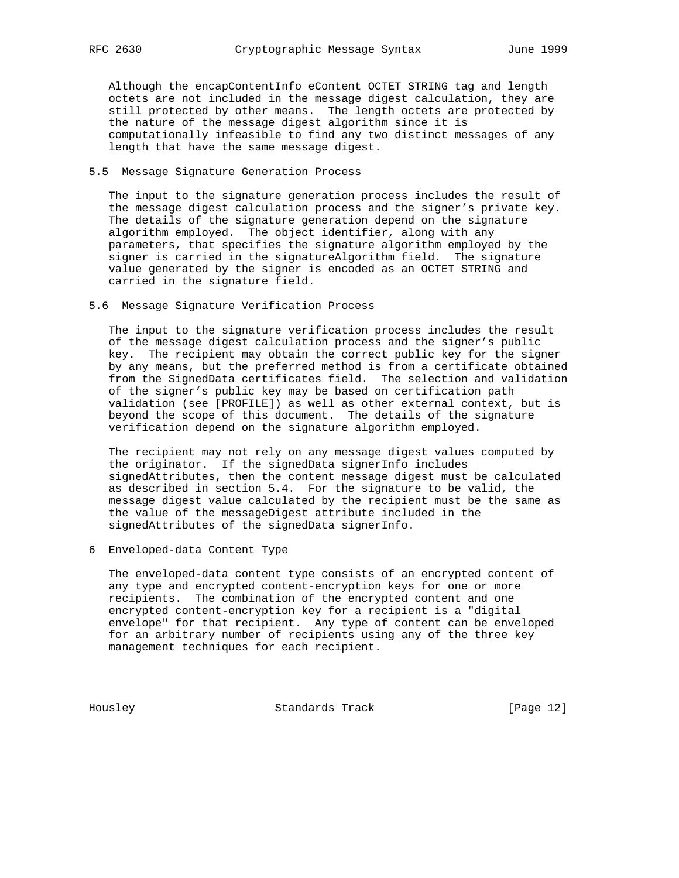Although the encapContentInfo eContent OCTET STRING tag and length octets are not included in the message digest calculation, they are still protected by other means. The length octets are protected by the nature of the message digest algorithm since it is computationally infeasible to find any two distinct messages of any length that have the same message digest.

## 5.5 Message Signature Generation Process

 The input to the signature generation process includes the result of the message digest calculation process and the signer's private key. The details of the signature generation depend on the signature algorithm employed. The object identifier, along with any parameters, that specifies the signature algorithm employed by the signer is carried in the signatureAlgorithm field. The signature value generated by the signer is encoded as an OCTET STRING and carried in the signature field.

## 5.6 Message Signature Verification Process

 The input to the signature verification process includes the result of the message digest calculation process and the signer's public key. The recipient may obtain the correct public key for the signer by any means, but the preferred method is from a certificate obtained from the SignedData certificates field. The selection and validation of the signer's public key may be based on certification path validation (see [PROFILE]) as well as other external context, but is beyond the scope of this document. The details of the signature verification depend on the signature algorithm employed.

 The recipient may not rely on any message digest values computed by the originator. If the signedData signerInfo includes signedAttributes, then the content message digest must be calculated as described in section 5.4. For the signature to be valid, the message digest value calculated by the recipient must be the same as the value of the messageDigest attribute included in the signedAttributes of the signedData signerInfo.

### 6 Enveloped-data Content Type

 The enveloped-data content type consists of an encrypted content of any type and encrypted content-encryption keys for one or more recipients. The combination of the encrypted content and one encrypted content-encryption key for a recipient is a "digital envelope" for that recipient. Any type of content can be enveloped for an arbitrary number of recipients using any of the three key management techniques for each recipient.

Housley Standards Track [Page 12]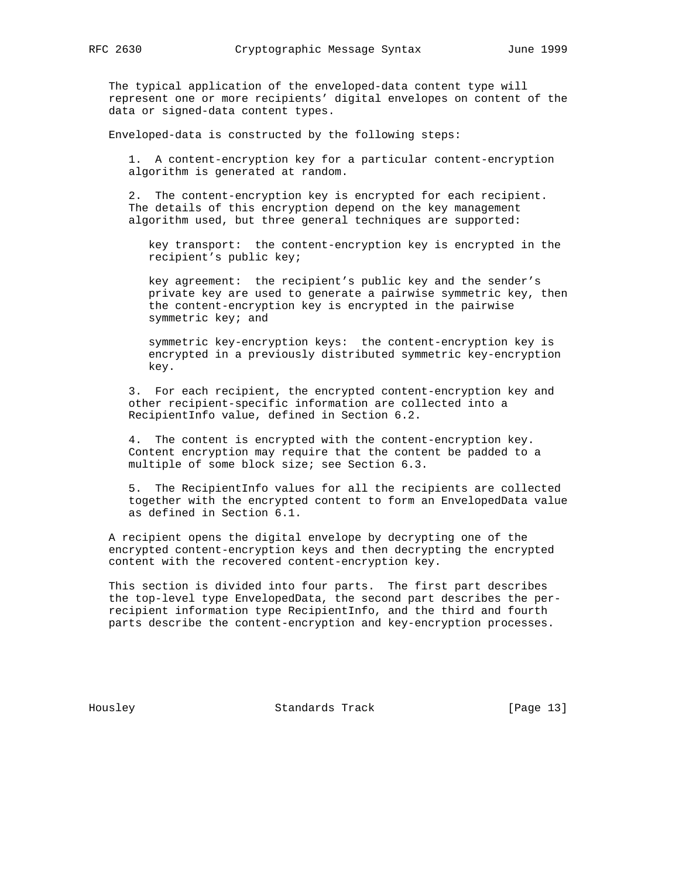The typical application of the enveloped-data content type will represent one or more recipients' digital envelopes on content of the data or signed-data content types.

Enveloped-data is constructed by the following steps:

 1. A content-encryption key for a particular content-encryption algorithm is generated at random.

 2. The content-encryption key is encrypted for each recipient. The details of this encryption depend on the key management algorithm used, but three general techniques are supported:

 key transport: the content-encryption key is encrypted in the recipient's public key;

 key agreement: the recipient's public key and the sender's private key are used to generate a pairwise symmetric key, then the content-encryption key is encrypted in the pairwise symmetric key; and

 symmetric key-encryption keys: the content-encryption key is encrypted in a previously distributed symmetric key-encryption key.

 3. For each recipient, the encrypted content-encryption key and other recipient-specific information are collected into a RecipientInfo value, defined in Section 6.2.

 4. The content is encrypted with the content-encryption key. Content encryption may require that the content be padded to a multiple of some block size; see Section 6.3.

 5. The RecipientInfo values for all the recipients are collected together with the encrypted content to form an EnvelopedData value as defined in Section 6.1.

 A recipient opens the digital envelope by decrypting one of the encrypted content-encryption keys and then decrypting the encrypted content with the recovered content-encryption key.

 This section is divided into four parts. The first part describes the top-level type EnvelopedData, the second part describes the per recipient information type RecipientInfo, and the third and fourth parts describe the content-encryption and key-encryption processes.

Housley Standards Track [Page 13]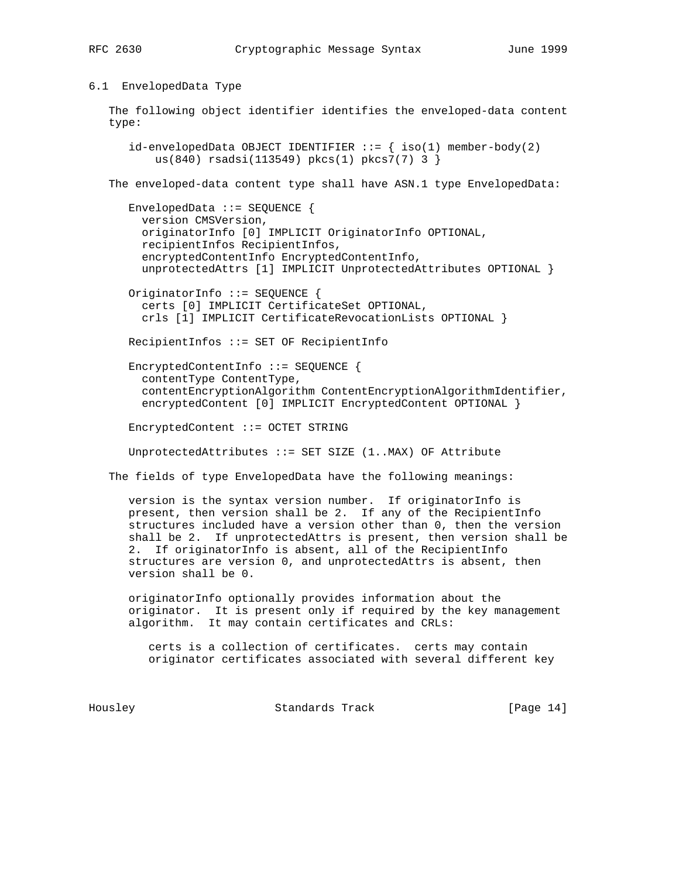6.1 EnvelopedData Type

 The following object identifier identifies the enveloped-data content type:

 $id$ -envelopedData OBJECT IDENTIFIER  $::=$  {  $iso(1)$  member-body(2) us(840) rsadsi(113549) pkcs(1) pkcs7(7) 3 }

The enveloped-data content type shall have ASN.1 type EnvelopedData:

 EnvelopedData ::= SEQUENCE { version CMSVersion, originatorInfo [0] IMPLICIT OriginatorInfo OPTIONAL, recipientInfos RecipientInfos, encryptedContentInfo EncryptedContentInfo, unprotectedAttrs [1] IMPLICIT UnprotectedAttributes OPTIONAL }

 OriginatorInfo ::= SEQUENCE { certs [0] IMPLICIT CertificateSet OPTIONAL, crls [1] IMPLICIT CertificateRevocationLists OPTIONAL }

RecipientInfos ::= SET OF RecipientInfo

 EncryptedContentInfo ::= SEQUENCE { contentType ContentType, contentEncryptionAlgorithm ContentEncryptionAlgorithmIdentifier, encryptedContent [0] IMPLICIT EncryptedContent OPTIONAL }

EncryptedContent ::= OCTET STRING

UnprotectedAttributes ::= SET SIZE (1..MAX) OF Attribute

The fields of type EnvelopedData have the following meanings:

 version is the syntax version number. If originatorInfo is present, then version shall be 2. If any of the RecipientInfo structures included have a version other than 0, then the version shall be 2. If unprotectedAttrs is present, then version shall be 2. If originatorInfo is absent, all of the RecipientInfo structures are version 0, and unprotectedAttrs is absent, then version shall be 0.

 originatorInfo optionally provides information about the originator. It is present only if required by the key management algorithm. It may contain certificates and CRLs:

 certs is a collection of certificates. certs may contain originator certificates associated with several different key

Housley Standards Track [Page 14]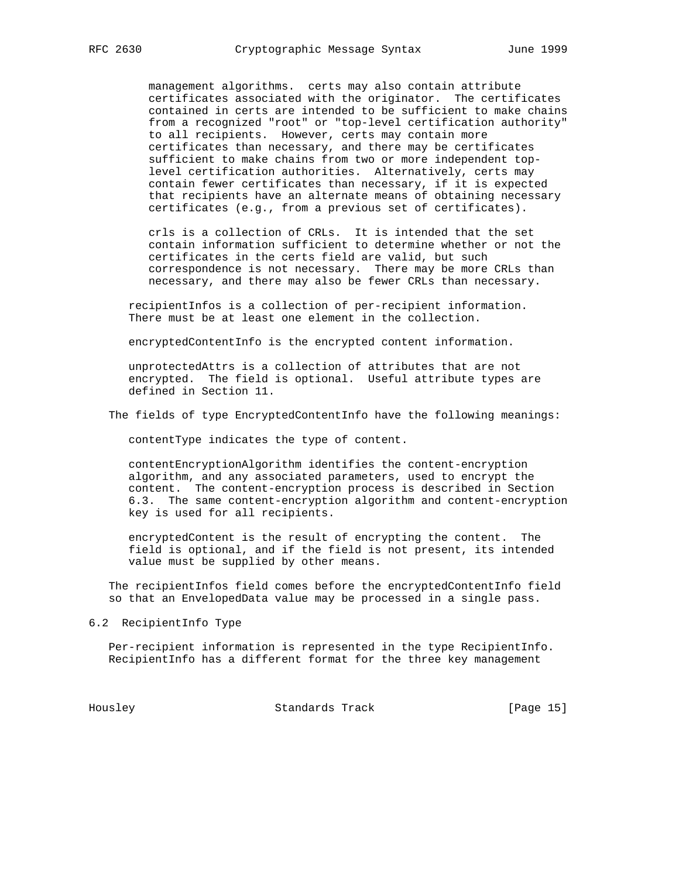management algorithms. certs may also contain attribute certificates associated with the originator. The certificates contained in certs are intended to be sufficient to make chains from a recognized "root" or "top-level certification authority" to all recipients. However, certs may contain more certificates than necessary, and there may be certificates sufficient to make chains from two or more independent top level certification authorities. Alternatively, certs may contain fewer certificates than necessary, if it is expected that recipients have an alternate means of obtaining necessary certificates (e.g., from a previous set of certificates).

 crls is a collection of CRLs. It is intended that the set contain information sufficient to determine whether or not the certificates in the certs field are valid, but such correspondence is not necessary. There may be more CRLs than necessary, and there may also be fewer CRLs than necessary.

 recipientInfos is a collection of per-recipient information. There must be at least one element in the collection.

encryptedContentInfo is the encrypted content information.

 unprotectedAttrs is a collection of attributes that are not encrypted. The field is optional. Useful attribute types are defined in Section 11.

The fields of type EncryptedContentInfo have the following meanings:

contentType indicates the type of content.

 contentEncryptionAlgorithm identifies the content-encryption algorithm, and any associated parameters, used to encrypt the content. The content-encryption process is described in Section 6.3. The same content-encryption algorithm and content-encryption key is used for all recipients.

 encryptedContent is the result of encrypting the content. The field is optional, and if the field is not present, its intended value must be supplied by other means.

 The recipientInfos field comes before the encryptedContentInfo field so that an EnvelopedData value may be processed in a single pass.

6.2 RecipientInfo Type

 Per-recipient information is represented in the type RecipientInfo. RecipientInfo has a different format for the three key management

Housley Standards Track [Page 15]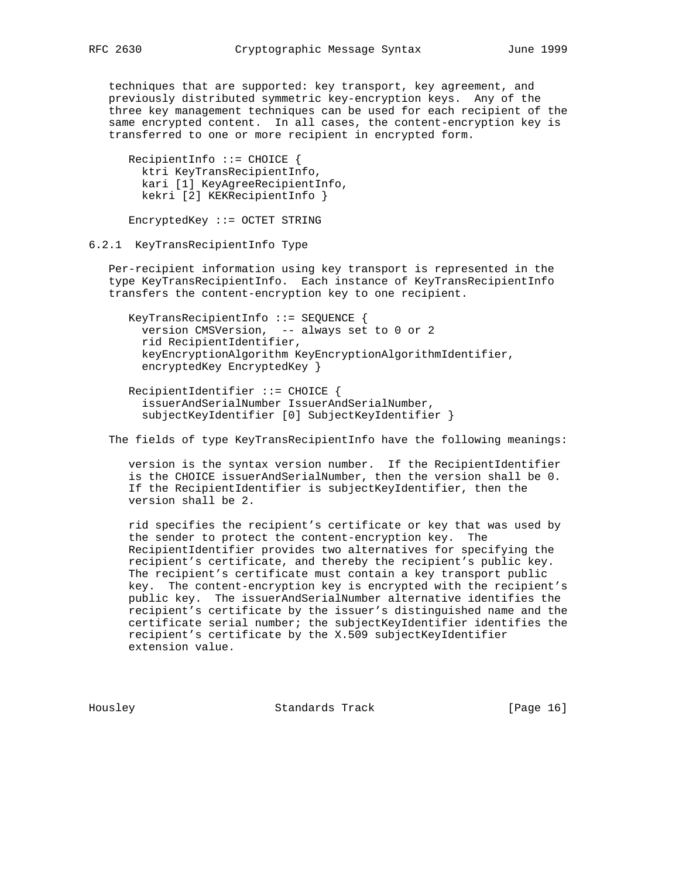techniques that are supported: key transport, key agreement, and previously distributed symmetric key-encryption keys. Any of the three key management techniques can be used for each recipient of the same encrypted content. In all cases, the content-encryption key is transferred to one or more recipient in encrypted form.

 RecipientInfo ::= CHOICE { ktri KeyTransRecipientInfo, kari [1] KeyAgreeRecipientInfo, kekri [2] KEKRecipientInfo }

EncryptedKey ::= OCTET STRING

## 6.2.1 KeyTransRecipientInfo Type

 Per-recipient information using key transport is represented in the type KeyTransRecipientInfo. Each instance of KeyTransRecipientInfo transfers the content-encryption key to one recipient.

 KeyTransRecipientInfo ::= SEQUENCE { version CMSVersion, -- always set to 0 or 2 rid RecipientIdentifier, keyEncryptionAlgorithm KeyEncryptionAlgorithmIdentifier, encryptedKey EncryptedKey }

 RecipientIdentifier ::= CHOICE { issuerAndSerialNumber IssuerAndSerialNumber, subjectKeyIdentifier [0] SubjectKeyIdentifier }

The fields of type KeyTransRecipientInfo have the following meanings:

 version is the syntax version number. If the RecipientIdentifier is the CHOICE issuerAndSerialNumber, then the version shall be 0. If the RecipientIdentifier is subjectKeyIdentifier, then the version shall be 2.

 rid specifies the recipient's certificate or key that was used by the sender to protect the content-encryption key. The RecipientIdentifier provides two alternatives for specifying the recipient's certificate, and thereby the recipient's public key. The recipient's certificate must contain a key transport public key. The content-encryption key is encrypted with the recipient's public key. The issuerAndSerialNumber alternative identifies the recipient's certificate by the issuer's distinguished name and the certificate serial number; the subjectKeyIdentifier identifies the recipient's certificate by the X.509 subjectKeyIdentifier extension value.

Housley Standards Track [Page 16]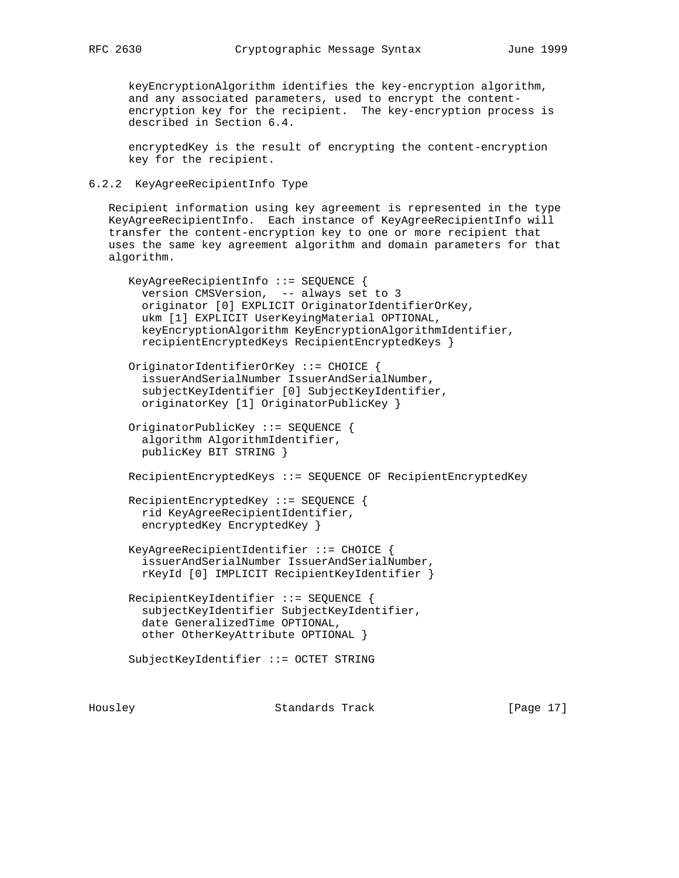keyEncryptionAlgorithm identifies the key-encryption algorithm, and any associated parameters, used to encrypt the content encryption key for the recipient. The key-encryption process is described in Section 6.4.

 encryptedKey is the result of encrypting the content-encryption key for the recipient.

## 6.2.2 KeyAgreeRecipientInfo Type

 Recipient information using key agreement is represented in the type KeyAgreeRecipientInfo. Each instance of KeyAgreeRecipientInfo will transfer the content-encryption key to one or more recipient that uses the same key agreement algorithm and domain parameters for that algorithm.

```
 KeyAgreeRecipientInfo ::= SEQUENCE {
   version CMSVersion, -- always set to 3
   originator [0] EXPLICIT OriginatorIdentifierOrKey,
   ukm [1] EXPLICIT UserKeyingMaterial OPTIONAL,
   keyEncryptionAlgorithm KeyEncryptionAlgorithmIdentifier,
   recipientEncryptedKeys RecipientEncryptedKeys }
 OriginatorIdentifierOrKey ::= CHOICE {
   issuerAndSerialNumber IssuerAndSerialNumber,
   subjectKeyIdentifier [0] SubjectKeyIdentifier,
   originatorKey [1] OriginatorPublicKey }
 OriginatorPublicKey ::= SEQUENCE {
   algorithm AlgorithmIdentifier,
  publicKey BIT STRING }
 RecipientEncryptedKeys ::= SEQUENCE OF RecipientEncryptedKey
 RecipientEncryptedKey ::= SEQUENCE {
  rid KeyAgreeRecipientIdentifier,
   encryptedKey EncryptedKey }
 KeyAgreeRecipientIdentifier ::= CHOICE {
   issuerAndSerialNumber IssuerAndSerialNumber,
   rKeyId [0] IMPLICIT RecipientKeyIdentifier }
 RecipientKeyIdentifier ::= SEQUENCE {
   subjectKeyIdentifier SubjectKeyIdentifier,
   date GeneralizedTime OPTIONAL,
  other OtherKeyAttribute OPTIONAL }
 SubjectKeyIdentifier ::= OCTET STRING
```
Housley Standards Track [Page 17]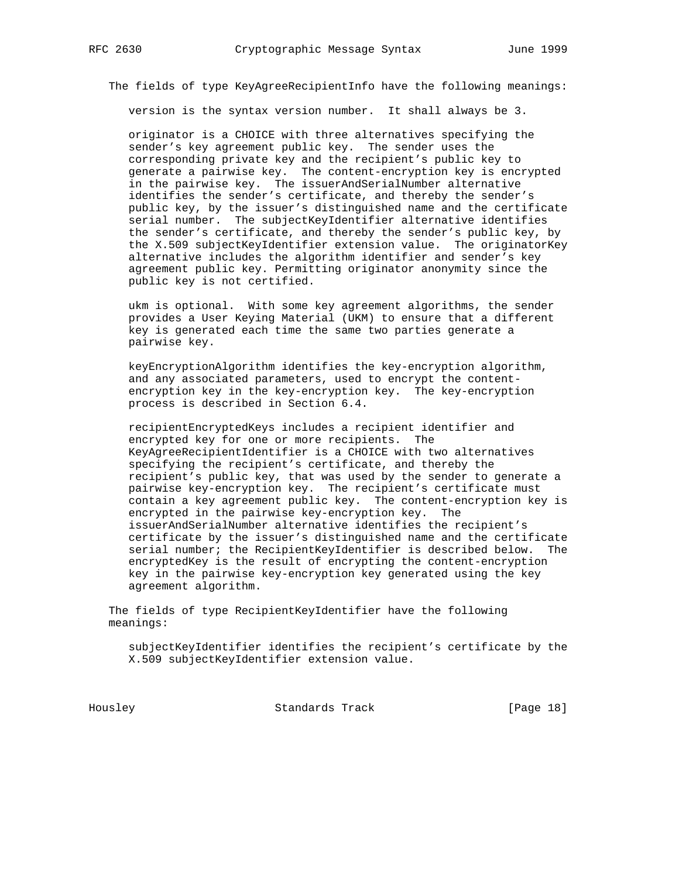The fields of type KeyAgreeRecipientInfo have the following meanings:

version is the syntax version number. It shall always be 3.

 originator is a CHOICE with three alternatives specifying the sender's key agreement public key. The sender uses the corresponding private key and the recipient's public key to generate a pairwise key. The content-encryption key is encrypted in the pairwise key. The issuerAndSerialNumber alternative identifies the sender's certificate, and thereby the sender's public key, by the issuer's distinguished name and the certificate serial number. The subjectKeyIdentifier alternative identifies the sender's certificate, and thereby the sender's public key, by the X.509 subjectKeyIdentifier extension value. The originatorKey alternative includes the algorithm identifier and sender's key agreement public key. Permitting originator anonymity since the public key is not certified.

 ukm is optional. With some key agreement algorithms, the sender provides a User Keying Material (UKM) to ensure that a different key is generated each time the same two parties generate a pairwise key.

 keyEncryptionAlgorithm identifies the key-encryption algorithm, and any associated parameters, used to encrypt the content encryption key in the key-encryption key. The key-encryption process is described in Section 6.4.

 recipientEncryptedKeys includes a recipient identifier and encrypted key for one or more recipients. The KeyAgreeRecipientIdentifier is a CHOICE with two alternatives specifying the recipient's certificate, and thereby the recipient's public key, that was used by the sender to generate a pairwise key-encryption key. The recipient's certificate must contain a key agreement public key. The content-encryption key is encrypted in the pairwise key-encryption key. The issuerAndSerialNumber alternative identifies the recipient's certificate by the issuer's distinguished name and the certificate serial number; the RecipientKeyIdentifier is described below. The encryptedKey is the result of encrypting the content-encryption key in the pairwise key-encryption key generated using the key agreement algorithm.

 The fields of type RecipientKeyIdentifier have the following meanings:

 subjectKeyIdentifier identifies the recipient's certificate by the X.509 subjectKeyIdentifier extension value.

Housley Standards Track [Page 18]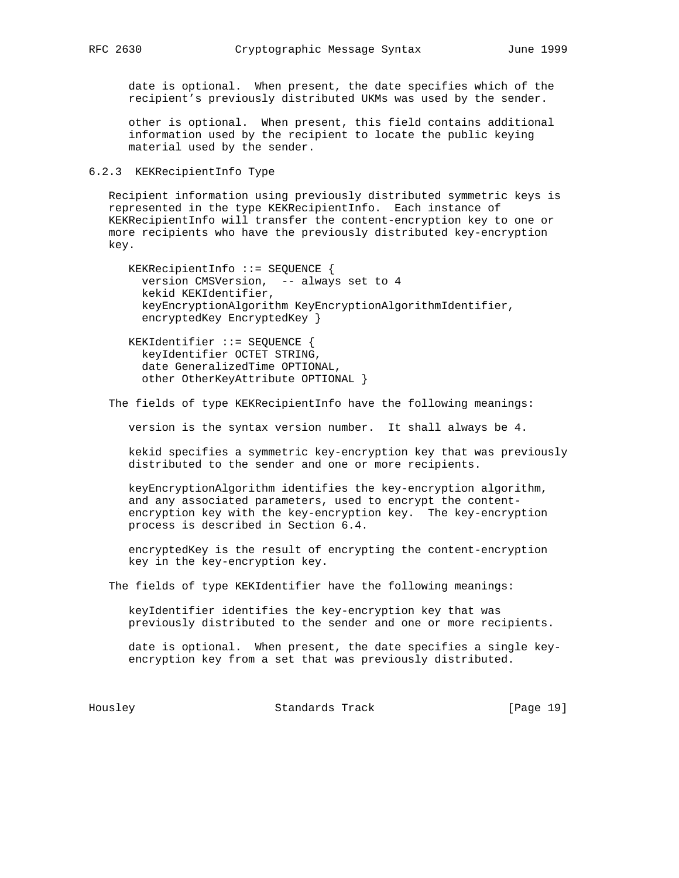date is optional. When present, the date specifies which of the recipient's previously distributed UKMs was used by the sender.

 other is optional. When present, this field contains additional information used by the recipient to locate the public keying material used by the sender.

## 6.2.3 KEKRecipientInfo Type

 Recipient information using previously distributed symmetric keys is represented in the type KEKRecipientInfo. Each instance of KEKRecipientInfo will transfer the content-encryption key to one or more recipients who have the previously distributed key-encryption key.

 KEKRecipientInfo ::= SEQUENCE { version CMSVersion, -- always set to 4 kekid KEKIdentifier, keyEncryptionAlgorithm KeyEncryptionAlgorithmIdentifier, encryptedKey EncryptedKey }

 KEKIdentifier ::= SEQUENCE { keyIdentifier OCTET STRING, date GeneralizedTime OPTIONAL, other OtherKeyAttribute OPTIONAL }

The fields of type KEKRecipientInfo have the following meanings:

version is the syntax version number. It shall always be 4.

 kekid specifies a symmetric key-encryption key that was previously distributed to the sender and one or more recipients.

 keyEncryptionAlgorithm identifies the key-encryption algorithm, and any associated parameters, used to encrypt the content encryption key with the key-encryption key. The key-encryption process is described in Section 6.4.

 encryptedKey is the result of encrypting the content-encryption key in the key-encryption key.

The fields of type KEKIdentifier have the following meanings:

 keyIdentifier identifies the key-encryption key that was previously distributed to the sender and one or more recipients.

 date is optional. When present, the date specifies a single key encryption key from a set that was previously distributed.

Housley Standards Track [Page 19]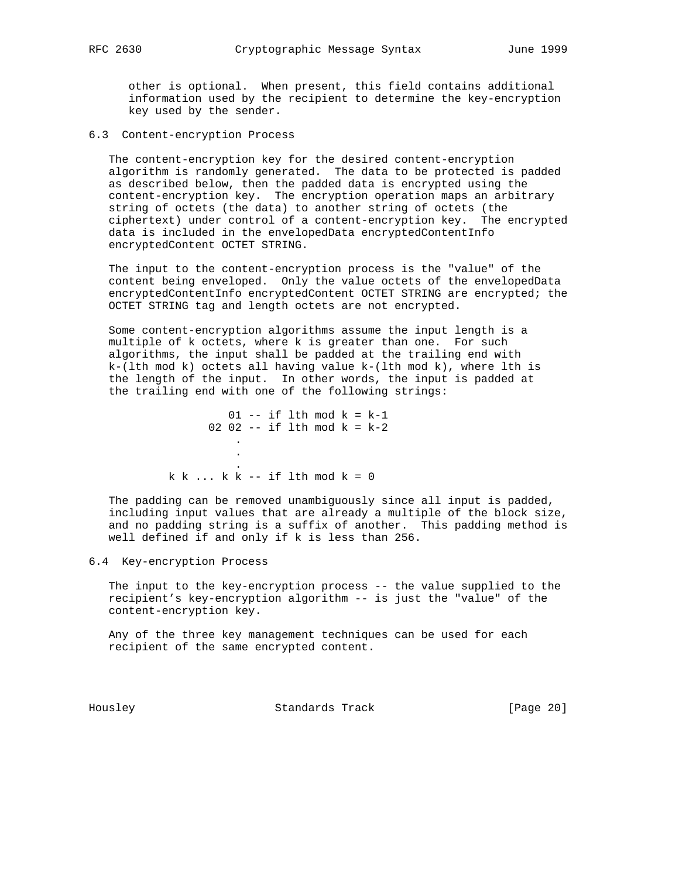other is optional. When present, this field contains additional information used by the recipient to determine the key-encryption key used by the sender.

## 6.3 Content-encryption Process

 The content-encryption key for the desired content-encryption algorithm is randomly generated. The data to be protected is padded as described below, then the padded data is encrypted using the content-encryption key. The encryption operation maps an arbitrary string of octets (the data) to another string of octets (the ciphertext) under control of a content-encryption key. The encrypted data is included in the envelopedData encryptedContentInfo encryptedContent OCTET STRING.

 The input to the content-encryption process is the "value" of the content being enveloped. Only the value octets of the envelopedData encryptedContentInfo encryptedContent OCTET STRING are encrypted; the OCTET STRING tag and length octets are not encrypted.

 Some content-encryption algorithms assume the input length is a multiple of k octets, where k is greater than one. For such algorithms, the input shall be padded at the trailing end with  $k-(lth mod k)$  octets all having value  $k-(lth mod k)$ , where lth is the length of the input. In other words, the input is padded at the trailing end with one of the following strings:

 $01$  -- if lth mod  $k = k-1$ 02 02 -- if lth mod  $k = k-2$  . . .  $k k ... k k$  -- if lth mod  $k = 0$ 

 The padding can be removed unambiguously since all input is padded, including input values that are already a multiple of the block size, and no padding string is a suffix of another. This padding method is well defined if and only if k is less than 256.

## 6.4 Key-encryption Process

 The input to the key-encryption process -- the value supplied to the recipient's key-encryption algorithm -- is just the "value" of the content-encryption key.

 Any of the three key management techniques can be used for each recipient of the same encrypted content.

Housley Standards Track [Page 20]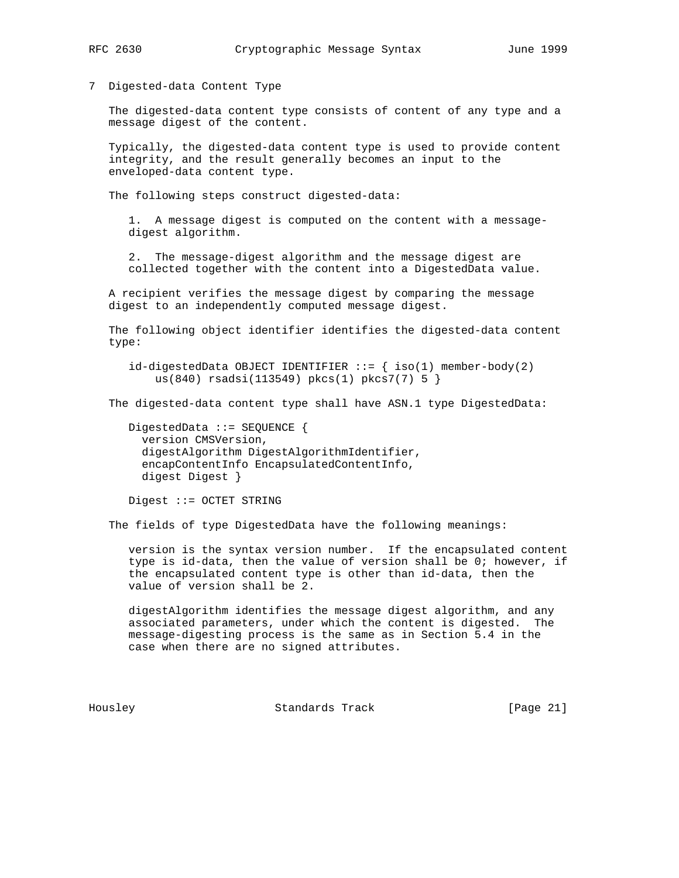- 
- 7 Digested-data Content Type

 The digested-data content type consists of content of any type and a message digest of the content.

 Typically, the digested-data content type is used to provide content integrity, and the result generally becomes an input to the enveloped-data content type.

The following steps construct digested-data:

 1. A message digest is computed on the content with a message digest algorithm.

 2. The message-digest algorithm and the message digest are collected together with the content into a DigestedData value.

 A recipient verifies the message digest by comparing the message digest to an independently computed message digest.

 The following object identifier identifies the digested-data content type:

 $id$ -digestedData OBJECT IDENTIFIER ::=  $\{ iso(1)$  member-body(2) us(840) rsadsi(113549) pkcs(1) pkcs7(7) 5 }

The digested-data content type shall have ASN.1 type DigestedData:

 DigestedData ::= SEQUENCE { version CMSVersion, digestAlgorithm DigestAlgorithmIdentifier, encapContentInfo EncapsulatedContentInfo, digest Digest }

Digest ::= OCTET STRING

The fields of type DigestedData have the following meanings:

 version is the syntax version number. If the encapsulated content type is id-data, then the value of version shall be 0; however, if the encapsulated content type is other than id-data, then the value of version shall be 2.

 digestAlgorithm identifies the message digest algorithm, and any associated parameters, under which the content is digested. The message-digesting process is the same as in Section 5.4 in the case when there are no signed attributes.

Housley Standards Track [Page 21]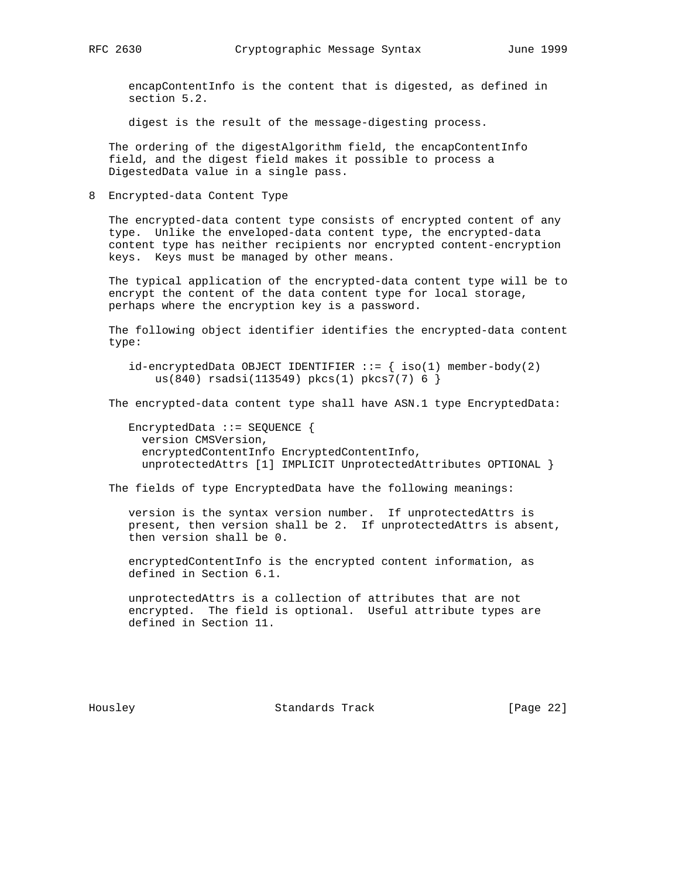encapContentInfo is the content that is digested, as defined in section 5.2.

digest is the result of the message-digesting process.

 The ordering of the digestAlgorithm field, the encapContentInfo field, and the digest field makes it possible to process a DigestedData value in a single pass.

8 Encrypted-data Content Type

 The encrypted-data content type consists of encrypted content of any type. Unlike the enveloped-data content type, the encrypted-data content type has neither recipients nor encrypted content-encryption keys. Keys must be managed by other means.

 The typical application of the encrypted-data content type will be to encrypt the content of the data content type for local storage, perhaps where the encryption key is a password.

 The following object identifier identifies the encrypted-data content type:

 $id$ -encryptedData OBJECT IDENTIFIER ::= { iso(1) member-body(2) us(840) rsadsi(113549) pkcs(1) pkcs7(7) 6 }

The encrypted-data content type shall have ASN.1 type EncryptedData:

 EncryptedData ::= SEQUENCE { version CMSVersion, encryptedContentInfo EncryptedContentInfo, unprotectedAttrs [1] IMPLICIT UnprotectedAttributes OPTIONAL }

The fields of type EncryptedData have the following meanings:

 version is the syntax version number. If unprotectedAttrs is present, then version shall be 2. If unprotectedAttrs is absent, then version shall be 0.

 encryptedContentInfo is the encrypted content information, as defined in Section 6.1.

 unprotectedAttrs is a collection of attributes that are not encrypted. The field is optional. Useful attribute types are defined in Section 11.

Housley Standards Track [Page 22]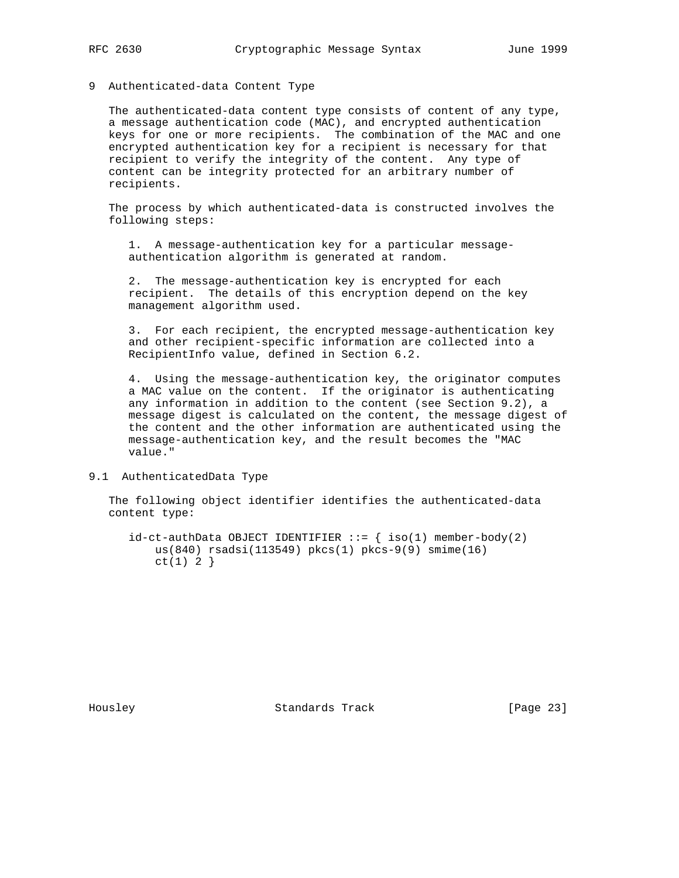## 9 Authenticated-data Content Type

 The authenticated-data content type consists of content of any type, a message authentication code (MAC), and encrypted authentication keys for one or more recipients. The combination of the MAC and one encrypted authentication key for a recipient is necessary for that recipient to verify the integrity of the content. Any type of content can be integrity protected for an arbitrary number of recipients.

 The process by which authenticated-data is constructed involves the following steps:

 1. A message-authentication key for a particular message authentication algorithm is generated at random.

 2. The message-authentication key is encrypted for each recipient. The details of this encryption depend on the key management algorithm used.

 3. For each recipient, the encrypted message-authentication key and other recipient-specific information are collected into a RecipientInfo value, defined in Section 6.2.

 4. Using the message-authentication key, the originator computes a MAC value on the content. If the originator is authenticating any information in addition to the content (see Section 9.2), a message digest is calculated on the content, the message digest of the content and the other information are authenticated using the message-authentication key, and the result becomes the "MAC value."

#### 9.1 AuthenticatedData Type

 The following object identifier identifies the authenticated-data content type:

 $id-ct-authData OBJECT IDENTIFFIER ::= { iso(1) member-body(2) }$  us(840) rsadsi(113549) pkcs(1) pkcs-9(9) smime(16)  $ct(1) 2$ }

Housley Standards Track [Page 23]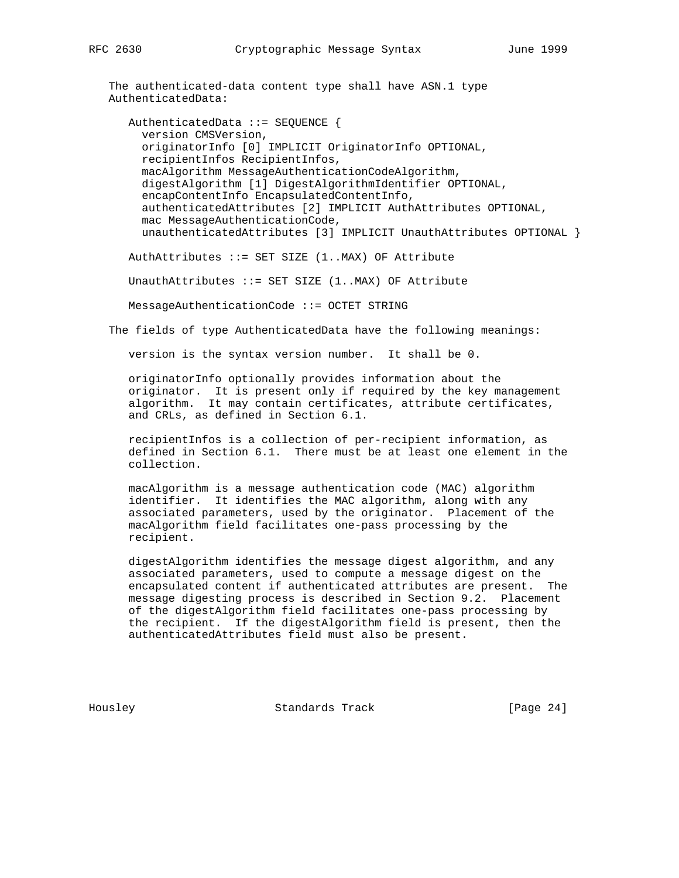The authenticated-data content type shall have ASN.1 type AuthenticatedData:

 AuthenticatedData ::= SEQUENCE { version CMSVersion, originatorInfo [0] IMPLICIT OriginatorInfo OPTIONAL, recipientInfos RecipientInfos, macAlgorithm MessageAuthenticationCodeAlgorithm, digestAlgorithm [1] DigestAlgorithmIdentifier OPTIONAL, encapContentInfo EncapsulatedContentInfo, authenticatedAttributes [2] IMPLICIT AuthAttributes OPTIONAL, mac MessageAuthenticationCode, unauthenticatedAttributes [3] IMPLICIT UnauthAttributes OPTIONAL }

AuthAttributes ::= SET SIZE (1..MAX) OF Attribute

UnauthAttributes  $::=$  SET SIZE  $(1..$ MAX) OF Attribute

MessageAuthenticationCode ::= OCTET STRING

The fields of type AuthenticatedData have the following meanings:

version is the syntax version number. It shall be 0.

 originatorInfo optionally provides information about the originator. It is present only if required by the key management algorithm. It may contain certificates, attribute certificates, and CRLs, as defined in Section 6.1.

 recipientInfos is a collection of per-recipient information, as defined in Section 6.1. There must be at least one element in the collection.

 macAlgorithm is a message authentication code (MAC) algorithm identifier. It identifies the MAC algorithm, along with any associated parameters, used by the originator. Placement of the macAlgorithm field facilitates one-pass processing by the recipient.

 digestAlgorithm identifies the message digest algorithm, and any associated parameters, used to compute a message digest on the encapsulated content if authenticated attributes are present. The message digesting process is described in Section 9.2. Placement of the digestAlgorithm field facilitates one-pass processing by the recipient. If the digestAlgorithm field is present, then the authenticatedAttributes field must also be present.

Housley Standards Track [Page 24]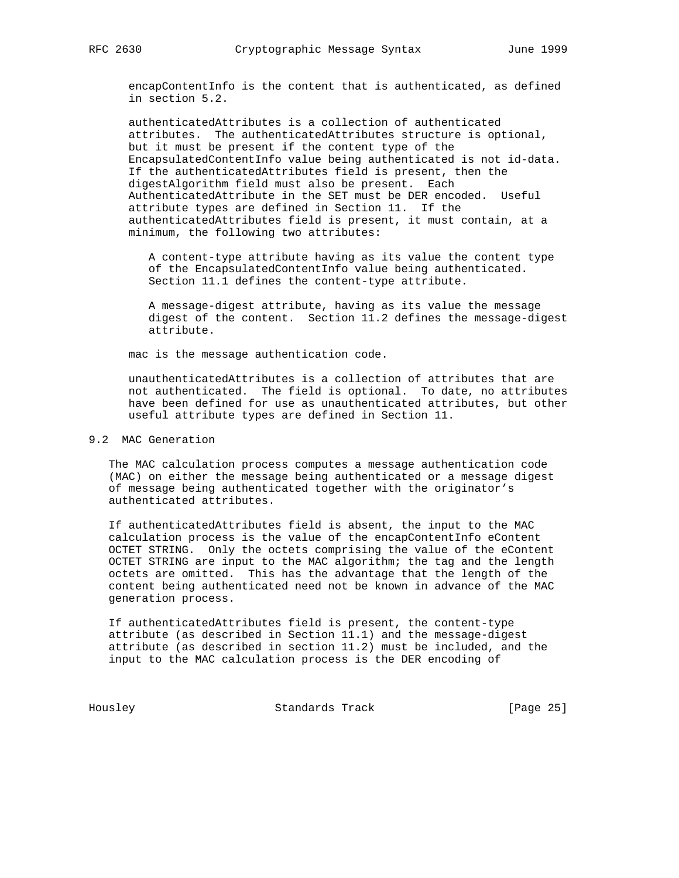encapContentInfo is the content that is authenticated, as defined in section 5.2.

 authenticatedAttributes is a collection of authenticated attributes. The authenticatedAttributes structure is optional, but it must be present if the content type of the EncapsulatedContentInfo value being authenticated is not id-data. If the authenticatedAttributes field is present, then the digestAlgorithm field must also be present. Each AuthenticatedAttribute in the SET must be DER encoded. Useful attribute types are defined in Section 11. If the authenticatedAttributes field is present, it must contain, at a minimum, the following two attributes:

 A content-type attribute having as its value the content type of the EncapsulatedContentInfo value being authenticated. Section 11.1 defines the content-type attribute.

 A message-digest attribute, having as its value the message digest of the content. Section 11.2 defines the message-digest attribute.

mac is the message authentication code.

 unauthenticatedAttributes is a collection of attributes that are not authenticated. The field is optional. To date, no attributes have been defined for use as unauthenticated attributes, but other useful attribute types are defined in Section 11.

## 9.2 MAC Generation

 The MAC calculation process computes a message authentication code (MAC) on either the message being authenticated or a message digest of message being authenticated together with the originator's authenticated attributes.

 If authenticatedAttributes field is absent, the input to the MAC calculation process is the value of the encapContentInfo eContent OCTET STRING. Only the octets comprising the value of the eContent OCTET STRING are input to the MAC algorithm; the tag and the length octets are omitted. This has the advantage that the length of the content being authenticated need not be known in advance of the MAC generation process.

 If authenticatedAttributes field is present, the content-type attribute (as described in Section 11.1) and the message-digest attribute (as described in section 11.2) must be included, and the input to the MAC calculation process is the DER encoding of

Housley Standards Track [Page 25]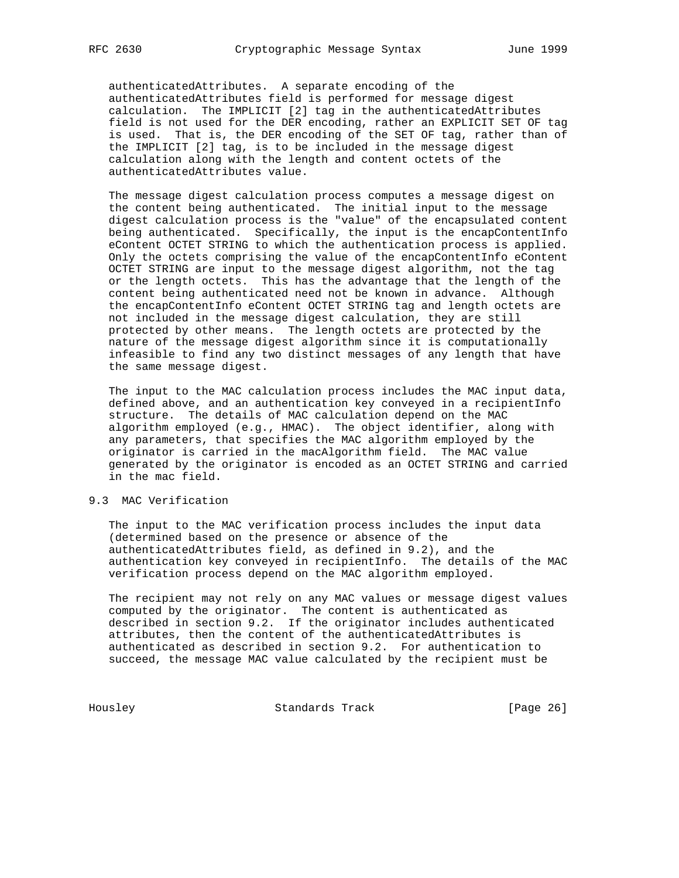authenticatedAttributes. A separate encoding of the authenticatedAttributes field is performed for message digest calculation. The IMPLICIT [2] tag in the authenticatedAttributes field is not used for the DER encoding, rather an EXPLICIT SET OF tag is used. That is, the DER encoding of the SET OF tag, rather than of the IMPLICIT [2] tag, is to be included in the message digest calculation along with the length and content octets of the authenticatedAttributes value.

 The message digest calculation process computes a message digest on the content being authenticated. The initial input to the message digest calculation process is the "value" of the encapsulated content being authenticated. Specifically, the input is the encapContentInfo eContent OCTET STRING to which the authentication process is applied. Only the octets comprising the value of the encapContentInfo eContent OCTET STRING are input to the message digest algorithm, not the tag or the length octets. This has the advantage that the length of the content being authenticated need not be known in advance. Although the encapContentInfo eContent OCTET STRING tag and length octets are not included in the message digest calculation, they are still protected by other means. The length octets are protected by the nature of the message digest algorithm since it is computationally infeasible to find any two distinct messages of any length that have the same message digest.

 The input to the MAC calculation process includes the MAC input data, defined above, and an authentication key conveyed in a recipientInfo structure. The details of MAC calculation depend on the MAC algorithm employed (e.g., HMAC). The object identifier, along with any parameters, that specifies the MAC algorithm employed by the originator is carried in the macAlgorithm field. The MAC value generated by the originator is encoded as an OCTET STRING and carried in the mac field.

## 9.3 MAC Verification

 The input to the MAC verification process includes the input data (determined based on the presence or absence of the authenticatedAttributes field, as defined in 9.2), and the authentication key conveyed in recipientInfo. The details of the MAC verification process depend on the MAC algorithm employed.

 The recipient may not rely on any MAC values or message digest values computed by the originator. The content is authenticated as described in section 9.2. If the originator includes authenticated attributes, then the content of the authenticatedAttributes is authenticated as described in section 9.2. For authentication to succeed, the message MAC value calculated by the recipient must be

Housley Standards Track [Page 26]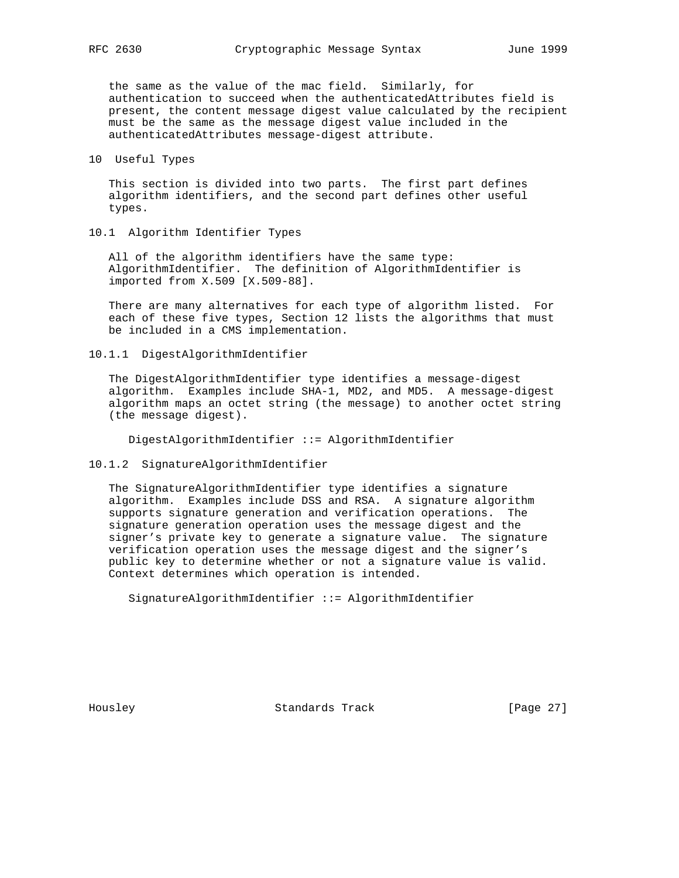the same as the value of the mac field. Similarly, for authentication to succeed when the authenticatedAttributes field is present, the content message digest value calculated by the recipient must be the same as the message digest value included in the authenticatedAttributes message-digest attribute.

10 Useful Types

 This section is divided into two parts. The first part defines algorithm identifiers, and the second part defines other useful types.

10.1 Algorithm Identifier Types

 All of the algorithm identifiers have the same type: AlgorithmIdentifier. The definition of AlgorithmIdentifier is imported from X.509 [X.509-88].

 There are many alternatives for each type of algorithm listed. For each of these five types, Section 12 lists the algorithms that must be included in a CMS implementation.

10.1.1 DigestAlgorithmIdentifier

 The DigestAlgorithmIdentifier type identifies a message-digest algorithm. Examples include SHA-1, MD2, and MD5. A message-digest algorithm maps an octet string (the message) to another octet string (the message digest).

DigestAlgorithmIdentifier ::= AlgorithmIdentifier

10.1.2 SignatureAlgorithmIdentifier

 The SignatureAlgorithmIdentifier type identifies a signature algorithm. Examples include DSS and RSA. A signature algorithm supports signature generation and verification operations. The signature generation operation uses the message digest and the signer's private key to generate a signature value. The signature verification operation uses the message digest and the signer's public key to determine whether or not a signature value is valid. Context determines which operation is intended.

SignatureAlgorithmIdentifier ::= AlgorithmIdentifier

Housley Standards Track [Page 27]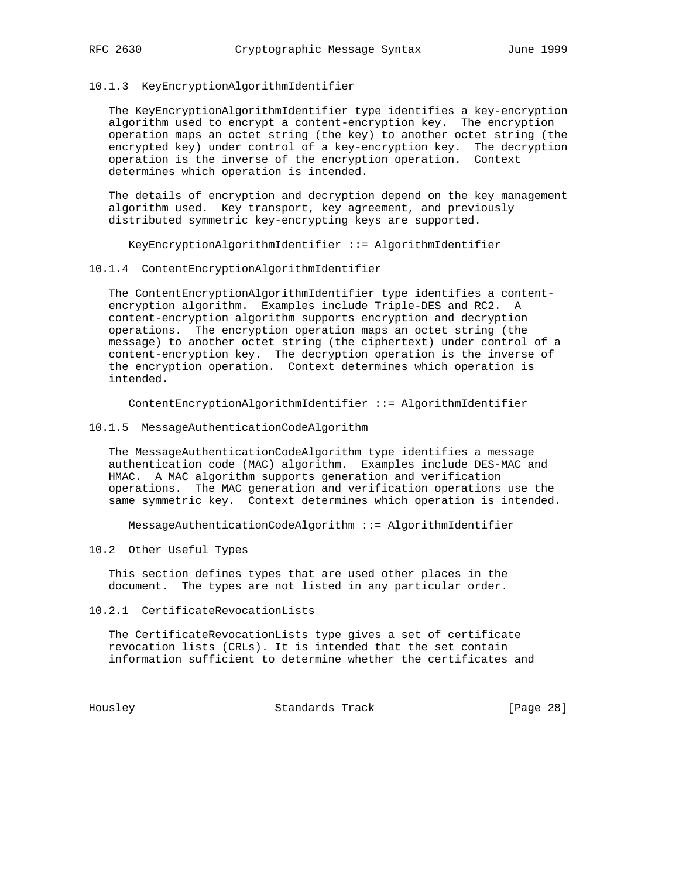#### 10.1.3 KeyEncryptionAlgorithmIdentifier

 The KeyEncryptionAlgorithmIdentifier type identifies a key-encryption algorithm used to encrypt a content-encryption key. The encryption operation maps an octet string (the key) to another octet string (the encrypted key) under control of a key-encryption key. The decryption operation is the inverse of the encryption operation. Context determines which operation is intended.

 The details of encryption and decryption depend on the key management algorithm used. Key transport, key agreement, and previously distributed symmetric key-encrypting keys are supported.

KeyEncryptionAlgorithmIdentifier ::= AlgorithmIdentifier

#### 10.1.4 ContentEncryptionAlgorithmIdentifier

 The ContentEncryptionAlgorithmIdentifier type identifies a content encryption algorithm. Examples include Triple-DES and RC2. A content-encryption algorithm supports encryption and decryption operations. The encryption operation maps an octet string (the message) to another octet string (the ciphertext) under control of a content-encryption key. The decryption operation is the inverse of the encryption operation. Context determines which operation is intended.

ContentEncryptionAlgorithmIdentifier ::= AlgorithmIdentifier

## 10.1.5 MessageAuthenticationCodeAlgorithm

 The MessageAuthenticationCodeAlgorithm type identifies a message authentication code (MAC) algorithm. Examples include DES-MAC and HMAC. A MAC algorithm supports generation and verification operations. The MAC generation and verification operations use the same symmetric key. Context determines which operation is intended.

MessageAuthenticationCodeAlgorithm ::= AlgorithmIdentifier

## 10.2 Other Useful Types

 This section defines types that are used other places in the document. The types are not listed in any particular order.

10.2.1 CertificateRevocationLists

 The CertificateRevocationLists type gives a set of certificate revocation lists (CRLs). It is intended that the set contain information sufficient to determine whether the certificates and

Housley Standards Track [Page 28]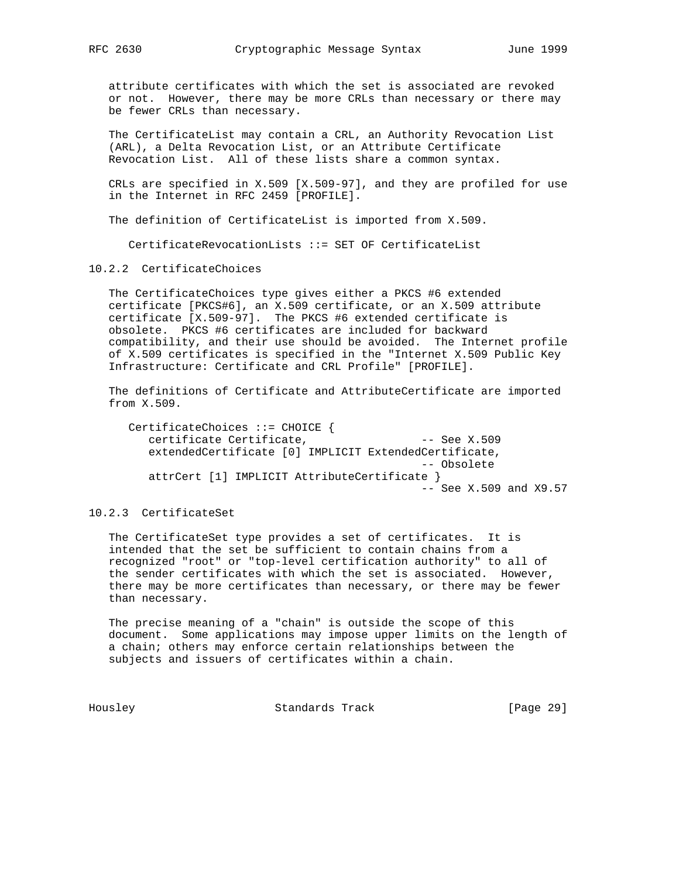attribute certificates with which the set is associated are revoked or not. However, there may be more CRLs than necessary or there may be fewer CRLs than necessary.

 The CertificateList may contain a CRL, an Authority Revocation List (ARL), a Delta Revocation List, or an Attribute Certificate Revocation List. All of these lists share a common syntax.

 CRLs are specified in X.509 [X.509-97], and they are profiled for use in the Internet in RFC 2459 [PROFILE].

The definition of CertificateList is imported from X.509.

CertificateRevocationLists ::= SET OF CertificateList

10.2.2 CertificateChoices

 The CertificateChoices type gives either a PKCS #6 extended certificate [PKCS#6], an X.509 certificate, or an X.509 attribute certificate [X.509-97]. The PKCS #6 extended certificate is obsolete. PKCS #6 certificates are included for backward compatibility, and their use should be avoided. The Internet profile of X.509 certificates is specified in the "Internet X.509 Public Key Infrastructure: Certificate and CRL Profile" [PROFILE].

 The definitions of Certificate and AttributeCertificate are imported from X.509.

 CertificateChoices ::= CHOICE { certificate Certificate, The Contract Certificate, extendedCertificate [0] IMPLICIT ExtendedCertificate, -- Obsolete attrCert [1] IMPLICIT AttributeCertificate } -- See X.509 and X9.57

## 10.2.3 CertificateSet

 The CertificateSet type provides a set of certificates. It is intended that the set be sufficient to contain chains from a recognized "root" or "top-level certification authority" to all of the sender certificates with which the set is associated. However, there may be more certificates than necessary, or there may be fewer than necessary.

 The precise meaning of a "chain" is outside the scope of this document. Some applications may impose upper limits on the length of a chain; others may enforce certain relationships between the subjects and issuers of certificates within a chain.

Housley Standards Track [Page 29]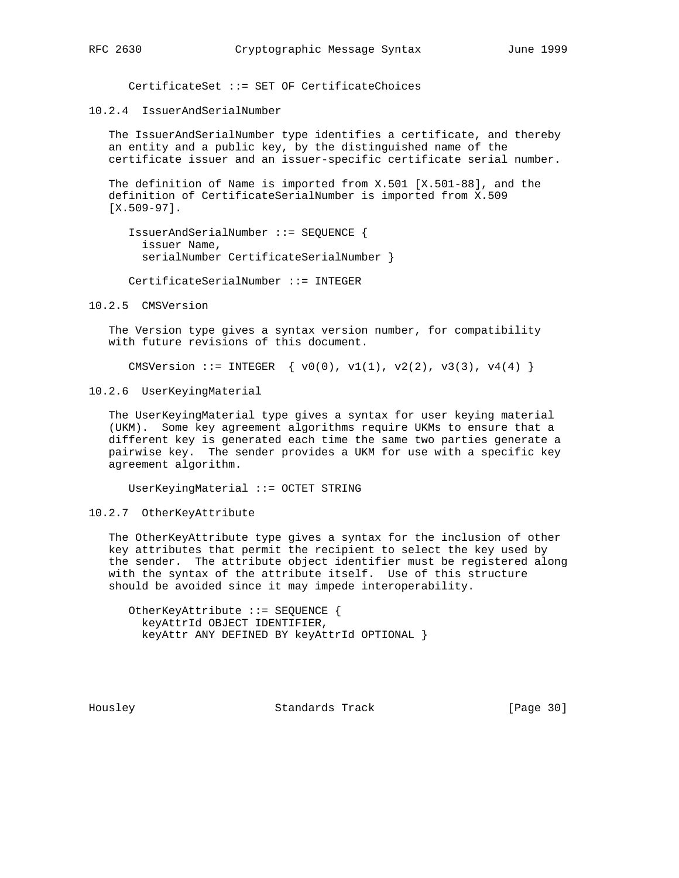CertificateSet ::= SET OF CertificateChoices

10.2.4 IssuerAndSerialNumber

 The IssuerAndSerialNumber type identifies a certificate, and thereby an entity and a public key, by the distinguished name of the certificate issuer and an issuer-specific certificate serial number.

 The definition of Name is imported from X.501 [X.501-88], and the definition of CertificateSerialNumber is imported from X.509 [X.509-97].

 IssuerAndSerialNumber ::= SEQUENCE { issuer Name, serialNumber CertificateSerialNumber }

CertificateSerialNumber ::= INTEGER

10.2.5 CMSVersion

 The Version type gives a syntax version number, for compatibility with future revisions of this document.

CMSVersion ::= INTEGER  $\{ v0(0), v1(1), v2(2), v3(3), v4(4) \}$ 

10.2.6 UserKeyingMaterial

 The UserKeyingMaterial type gives a syntax for user keying material (UKM). Some key agreement algorithms require UKMs to ensure that a different key is generated each time the same two parties generate a pairwise key. The sender provides a UKM for use with a specific key agreement algorithm.

UserKeyingMaterial ::= OCTET STRING

10.2.7 OtherKeyAttribute

 The OtherKeyAttribute type gives a syntax for the inclusion of other key attributes that permit the recipient to select the key used by the sender. The attribute object identifier must be registered along with the syntax of the attribute itself. Use of this structure should be avoided since it may impede interoperability.

 OtherKeyAttribute ::= SEQUENCE { keyAttrId OBJECT IDENTIFIER, keyAttr ANY DEFINED BY keyAttrId OPTIONAL }

Housley Standards Track [Page 30]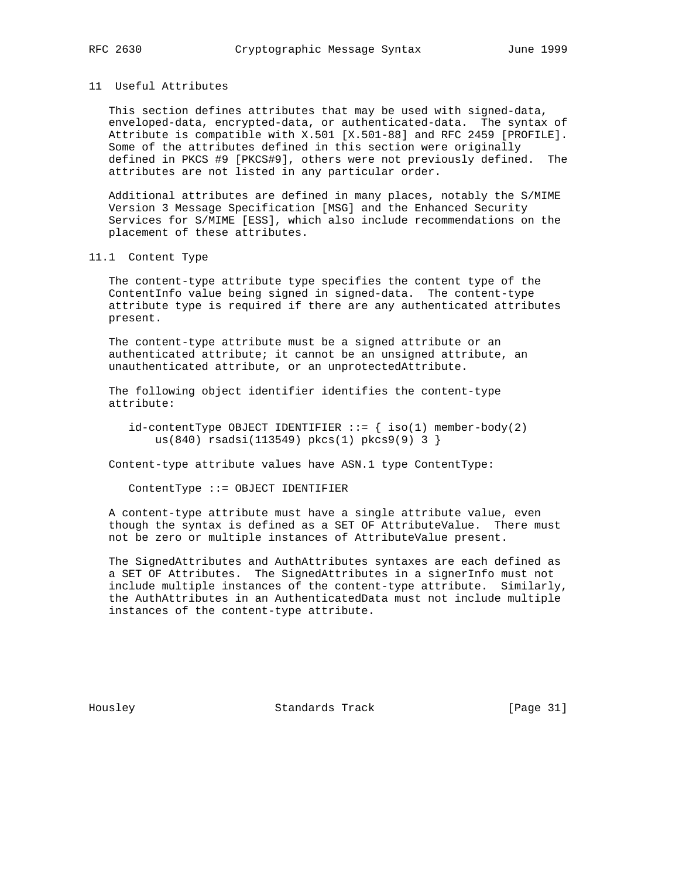## 11 Useful Attributes

 This section defines attributes that may be used with signed-data, enveloped-data, encrypted-data, or authenticated-data. The syntax of Attribute is compatible with X.501 [X.501-88] and RFC 2459 [PROFILE]. Some of the attributes defined in this section were originally defined in PKCS #9 [PKCS#9], others were not previously defined. The attributes are not listed in any particular order.

 Additional attributes are defined in many places, notably the S/MIME Version 3 Message Specification [MSG] and the Enhanced Security Services for S/MIME [ESS], which also include recommendations on the placement of these attributes.

#### 11.1 Content Type

 The content-type attribute type specifies the content type of the ContentInfo value being signed in signed-data. The content-type attribute type is required if there are any authenticated attributes present.

 The content-type attribute must be a signed attribute or an authenticated attribute; it cannot be an unsigned attribute, an unauthenticated attribute, or an unprotectedAttribute.

 The following object identifier identifies the content-type attribute:

 $id$ -contentType OBJECT IDENTIFIER ::=  $\{ iso(1) member-body(2)\}$ us(840) rsadsi(113549) pkcs(1) pkcs9(9) 3 }

Content-type attribute values have ASN.1 type ContentType:

ContentType ::= OBJECT IDENTIFIER

 A content-type attribute must have a single attribute value, even though the syntax is defined as a SET OF AttributeValue. There must not be zero or multiple instances of AttributeValue present.

 The SignedAttributes and AuthAttributes syntaxes are each defined as a SET OF Attributes. The SignedAttributes in a signerInfo must not include multiple instances of the content-type attribute. Similarly, the AuthAttributes in an AuthenticatedData must not include multiple instances of the content-type attribute.

Housley Standards Track [Page 31]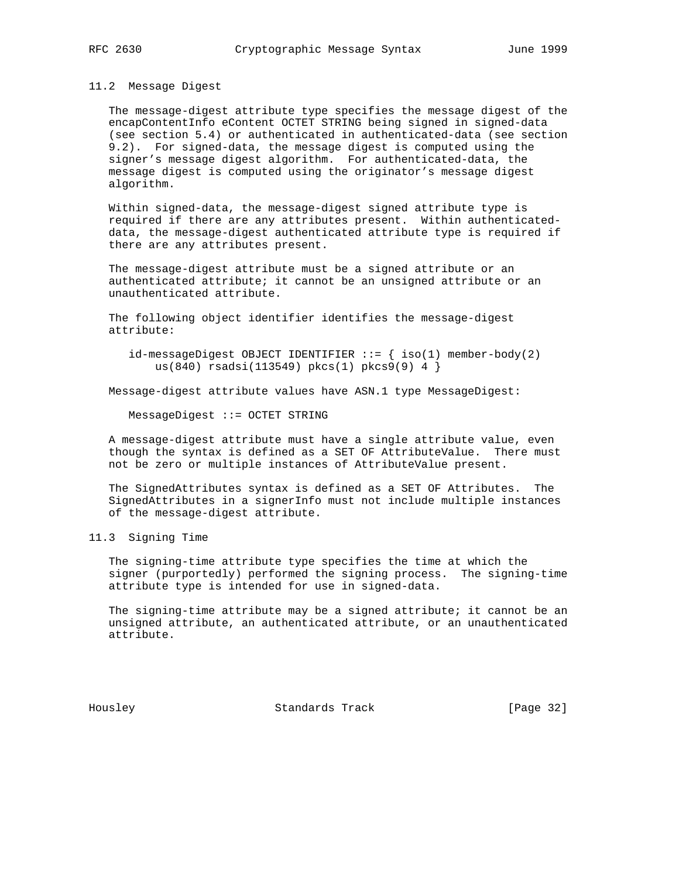#### 11.2 Message Digest

 The message-digest attribute type specifies the message digest of the encapContentInfo eContent OCTET STRING being signed in signed-data (see section 5.4) or authenticated in authenticated-data (see section 9.2). For signed-data, the message digest is computed using the signer's message digest algorithm. For authenticated-data, the message digest is computed using the originator's message digest algorithm.

 Within signed-data, the message-digest signed attribute type is required if there are any attributes present. Within authenticated data, the message-digest authenticated attribute type is required if there are any attributes present.

 The message-digest attribute must be a signed attribute or an authenticated attribute; it cannot be an unsigned attribute or an unauthenticated attribute.

 The following object identifier identifies the message-digest attribute:

id-messageDigest OBJECT IDENTIFIER  $::=$  { iso(1) member-body(2) us(840) rsadsi(113549) pkcs(1) pkcs9(9) 4 }

Message-digest attribute values have ASN.1 type MessageDigest:

MessageDigest ::= OCTET STRING

 A message-digest attribute must have a single attribute value, even though the syntax is defined as a SET OF AttributeValue. There must not be zero or multiple instances of AttributeValue present.

 The SignedAttributes syntax is defined as a SET OF Attributes. The SignedAttributes in a signerInfo must not include multiple instances of the message-digest attribute.

11.3 Signing Time

 The signing-time attribute type specifies the time at which the signer (purportedly) performed the signing process. The signing-time attribute type is intended for use in signed-data.

 The signing-time attribute may be a signed attribute; it cannot be an unsigned attribute, an authenticated attribute, or an unauthenticated attribute.

Housley Standards Track [Page 32]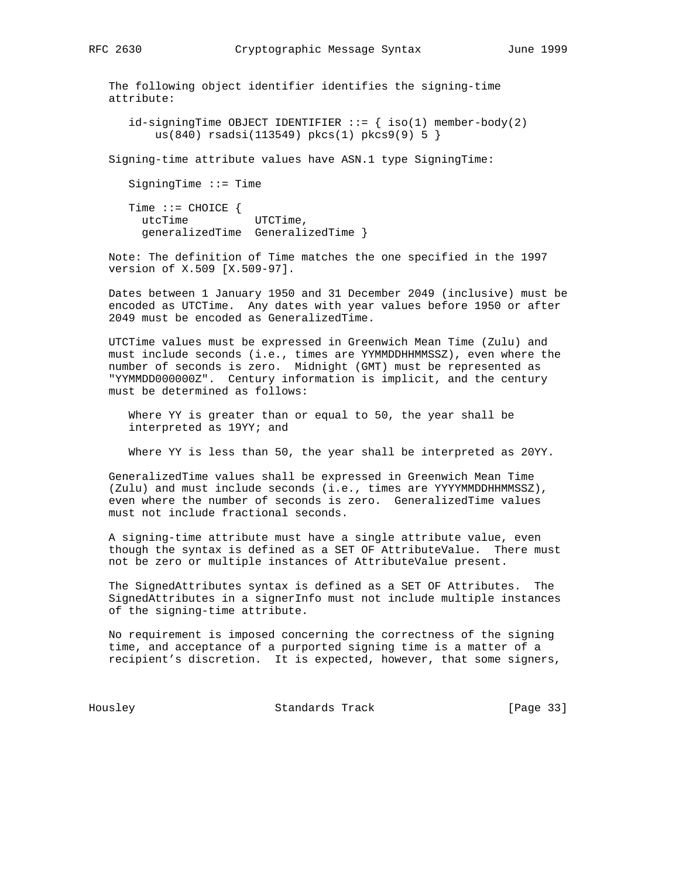The following object identifier identifies the signing-time attribute:

 $id$ -signingTime OBJECT IDENTIFIER ::=  $\{ \text{ iso}(1) \text{ member-body}(2) \}$ us(840) rsadsi(113549) pkcs(1) pkcs9(9) 5 }

Signing-time attribute values have ASN.1 type SigningTime:

SigningTime ::= Time

 Time ::= CHOICE { utcTime UTCTime, generalizedTime GeneralizedTime }

 Note: The definition of Time matches the one specified in the 1997 version of X.509 [X.509-97].

 Dates between 1 January 1950 and 31 December 2049 (inclusive) must be encoded as UTCTime. Any dates with year values before 1950 or after 2049 must be encoded as GeneralizedTime.

 UTCTime values must be expressed in Greenwich Mean Time (Zulu) and must include seconds (i.e., times are YYMMDDHHMMSSZ), even where the number of seconds is zero. Midnight (GMT) must be represented as "YYMMDD000000Z". Century information is implicit, and the century must be determined as follows:

 Where YY is greater than or equal to 50, the year shall be interpreted as 19YY; and

Where YY is less than 50, the year shall be interpreted as 20YY.

 GeneralizedTime values shall be expressed in Greenwich Mean Time (Zulu) and must include seconds (i.e., times are YYYYMMDDHHMMSSZ), even where the number of seconds is zero. GeneralizedTime values must not include fractional seconds.

 A signing-time attribute must have a single attribute value, even though the syntax is defined as a SET OF AttributeValue. There must not be zero or multiple instances of AttributeValue present.

 The SignedAttributes syntax is defined as a SET OF Attributes. The SignedAttributes in a signerInfo must not include multiple instances of the signing-time attribute.

 No requirement is imposed concerning the correctness of the signing time, and acceptance of a purported signing time is a matter of a recipient's discretion. It is expected, however, that some signers,

Housley Standards Track [Page 33]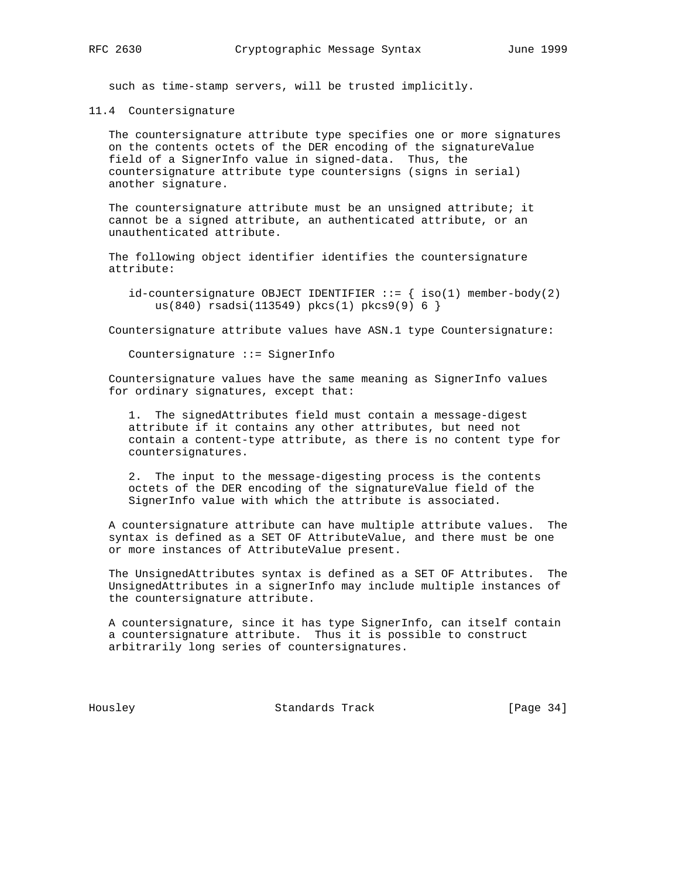such as time-stamp servers, will be trusted implicitly.

11.4 Countersignature

 The countersignature attribute type specifies one or more signatures on the contents octets of the DER encoding of the signatureValue field of a SignerInfo value in signed-data. Thus, the countersignature attribute type countersigns (signs in serial) another signature.

 The countersignature attribute must be an unsigned attribute; it cannot be a signed attribute, an authenticated attribute, or an unauthenticated attribute.

 The following object identifier identifies the countersignature attribute:

id-countersignature OBJECT IDENTIFIER  $::=$  { iso(1) member-body(2) us(840) rsadsi(113549) pkcs(1) pkcs9(9) 6 }

Countersignature attribute values have ASN.1 type Countersignature:

Countersignature ::= SignerInfo

 Countersignature values have the same meaning as SignerInfo values for ordinary signatures, except that:

 1. The signedAttributes field must contain a message-digest attribute if it contains any other attributes, but need not contain a content-type attribute, as there is no content type for countersignatures.

 2. The input to the message-digesting process is the contents octets of the DER encoding of the signatureValue field of the SignerInfo value with which the attribute is associated.

 A countersignature attribute can have multiple attribute values. The syntax is defined as a SET OF AttributeValue, and there must be one or more instances of AttributeValue present.

 The UnsignedAttributes syntax is defined as a SET OF Attributes. The UnsignedAttributes in a signerInfo may include multiple instances of the countersignature attribute.

 A countersignature, since it has type SignerInfo, can itself contain a countersignature attribute. Thus it is possible to construct arbitrarily long series of countersignatures.

Housley Standards Track [Page 34]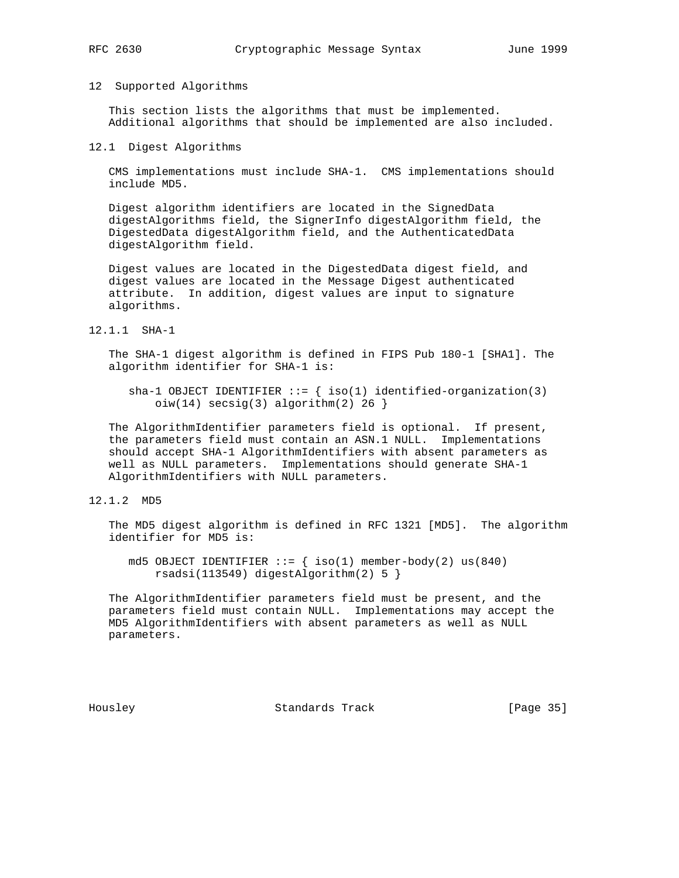#### 12 Supported Algorithms

 This section lists the algorithms that must be implemented. Additional algorithms that should be implemented are also included.

#### 12.1 Digest Algorithms

 CMS implementations must include SHA-1. CMS implementations should include MD5.

 Digest algorithm identifiers are located in the SignedData digestAlgorithms field, the SignerInfo digestAlgorithm field, the DigestedData digestAlgorithm field, and the AuthenticatedData digestAlgorithm field.

 Digest values are located in the DigestedData digest field, and digest values are located in the Message Digest authenticated attribute. In addition, digest values are input to signature algorithms.

12.1.1 SHA-1

 The SHA-1 digest algorithm is defined in FIPS Pub 180-1 [SHA1]. The algorithm identifier for SHA-1 is:

sha-1 OBJECT IDENTIFIER  $::=$  { iso(1) identified-organization(3)  $oiw(14)$  secsig(3) algorithm(2) 26 }

 The AlgorithmIdentifier parameters field is optional. If present, the parameters field must contain an ASN.1 NULL. Implementations should accept SHA-1 AlgorithmIdentifiers with absent parameters as well as NULL parameters. Implementations should generate SHA-1 AlgorithmIdentifiers with NULL parameters.

12.1.2 MD5

 The MD5 digest algorithm is defined in RFC 1321 [MD5]. The algorithm identifier for MD5 is:

md5 OBJECT IDENTIFIER  $::=$  { iso(1) member-body(2) us(840) rsadsi(113549) digestAlgorithm(2) 5 }

 The AlgorithmIdentifier parameters field must be present, and the parameters field must contain NULL. Implementations may accept the MD5 AlgorithmIdentifiers with absent parameters as well as NULL parameters.

Housley Standards Track [Page 35]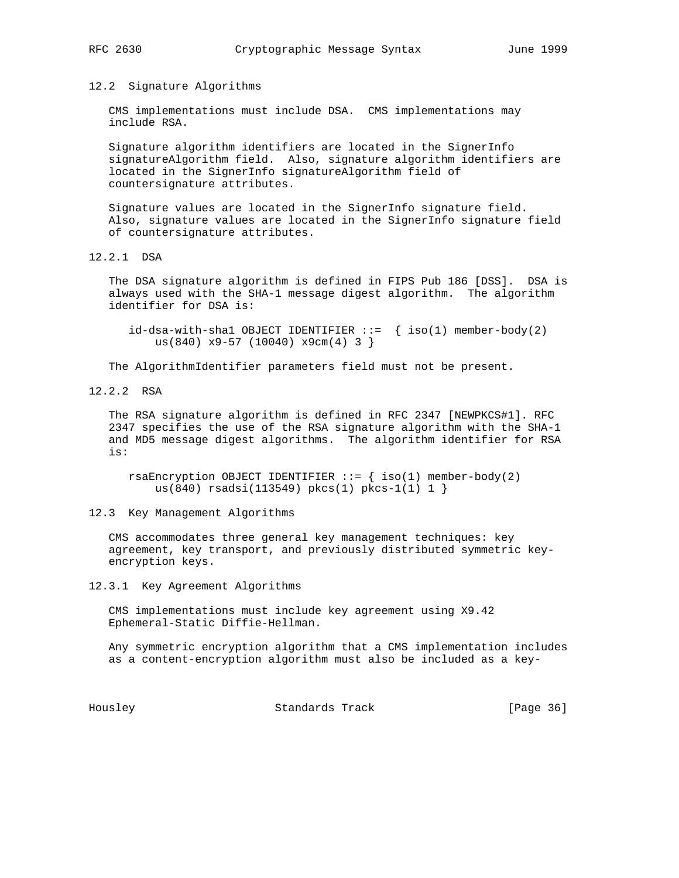12.2 Signature Algorithms

 CMS implementations must include DSA. CMS implementations may include RSA.

 Signature algorithm identifiers are located in the SignerInfo signatureAlgorithm field. Also, signature algorithm identifiers are located in the SignerInfo signatureAlgorithm field of countersignature attributes.

 Signature values are located in the SignerInfo signature field. Also, signature values are located in the SignerInfo signature field of countersignature attributes.

12.2.1 DSA

 The DSA signature algorithm is defined in FIPS Pub 186 [DSS]. DSA is always used with the SHA-1 message digest algorithm. The algorithm identifier for DSA is:

 $id-dsa-with-shell OBJECT IDENTIFIER ::= { iso(1) member-body(2) }$ us(840)  $x9-57$  (10040)  $x9cm(4)$  3 }

The AlgorithmIdentifier parameters field must not be present.

12.2.2 RSA

 The RSA signature algorithm is defined in RFC 2347 [NEWPKCS#1]. RFC 2347 specifies the use of the RSA signature algorithm with the SHA-1 and MD5 message digest algorithms. The algorithm identifier for RSA is:

rsaEncryption OBJECT IDENTIFIER  $::=$  { iso(1) member-body(2) us(840) rsadsi(113549) pkcs(1) pkcs-1(1) 1 }

12.3 Key Management Algorithms

 CMS accommodates three general key management techniques: key agreement, key transport, and previously distributed symmetric key encryption keys.

12.3.1 Key Agreement Algorithms

 CMS implementations must include key agreement using X9.42 Ephemeral-Static Diffie-Hellman.

 Any symmetric encryption algorithm that a CMS implementation includes as a content-encryption algorithm must also be included as a key-

Housley Chandards Track [Page 36]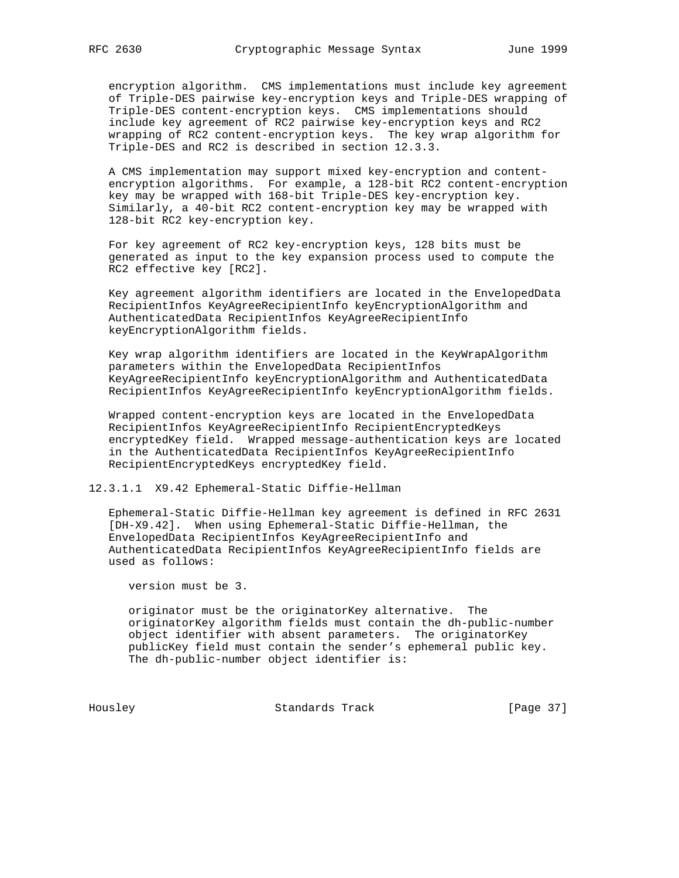encryption algorithm. CMS implementations must include key agreement of Triple-DES pairwise key-encryption keys and Triple-DES wrapping of Triple-DES content-encryption keys. CMS implementations should include key agreement of RC2 pairwise key-encryption keys and RC2 wrapping of RC2 content-encryption keys. The key wrap algorithm for Triple-DES and RC2 is described in section 12.3.3.

 A CMS implementation may support mixed key-encryption and content encryption algorithms. For example, a 128-bit RC2 content-encryption key may be wrapped with 168-bit Triple-DES key-encryption key. Similarly, a 40-bit RC2 content-encryption key may be wrapped with 128-bit RC2 key-encryption key.

 For key agreement of RC2 key-encryption keys, 128 bits must be generated as input to the key expansion process used to compute the RC2 effective key [RC2].

 Key agreement algorithm identifiers are located in the EnvelopedData RecipientInfos KeyAgreeRecipientInfo keyEncryptionAlgorithm and AuthenticatedData RecipientInfos KeyAgreeRecipientInfo keyEncryptionAlgorithm fields.

 Key wrap algorithm identifiers are located in the KeyWrapAlgorithm parameters within the EnvelopedData RecipientInfos KeyAgreeRecipientInfo keyEncryptionAlgorithm and AuthenticatedData RecipientInfos KeyAgreeRecipientInfo keyEncryptionAlgorithm fields.

 Wrapped content-encryption keys are located in the EnvelopedData RecipientInfos KeyAgreeRecipientInfo RecipientEncryptedKeys encryptedKey field. Wrapped message-authentication keys are located in the AuthenticatedData RecipientInfos KeyAgreeRecipientInfo RecipientEncryptedKeys encryptedKey field.

12.3.1.1 X9.42 Ephemeral-Static Diffie-Hellman

 Ephemeral-Static Diffie-Hellman key agreement is defined in RFC 2631 [DH-X9.42]. When using Ephemeral-Static Diffie-Hellman, the EnvelopedData RecipientInfos KeyAgreeRecipientInfo and AuthenticatedData RecipientInfos KeyAgreeRecipientInfo fields are used as follows:

version must be 3.

 originator must be the originatorKey alternative. The originatorKey algorithm fields must contain the dh-public-number object identifier with absent parameters. The originatorKey publicKey field must contain the sender's ephemeral public key. The dh-public-number object identifier is:

Housley Standards Track [Page 37]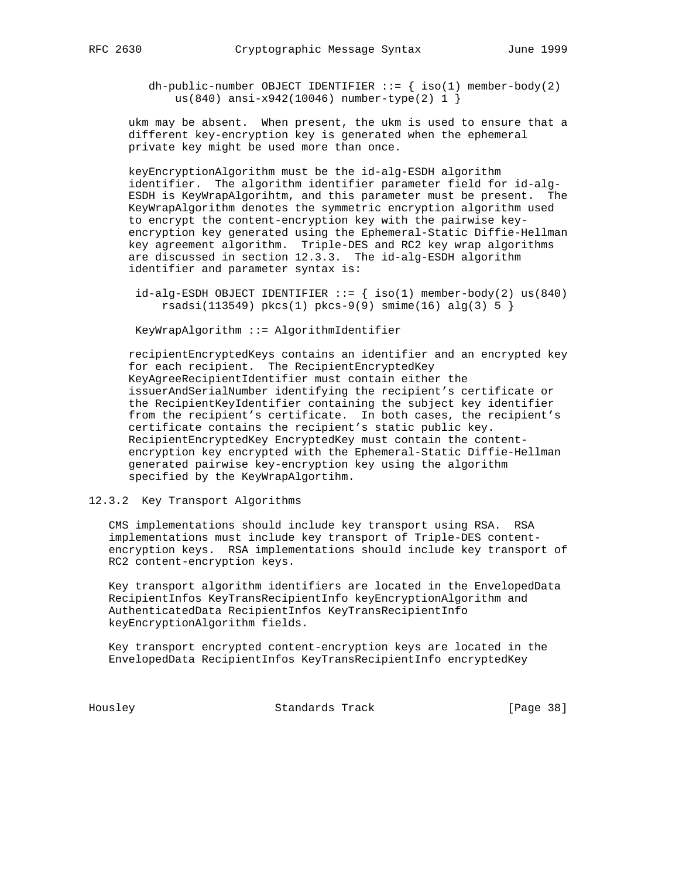dh-public-number OBJECT IDENTIFIER  $::=$  { iso(1) member-body(2) us(840) ansi-x942(10046) number-type(2) 1 }

 ukm may be absent. When present, the ukm is used to ensure that a different key-encryption key is generated when the ephemeral private key might be used more than once.

 keyEncryptionAlgorithm must be the id-alg-ESDH algorithm identifier. The algorithm identifier parameter field for id-alg- ESDH is KeyWrapAlgorihtm, and this parameter must be present. The KeyWrapAlgorithm denotes the symmetric encryption algorithm used to encrypt the content-encryption key with the pairwise key encryption key generated using the Ephemeral-Static Diffie-Hellman key agreement algorithm. Triple-DES and RC2 key wrap algorithms are discussed in section 12.3.3. The id-alg-ESDH algorithm identifier and parameter syntax is:

 $id-alg-ESDH$  OBJECT IDENTIFIER  $::=$   ${ | iso(1) \text{ member-body}(2) \text{ us}(840) }$  $rsadsi(113549)$   $pkcs(1)$   $pkcs-9(9)$   $smine(16)$   $alg(3)$   $5$   $\}$ 

KeyWrapAlgorithm ::= AlgorithmIdentifier

 recipientEncryptedKeys contains an identifier and an encrypted key for each recipient. The RecipientEncryptedKey KeyAgreeRecipientIdentifier must contain either the issuerAndSerialNumber identifying the recipient's certificate or the RecipientKeyIdentifier containing the subject key identifier from the recipient's certificate. In both cases, the recipient's certificate contains the recipient's static public key. RecipientEncryptedKey EncryptedKey must contain the content encryption key encrypted with the Ephemeral-Static Diffie-Hellman generated pairwise key-encryption key using the algorithm specified by the KeyWrapAlgortihm.

### 12.3.2 Key Transport Algorithms

 CMS implementations should include key transport using RSA. RSA implementations must include key transport of Triple-DES content encryption keys. RSA implementations should include key transport of RC2 content-encryption keys.

 Key transport algorithm identifiers are located in the EnvelopedData RecipientInfos KeyTransRecipientInfo keyEncryptionAlgorithm and AuthenticatedData RecipientInfos KeyTransRecipientInfo keyEncryptionAlgorithm fields.

 Key transport encrypted content-encryption keys are located in the EnvelopedData RecipientInfos KeyTransRecipientInfo encryptedKey

Housley Standards Track [Page 38]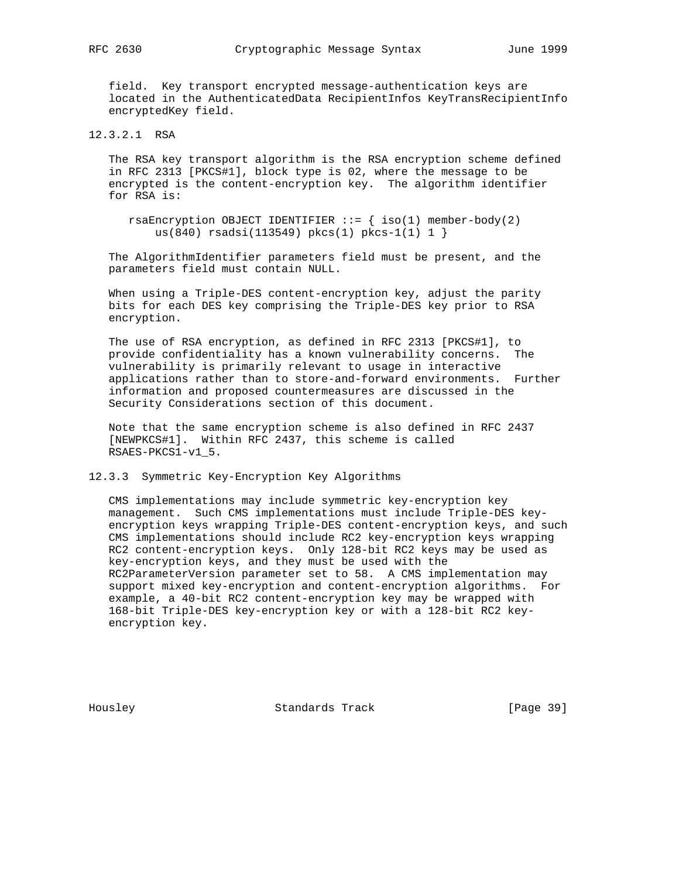field. Key transport encrypted message-authentication keys are located in the AuthenticatedData RecipientInfos KeyTransRecipientInfo encryptedKey field.

12.3.2.1 RSA

 The RSA key transport algorithm is the RSA encryption scheme defined in RFC 2313 [PKCS#1], block type is 02, where the message to be encrypted is the content-encryption key. The algorithm identifier for RSA is:

rsaEncryption OBJECT IDENTIFIER  $::=$  { iso(1) member-body(2) us(840) rsadsi(113549) pkcs(1) pkcs-1(1) 1 }

 The AlgorithmIdentifier parameters field must be present, and the parameters field must contain NULL.

 When using a Triple-DES content-encryption key, adjust the parity bits for each DES key comprising the Triple-DES key prior to RSA encryption.

 The use of RSA encryption, as defined in RFC 2313 [PKCS#1], to provide confidentiality has a known vulnerability concerns. The vulnerability is primarily relevant to usage in interactive applications rather than to store-and-forward environments. Further information and proposed countermeasures are discussed in the Security Considerations section of this document.

 Note that the same encryption scheme is also defined in RFC 2437 [NEWPKCS#1]. Within RFC 2437, this scheme is called RSAES-PKCS1-v1\_5.

12.3.3 Symmetric Key-Encryption Key Algorithms

 CMS implementations may include symmetric key-encryption key management. Such CMS implementations must include Triple-DES key encryption keys wrapping Triple-DES content-encryption keys, and such CMS implementations should include RC2 key-encryption keys wrapping RC2 content-encryption keys. Only 128-bit RC2 keys may be used as key-encryption keys, and they must be used with the RC2ParameterVersion parameter set to 58. A CMS implementation may support mixed key-encryption and content-encryption algorithms. For example, a 40-bit RC2 content-encryption key may be wrapped with 168-bit Triple-DES key-encryption key or with a 128-bit RC2 key encryption key.

Housley Standards Track [Page 39]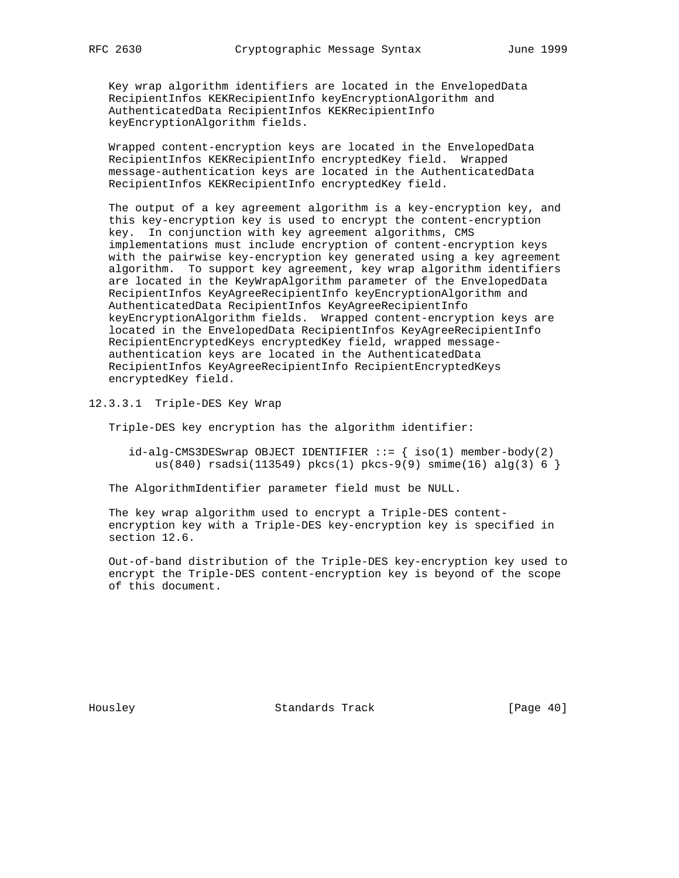Key wrap algorithm identifiers are located in the EnvelopedData RecipientInfos KEKRecipientInfo keyEncryptionAlgorithm and AuthenticatedData RecipientInfos KEKRecipientInfo keyEncryptionAlgorithm fields.

 Wrapped content-encryption keys are located in the EnvelopedData RecipientInfos KEKRecipientInfo encryptedKey field. Wrapped message-authentication keys are located in the AuthenticatedData RecipientInfos KEKRecipientInfo encryptedKey field.

 The output of a key agreement algorithm is a key-encryption key, and this key-encryption key is used to encrypt the content-encryption key. In conjunction with key agreement algorithms, CMS implementations must include encryption of content-encryption keys with the pairwise key-encryption key generated using a key agreement algorithm. To support key agreement, key wrap algorithm identifiers are located in the KeyWrapAlgorithm parameter of the EnvelopedData RecipientInfos KeyAgreeRecipientInfo keyEncryptionAlgorithm and AuthenticatedData RecipientInfos KeyAgreeRecipientInfo keyEncryptionAlgorithm fields. Wrapped content-encryption keys are located in the EnvelopedData RecipientInfos KeyAgreeRecipientInfo RecipientEncryptedKeys encryptedKey field, wrapped message authentication keys are located in the AuthenticatedData RecipientInfos KeyAgreeRecipientInfo RecipientEncryptedKeys encryptedKey field.

12.3.3.1 Triple-DES Key Wrap

Triple-DES key encryption has the algorithm identifier:

 $id-alg-CMS3DESwrap$  OBJECT IDENTIFIER  $::=$  {  $iso(1)$  member-body(2) us(840) rsadsi(113549) pkcs(1) pkcs-9(9) smime(16) alg(3) 6 }

The AlgorithmIdentifier parameter field must be NULL.

 The key wrap algorithm used to encrypt a Triple-DES content encryption key with a Triple-DES key-encryption key is specified in section 12.6.

 Out-of-band distribution of the Triple-DES key-encryption key used to encrypt the Triple-DES content-encryption key is beyond of the scope of this document.

Housley Standards Track [Page 40]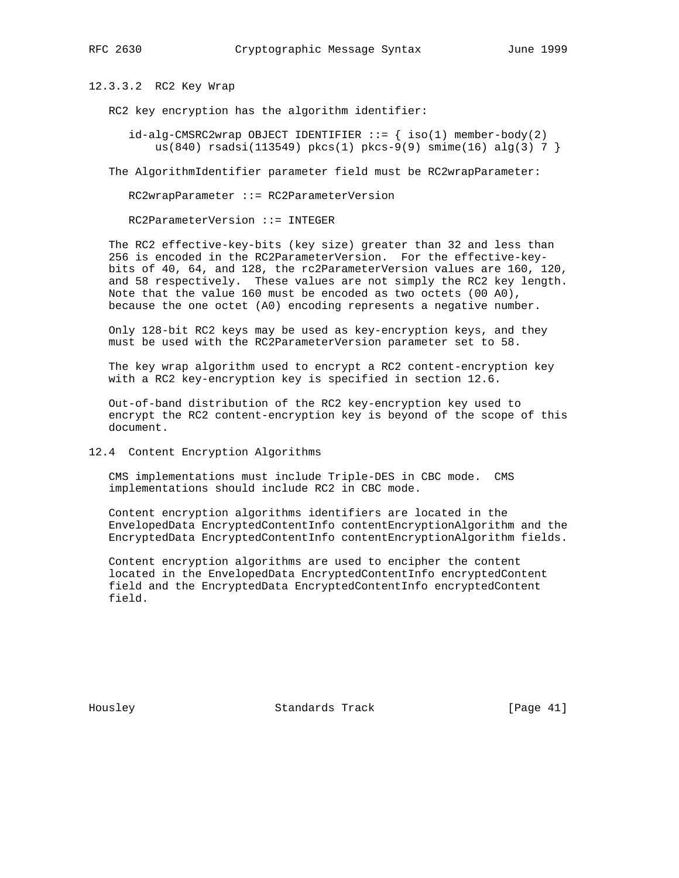12.3.3.2 RC2 Key Wrap

RC2 key encryption has the algorithm identifier:

 $id$ -alg-CMSRC2wrap OBJECT IDENTIFIER  $::= \{ iso(1)$  member-body(2) us(840) rsadsi(113549) pkcs(1) pkcs-9(9) smime(16) alg(3) 7 }

The AlgorithmIdentifier parameter field must be RC2wrapParameter:

RC2wrapParameter ::= RC2ParameterVersion

RC2ParameterVersion ::= INTEGER

 The RC2 effective-key-bits (key size) greater than 32 and less than 256 is encoded in the RC2ParameterVersion. For the effective-key bits of 40, 64, and 128, the rc2ParameterVersion values are 160, 120, and 58 respectively. These values are not simply the RC2 key length. Note that the value 160 must be encoded as two octets (00 A0), because the one octet (A0) encoding represents a negative number.

 Only 128-bit RC2 keys may be used as key-encryption keys, and they must be used with the RC2ParameterVersion parameter set to 58.

 The key wrap algorithm used to encrypt a RC2 content-encryption key with a RC2 key-encryption key is specified in section 12.6.

 Out-of-band distribution of the RC2 key-encryption key used to encrypt the RC2 content-encryption key is beyond of the scope of this document.

## 12.4 Content Encryption Algorithms

 CMS implementations must include Triple-DES in CBC mode. CMS implementations should include RC2 in CBC mode.

 Content encryption algorithms identifiers are located in the EnvelopedData EncryptedContentInfo contentEncryptionAlgorithm and the EncryptedData EncryptedContentInfo contentEncryptionAlgorithm fields.

 Content encryption algorithms are used to encipher the content located in the EnvelopedData EncryptedContentInfo encryptedContent field and the EncryptedData EncryptedContentInfo encryptedContent field.

Housley Standards Track [Page 41]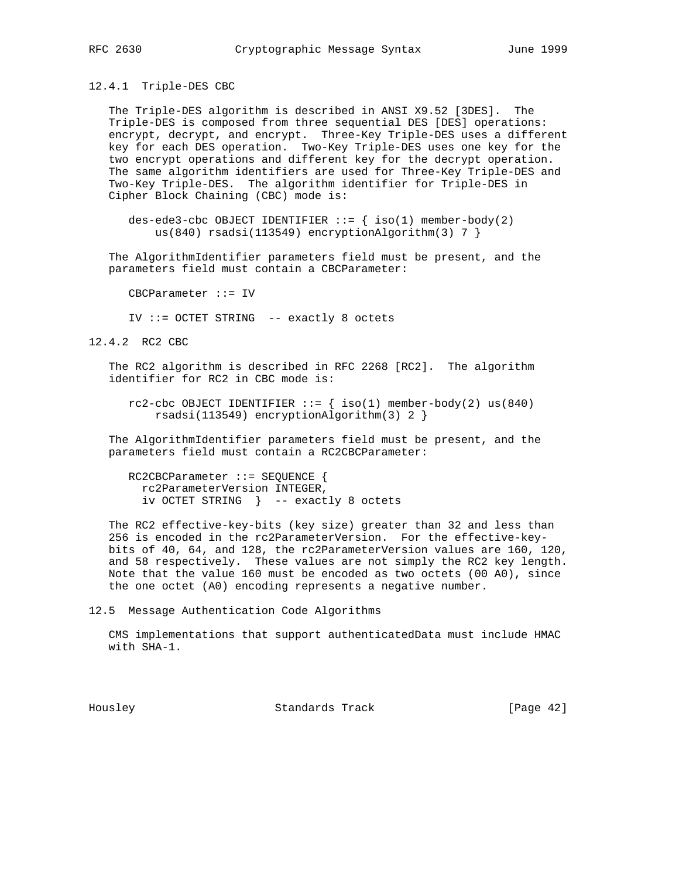12.4.1 Triple-DES CBC

 The Triple-DES algorithm is described in ANSI X9.52 [3DES]. The Triple-DES is composed from three sequential DES [DES] operations: encrypt, decrypt, and encrypt. Three-Key Triple-DES uses a different key for each DES operation. Two-Key Triple-DES uses one key for the two encrypt operations and different key for the decrypt operation. The same algorithm identifiers are used for Three-Key Triple-DES and Two-Key Triple-DES. The algorithm identifier for Triple-DES in Cipher Block Chaining (CBC) mode is:

des-ede3-cbc OBJECT IDENTIFIER  $::=$  { iso(1) member-body(2) us(840) rsadsi(113549) encryptionAlgorithm(3) 7 }

 The AlgorithmIdentifier parameters field must be present, and the parameters field must contain a CBCParameter:

CBCParameter ::= IV

IV ::= OCTET STRING -- exactly 8 octets

12.4.2 RC2 CBC

 The RC2 algorithm is described in RFC 2268 [RC2]. The algorithm identifier for RC2 in CBC mode is:

 $rc2$ -cbc OBJECT IDENTIFIER  $::=$  {  $iso(1)$  member-body(2) us(840) rsadsi(113549) encryptionAlgorithm(3) 2 }

 The AlgorithmIdentifier parameters field must be present, and the parameters field must contain a RC2CBCParameter:

 RC2CBCParameter ::= SEQUENCE { rc2ParameterVersion INTEGER, iv OCTET STRING } -- exactly 8 octets

 The RC2 effective-key-bits (key size) greater than 32 and less than 256 is encoded in the rc2ParameterVersion. For the effective-key bits of 40, 64, and 128, the rc2ParameterVersion values are 160, 120, and 58 respectively. These values are not simply the RC2 key length. Note that the value 160 must be encoded as two octets (00 A0), since the one octet (A0) encoding represents a negative number.

12.5 Message Authentication Code Algorithms

 CMS implementations that support authenticatedData must include HMAC with SHA-1.

Housley Standards Track [Page 42]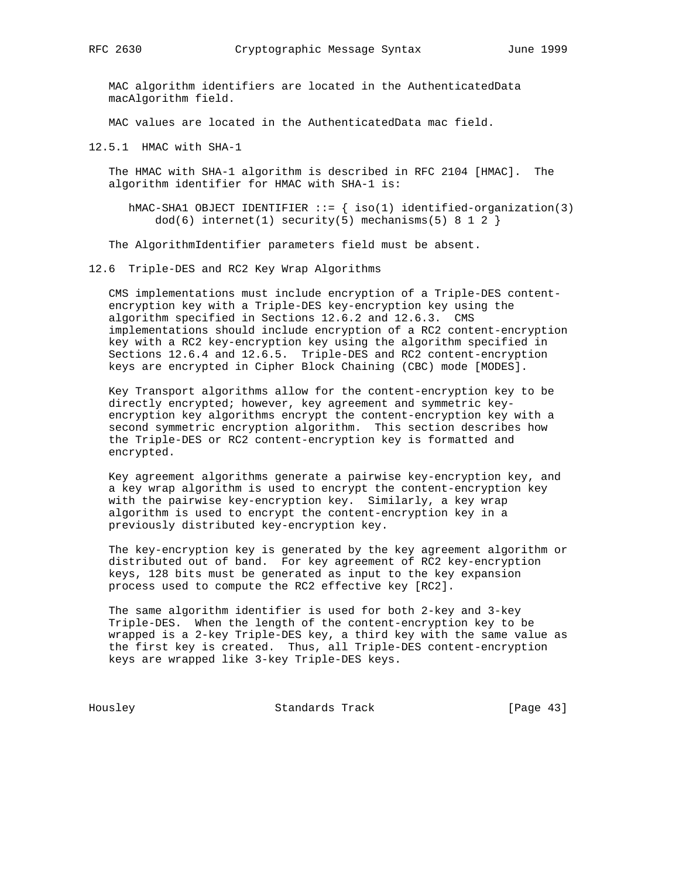MAC algorithm identifiers are located in the AuthenticatedData macAlgorithm field.

MAC values are located in the AuthenticatedData mac field.

12.5.1 HMAC with SHA-1

 The HMAC with SHA-1 algorithm is described in RFC 2104 [HMAC]. The algorithm identifier for HMAC with SHA-1 is:

hMAC-SHA1 OBJECT IDENTIFIER  $::=$  { iso(1) identified-organization(3)  $dod(6)$  internet(1) security(5) mechanisms(5) 8 1 2 }

The AlgorithmIdentifier parameters field must be absent.

12.6 Triple-DES and RC2 Key Wrap Algorithms

 CMS implementations must include encryption of a Triple-DES content encryption key with a Triple-DES key-encryption key using the algorithm specified in Sections 12.6.2 and 12.6.3. CMS implementations should include encryption of a RC2 content-encryption key with a RC2 key-encryption key using the algorithm specified in Sections 12.6.4 and 12.6.5. Triple-DES and RC2 content-encryption keys are encrypted in Cipher Block Chaining (CBC) mode [MODES].

 Key Transport algorithms allow for the content-encryption key to be directly encrypted; however, key agreement and symmetric key encryption key algorithms encrypt the content-encryption key with a second symmetric encryption algorithm. This section describes how the Triple-DES or RC2 content-encryption key is formatted and encrypted.

 Key agreement algorithms generate a pairwise key-encryption key, and a key wrap algorithm is used to encrypt the content-encryption key with the pairwise key-encryption key. Similarly, a key wrap algorithm is used to encrypt the content-encryption key in a previously distributed key-encryption key.

 The key-encryption key is generated by the key agreement algorithm or distributed out of band. For key agreement of RC2 key-encryption keys, 128 bits must be generated as input to the key expansion process used to compute the RC2 effective key [RC2].

 The same algorithm identifier is used for both 2-key and 3-key Triple-DES. When the length of the content-encryption key to be wrapped is a 2-key Triple-DES key, a third key with the same value as the first key is created. Thus, all Triple-DES content-encryption keys are wrapped like 3-key Triple-DES keys.

Housley Standards Track [Page 43]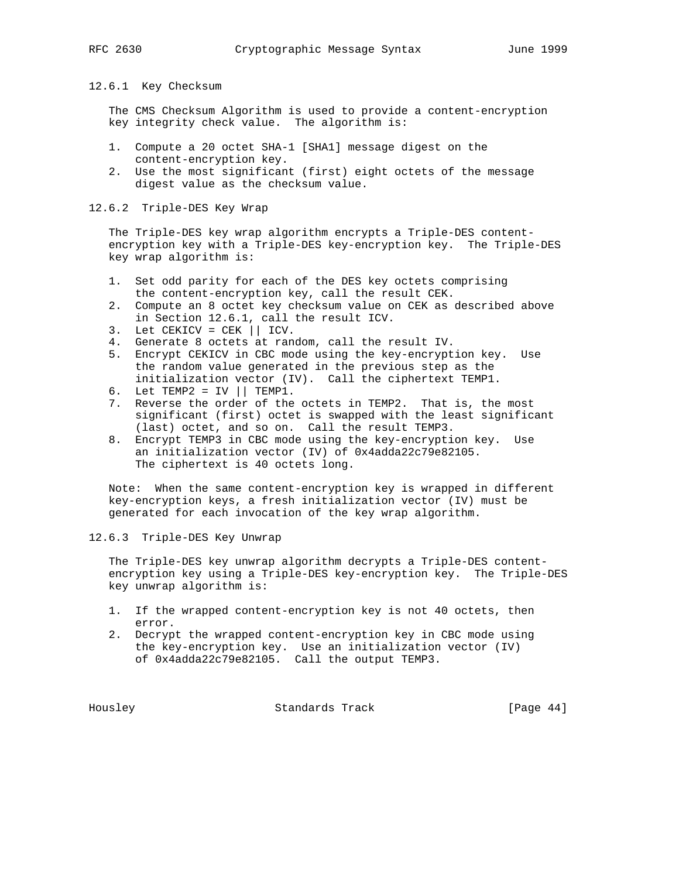12.6.1 Key Checksum

 The CMS Checksum Algorithm is used to provide a content-encryption key integrity check value. The algorithm is:

- 1. Compute a 20 octet SHA-1 [SHA1] message digest on the content-encryption key.
- 2. Use the most significant (first) eight octets of the message digest value as the checksum value.

## 12.6.2 Triple-DES Key Wrap

 The Triple-DES key wrap algorithm encrypts a Triple-DES content encryption key with a Triple-DES key-encryption key. The Triple-DES key wrap algorithm is:

- 1. Set odd parity for each of the DES key octets comprising the content-encryption key, call the result CEK.
- 2. Compute an 8 octet key checksum value on CEK as described above in Section 12.6.1, call the result ICV.
- 3. Let CEKICV = CEK || ICV.
- 4. Generate 8 octets at random, call the result IV.
- 5. Encrypt CEKICV in CBC mode using the key-encryption key. Use the random value generated in the previous step as the initialization vector (IV). Call the ciphertext TEMP1.
- $6.$  Let TEMP $2 = IV \mid$  TEMP $1.$
- 7. Reverse the order of the octets in TEMP2. That is, the most significant (first) octet is swapped with the least significant (last) octet, and so on. Call the result TEMP3.
	- 8. Encrypt TEMP3 in CBC mode using the key-encryption key. Use an initialization vector (IV) of 0x4adda22c79e82105. The ciphertext is 40 octets long.

 Note: When the same content-encryption key is wrapped in different key-encryption keys, a fresh initialization vector (IV) must be generated for each invocation of the key wrap algorithm.

12.6.3 Triple-DES Key Unwrap

 The Triple-DES key unwrap algorithm decrypts a Triple-DES content encryption key using a Triple-DES key-encryption key. The Triple-DES key unwrap algorithm is:

- 1. If the wrapped content-encryption key is not 40 octets, then error.
- 2. Decrypt the wrapped content-encryption key in CBC mode using the key-encryption key. Use an initialization vector (IV) of 0x4adda22c79e82105. Call the output TEMP3.

Housley Standards Track [Page 44]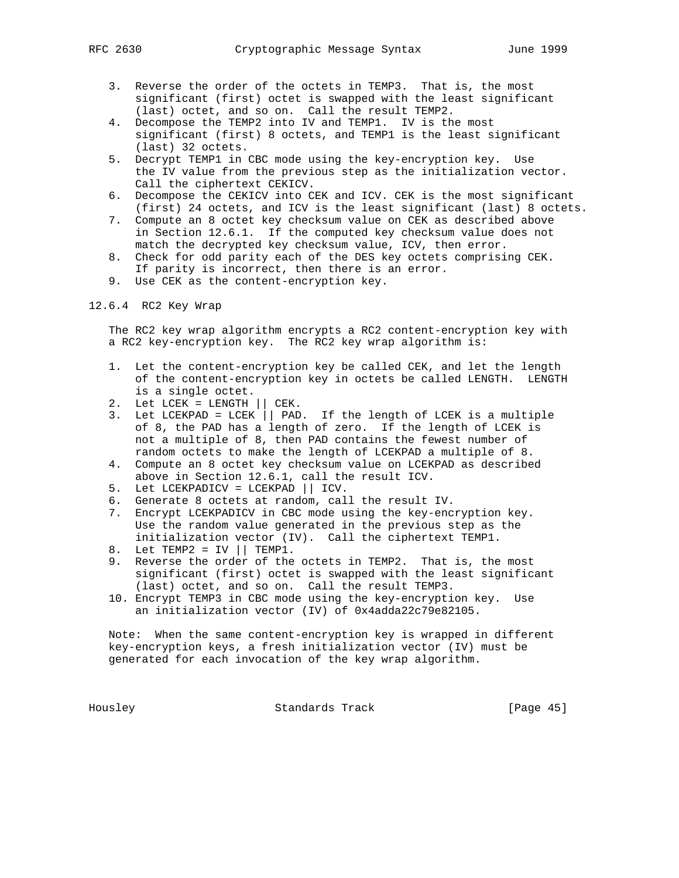- 3. Reverse the order of the octets in TEMP3. That is, the most significant (first) octet is swapped with the least significant (last) octet, and so on. Call the result TEMP2.
- 4. Decompose the TEMP2 into IV and TEMP1. IV is the most significant (first) 8 octets, and TEMP1 is the least significant (last) 32 octets.
- 5. Decrypt TEMP1 in CBC mode using the key-encryption key. Use the IV value from the previous step as the initialization vector. Call the ciphertext CEKICV.
- 6. Decompose the CEKICV into CEK and ICV. CEK is the most significant (first) 24 octets, and ICV is the least significant (last) 8 octets.
- 7. Compute an 8 octet key checksum value on CEK as described above in Section 12.6.1. If the computed key checksum value does not match the decrypted key checksum value, ICV, then error.
- 8. Check for odd parity each of the DES key octets comprising CEK. If parity is incorrect, then there is an error.
- 9. Use CEK as the content-encryption key.

12.6.4 RC2 Key Wrap

 The RC2 key wrap algorithm encrypts a RC2 content-encryption key with a RC2 key-encryption key. The RC2 key wrap algorithm is:

- 1. Let the content-encryption key be called CEK, and let the length of the content-encryption key in octets be called LENGTH. LENGTH is a single octet.
- 2. Let  $LCEK = LENGTH$  | CEK.
- 3. Let LCEKPAD = LCEK || PAD. If the length of LCEK is a multiple of 8, the PAD has a length of zero. If the length of LCEK is not a multiple of 8, then PAD contains the fewest number of random octets to make the length of LCEKPAD a multiple of 8.
- 4. Compute an 8 octet key checksum value on LCEKPAD as described above in Section 12.6.1, call the result ICV.
- 5. Let LCEKPADICV = LCEKPAD || ICV.
- 6. Generate 8 octets at random, call the result IV.
- 7. Encrypt LCEKPADICV in CBC mode using the key-encryption key. Use the random value generated in the previous step as the initialization vector (IV). Call the ciphertext TEMP1.
- 8. Let  $TEMP2 = IV || TEMP1.$
- 9. Reverse the order of the octets in TEMP2. That is, the most significant (first) octet is swapped with the least significant (last) octet, and so on. Call the result TEMP3.
- 10. Encrypt TEMP3 in CBC mode using the key-encryption key. Use an initialization vector (IV) of 0x4adda22c79e82105.

 Note: When the same content-encryption key is wrapped in different key-encryption keys, a fresh initialization vector (IV) must be generated for each invocation of the key wrap algorithm.

Housley Standards Track [Page 45]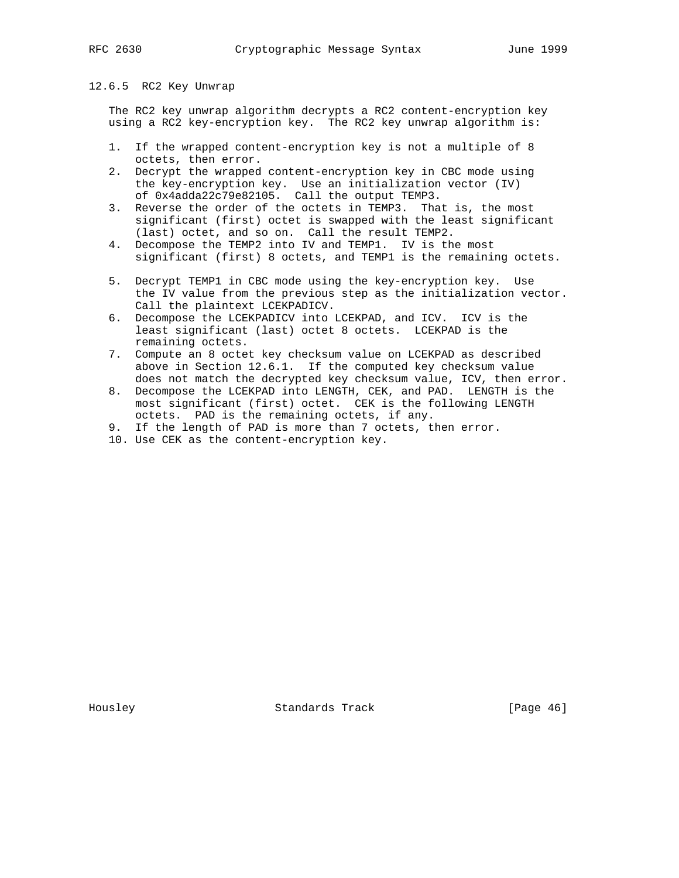## 12.6.5 RC2 Key Unwrap

 The RC2 key unwrap algorithm decrypts a RC2 content-encryption key using a RC2 key-encryption key. The RC2 key unwrap algorithm is:

- 1. If the wrapped content-encryption key is not a multiple of 8 octets, then error.
- 2. Decrypt the wrapped content-encryption key in CBC mode using the key-encryption key. Use an initialization vector (IV) of 0x4adda22c79e82105. Call the output TEMP3.
- 3. Reverse the order of the octets in TEMP3. That is, the most significant (first) octet is swapped with the least significant (last) octet, and so on. Call the result TEMP2.
- 4. Decompose the TEMP2 into IV and TEMP1. IV is the most significant (first) 8 octets, and TEMP1 is the remaining octets.
- 5. Decrypt TEMP1 in CBC mode using the key-encryption key. Use the IV value from the previous step as the initialization vector. Call the plaintext LCEKPADICV.
- 6. Decompose the LCEKPADICV into LCEKPAD, and ICV. ICV is the least significant (last) octet 8 octets. LCEKPAD is the remaining octets.
- 7. Compute an 8 octet key checksum value on LCEKPAD as described above in Section 12.6.1. If the computed key checksum value does not match the decrypted key checksum value, ICV, then error.
- 8. Decompose the LCEKPAD into LENGTH, CEK, and PAD. LENGTH is the most significant (first) octet. CEK is the following LENGTH octets. PAD is the remaining octets, if any.
- 9. If the length of PAD is more than 7 octets, then error.
- 10. Use CEK as the content-encryption key.

Housley Standards Track [Page 46]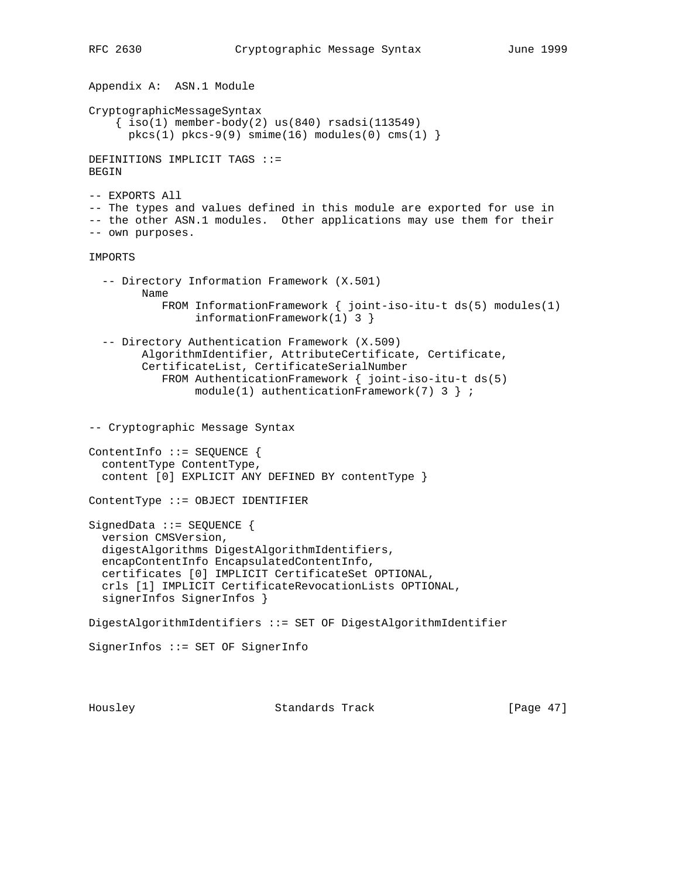```
Appendix A: ASN.1 Module
CryptographicMessageSyntax
    \{ iso(1) member-body(2) us(840) rsadsi(113549)pkcs(1) pkcs-9(9) simime(16) modules(0) cms(1)DEFINITIONS IMPLICIT TAGS ::=
BEGIN
-- EXPORTS All
-- The types and values defined in this module are exported for use in
-- the other ASN.1 modules. Other applications may use them for their
-- own purposes.
IMPORTS
   -- Directory Information Framework (X.501)
         Name
            FROM InformationFramework { joint-iso-itu-t ds(5) modules(1)
                 informationFramework(1) 3 }
   -- Directory Authentication Framework (X.509)
         AlgorithmIdentifier, AttributeCertificate, Certificate,
         CertificateList, CertificateSerialNumber
            FROM AuthenticationFramework { joint-iso-itu-t ds(5)
                model(1) authenticationFramework(7) 3 } ;
-- Cryptographic Message Syntax
ContentInfo ::= SEQUENCE {
   contentType ContentType,
   content [0] EXPLICIT ANY DEFINED BY contentType }
ContentType ::= OBJECT IDENTIFIER
SignedData ::= SEQUENCE {
   version CMSVersion,
   digestAlgorithms DigestAlgorithmIdentifiers,
   encapContentInfo EncapsulatedContentInfo,
   certificates [0] IMPLICIT CertificateSet OPTIONAL,
   crls [1] IMPLICIT CertificateRevocationLists OPTIONAL,
   signerInfos SignerInfos }
DigestAlgorithmIdentifiers ::= SET OF DigestAlgorithmIdentifier
SignerInfos ::= SET OF SignerInfo
```
Housley Standards Track [Page 47]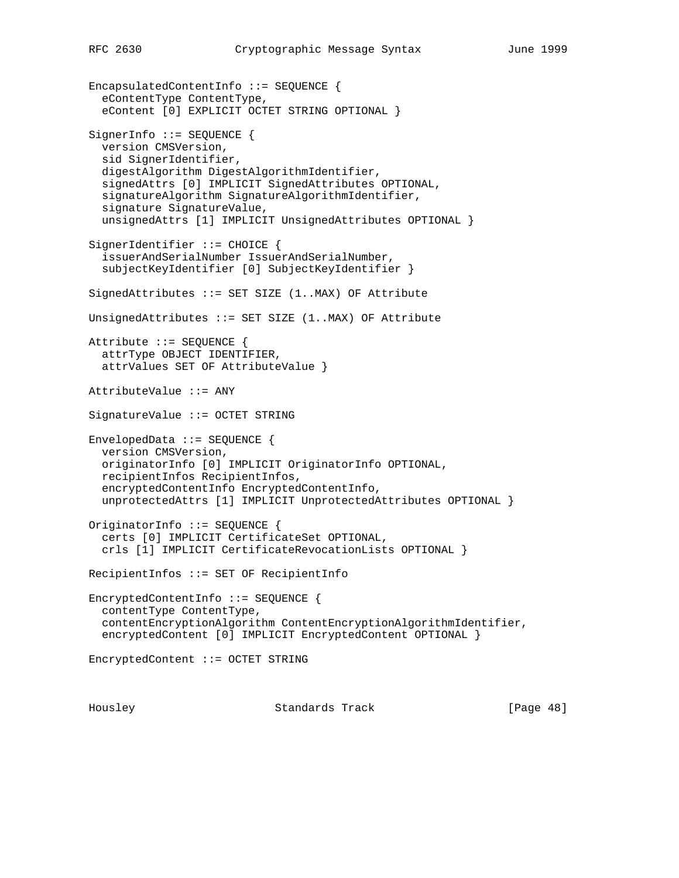EncapsulatedContentInfo ::= SEQUENCE { eContentType ContentType, eContent [0] EXPLICIT OCTET STRING OPTIONAL } SignerInfo ::= SEQUENCE { version CMSVersion, sid SignerIdentifier, digestAlgorithm DigestAlgorithmIdentifier, signedAttrs [0] IMPLICIT SignedAttributes OPTIONAL, signatureAlgorithm SignatureAlgorithmIdentifier, signature SignatureValue, unsignedAttrs [1] IMPLICIT UnsignedAttributes OPTIONAL } SignerIdentifier ::= CHOICE { issuerAndSerialNumber IssuerAndSerialNumber, subjectKeyIdentifier [0] SubjectKeyIdentifier } SignedAttributes ::= SET SIZE (1..MAX) OF Attribute UnsignedAttributes ::= SET SIZE (1..MAX) OF Attribute Attribute ::= SEQUENCE { attrType OBJECT IDENTIFIER, attrValues SET OF AttributeValue } AttributeValue ::= ANY SignatureValue ::= OCTET STRING EnvelopedData ::= SEQUENCE { version CMSVersion, originatorInfo [0] IMPLICIT OriginatorInfo OPTIONAL, recipientInfos RecipientInfos, encryptedContentInfo EncryptedContentInfo, unprotectedAttrs [1] IMPLICIT UnprotectedAttributes OPTIONAL } OriginatorInfo ::= SEQUENCE { certs [0] IMPLICIT CertificateSet OPTIONAL, crls [1] IMPLICIT CertificateRevocationLists OPTIONAL } RecipientInfos ::= SET OF RecipientInfo EncryptedContentInfo ::= SEQUENCE { contentType ContentType, contentEncryptionAlgorithm ContentEncryptionAlgorithmIdentifier, encryptedContent [0] IMPLICIT EncryptedContent OPTIONAL } EncryptedContent ::= OCTET STRING

Housley Standards Track [Page 48]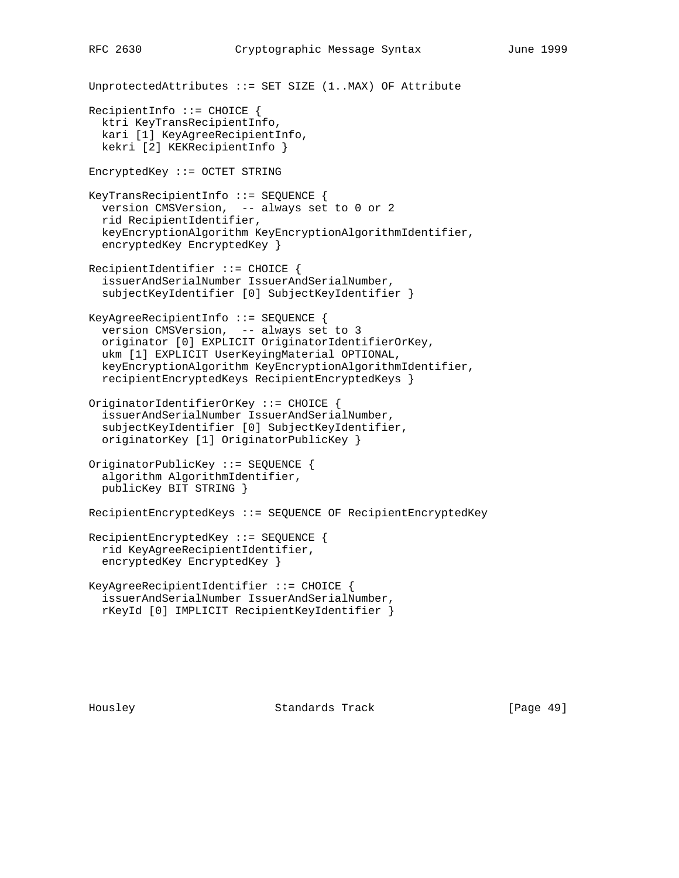```
UnprotectedAttributes ::= SET SIZE (1..MAX) OF Attribute
RecipientInfo ::= CHOICE {
  ktri KeyTransRecipientInfo,
   kari [1] KeyAgreeRecipientInfo,
  kekri [2] KEKRecipientInfo }
EncryptedKey ::= OCTET STRING
KeyTransRecipientInfo ::= SEQUENCE {
  version CMSVersion, -- always set to 0 or 2
  rid RecipientIdentifier,
  keyEncryptionAlgorithm KeyEncryptionAlgorithmIdentifier,
   encryptedKey EncryptedKey }
RecipientIdentifier ::= CHOICE {
   issuerAndSerialNumber IssuerAndSerialNumber,
   subjectKeyIdentifier [0] SubjectKeyIdentifier }
KeyAgreeRecipientInfo ::= SEQUENCE {
  version CMSVersion, -- always set to 3
   originator [0] EXPLICIT OriginatorIdentifierOrKey,
  ukm [1] EXPLICIT UserKeyingMaterial OPTIONAL,
  keyEncryptionAlgorithm KeyEncryptionAlgorithmIdentifier,
  recipientEncryptedKeys RecipientEncryptedKeys }
OriginatorIdentifierOrKey ::= CHOICE {
   issuerAndSerialNumber IssuerAndSerialNumber,
   subjectKeyIdentifier [0] SubjectKeyIdentifier,
   originatorKey [1] OriginatorPublicKey }
OriginatorPublicKey ::= SEQUENCE {
   algorithm AlgorithmIdentifier,
   publicKey BIT STRING }
RecipientEncryptedKeys ::= SEQUENCE OF RecipientEncryptedKey
RecipientEncryptedKey ::= SEQUENCE {
   rid KeyAgreeRecipientIdentifier,
   encryptedKey EncryptedKey }
KeyAgreeRecipientIdentifier ::= CHOICE {
   issuerAndSerialNumber IssuerAndSerialNumber,
   rKeyId [0] IMPLICIT RecipientKeyIdentifier }
```
Housley Standards Track [Page 49]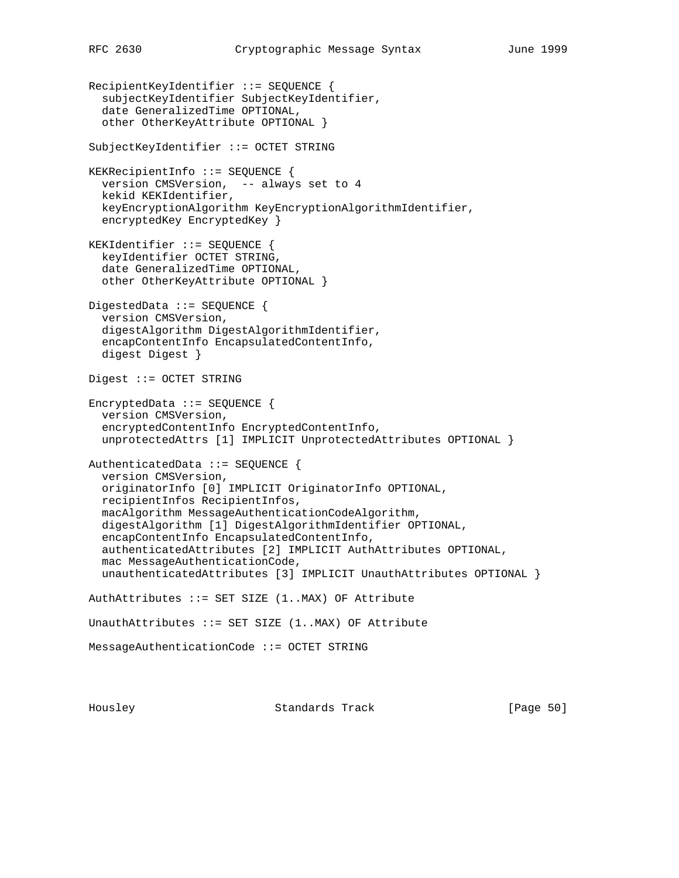RecipientKeyIdentifier ::= SEQUENCE { subjectKeyIdentifier SubjectKeyIdentifier, date GeneralizedTime OPTIONAL, other OtherKeyAttribute OPTIONAL } SubjectKeyIdentifier ::= OCTET STRING KEKRecipientInfo ::= SEQUENCE { version CMSVersion, -- always set to 4 kekid KEKIdentifier, keyEncryptionAlgorithm KeyEncryptionAlgorithmIdentifier, encryptedKey EncryptedKey } KEKIdentifier ::= SEQUENCE { keyIdentifier OCTET STRING, date GeneralizedTime OPTIONAL, other OtherKeyAttribute OPTIONAL } DigestedData ::= SEQUENCE { version CMSVersion, digestAlgorithm DigestAlgorithmIdentifier, encapContentInfo EncapsulatedContentInfo, digest Digest } Digest ::= OCTET STRING EncryptedData ::= SEQUENCE { version CMSVersion, encryptedContentInfo EncryptedContentInfo, unprotectedAttrs [1] IMPLICIT UnprotectedAttributes OPTIONAL } AuthenticatedData ::= SEQUENCE { version CMSVersion, originatorInfo [0] IMPLICIT OriginatorInfo OPTIONAL, recipientInfos RecipientInfos, macAlgorithm MessageAuthenticationCodeAlgorithm, digestAlgorithm [1] DigestAlgorithmIdentifier OPTIONAL, encapContentInfo EncapsulatedContentInfo, authenticatedAttributes [2] IMPLICIT AuthAttributes OPTIONAL, mac MessageAuthenticationCode, unauthenticatedAttributes [3] IMPLICIT UnauthAttributes OPTIONAL } AuthAttributes ::= SET SIZE (1..MAX) OF Attribute UnauthAttributes  $::=$  SET SIZE  $(1..$ MAX $)$  OF Attribute MessageAuthenticationCode ::= OCTET STRING

Housley Standards Track [Page 50]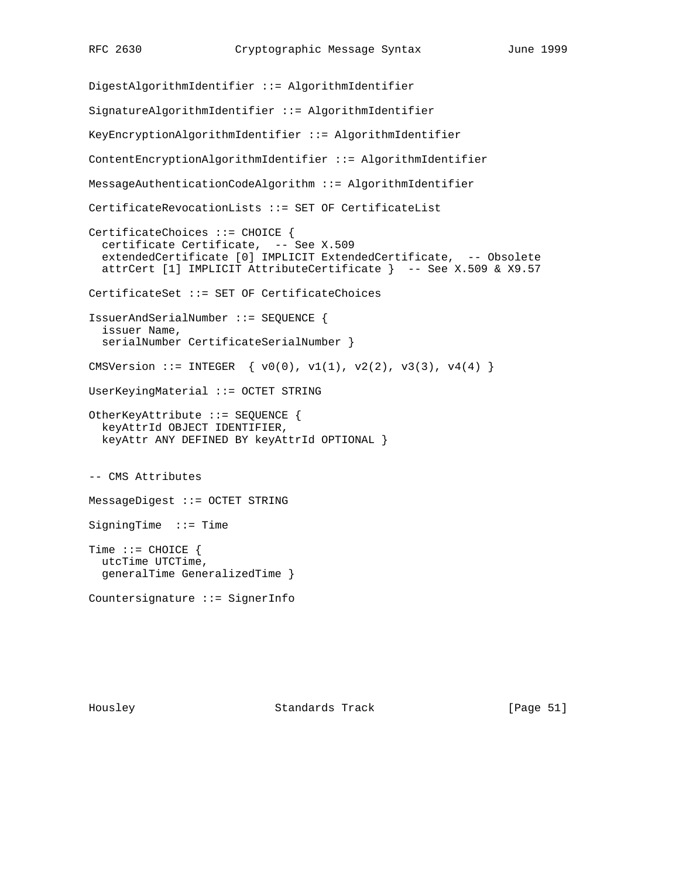DigestAlgorithmIdentifier ::= AlgorithmIdentifier SignatureAlgorithmIdentifier ::= AlgorithmIdentifier KeyEncryptionAlgorithmIdentifier ::= AlgorithmIdentifier ContentEncryptionAlgorithmIdentifier ::= AlgorithmIdentifier MessageAuthenticationCodeAlgorithm ::= AlgorithmIdentifier CertificateRevocationLists ::= SET OF CertificateList CertificateChoices ::= CHOICE { certificate Certificate, -- See X.509 extendedCertificate [0] IMPLICIT ExtendedCertificate, -- Obsolete attrCert [1] IMPLICIT AttributeCertificate } -- See X.509 & X9.57 CertificateSet ::= SET OF CertificateChoices IssuerAndSerialNumber ::= SEQUENCE { issuer Name, serialNumber CertificateSerialNumber } CMSVersion ::= INTEGER  $\{ v0(0), v1(1), v2(2), v3(3), v4(4) \}$ UserKeyingMaterial ::= OCTET STRING OtherKeyAttribute ::= SEQUENCE { keyAttrId OBJECT IDENTIFIER, keyAttr ANY DEFINED BY keyAttrId OPTIONAL } -- CMS Attributes MessageDigest ::= OCTET STRING SigningTime ::= Time Time ::= CHOICE { utcTime UTCTime, generalTime GeneralizedTime } Countersignature ::= SignerInfo

Housley Standards Track [Page 51]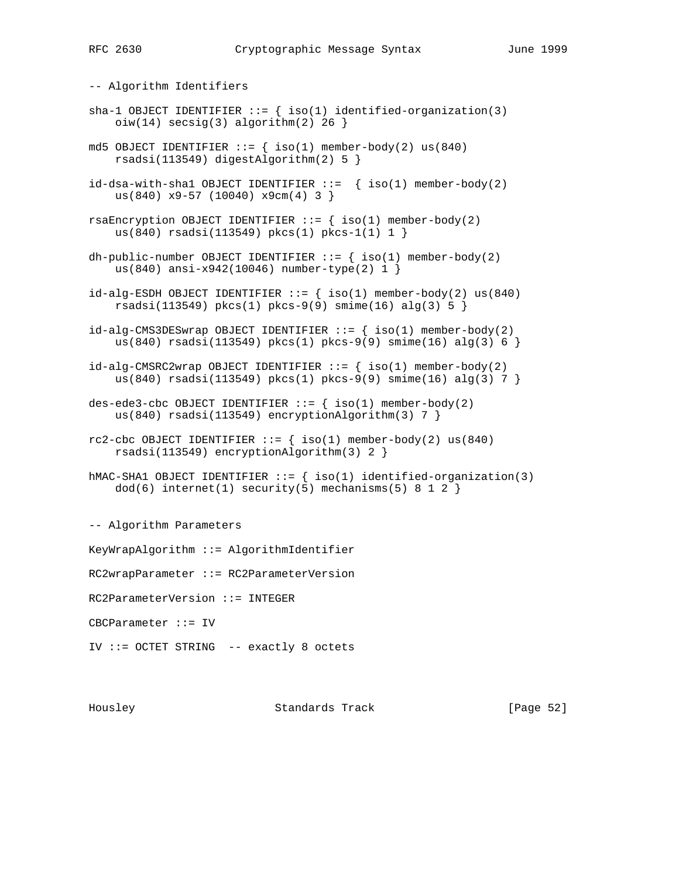-- Algorithm Identifiers sha-1 OBJECT IDENTIFIER  $::=$  { iso(1) identified-organization(3)  $oiw(14)$  secsig(3) algorithm(2) 26 } md5 OBJECT IDENTIFIER  $::=$  { iso(1) member-body(2) us(840) rsadsi(113549) digestAlgorithm(2) 5 }  $id-dsa-with-shell OBJECT IDENTIFIER ::= { iso(1) member-body(2) }$  us(840) x9-57 (10040) x9cm(4) 3 } rsaEncryption OBJECT IDENTIFIER  $::=$  { iso(1) member-body(2) us(840) rsadsi(113549) pkcs(1) pkcs-1(1) 1 } dh-public-number OBJECT IDENTIFIER  $::=$  { iso(1) member-body(2) us(840) ansi-x942(10046) number-type(2) 1 }  $id$ -alg-ESDH OBJECT IDENTIFIER  $::=$  { iso(1) member-body(2) us(840) rsadsi(113549) pkcs(1) pkcs-9(9) smime(16) alg(3) 5 }  $id$ -alg-CMS3DESwrap OBJECT IDENTIFIER  $::=$  {  $iso(1)$  member-body(2) us(840) rsadsi(113549) pkcs(1) pkcs-9(9) smime(16) alg(3) 6 }  $id$ -alg-CMSRC2wrap OBJECT IDENTIFIER ::=  $\{ iso(1)$  member-body(2) us(840) rsadsi(113549) pkcs(1) pkcs-9(9) smime(16) alg(3) 7 } des-ede3-cbc OBJECT IDENTIFIER  $::=$  { iso(1) member-body(2) us(840) rsadsi(113549) encryptionAlgorithm(3) 7 } rc2-cbc OBJECT IDENTIFIER  $::=$  { iso(1) member-body(2) us(840) rsadsi(113549) encryptionAlgorithm(3) 2 } hMAC-SHA1 OBJECT IDENTIFIER  $::=$  { iso(1) identified-organization(3)  $dod(6)$  internet(1) security(5) mechanisms(5) 8 1 2 } -- Algorithm Parameters KeyWrapAlgorithm ::= AlgorithmIdentifier RC2wrapParameter ::= RC2ParameterVersion RC2ParameterVersion ::= INTEGER CBCParameter ::= IV IV ::= OCTET STRING -- exactly 8 octets

Housley Standards Track [Page 52]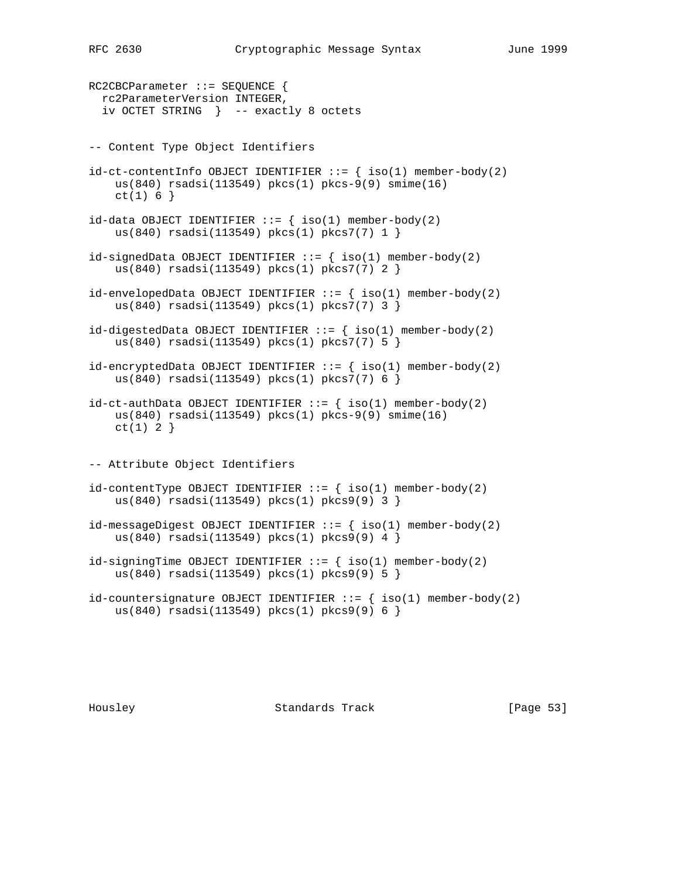RC2CBCParameter ::= SEQUENCE { rc2ParameterVersion INTEGER, iv OCTET STRING } -- exactly 8 octets -- Content Type Object Identifiers  $id-ct-contentInfo OBJECT IDENTIFYER ::= { iso(1) member-body(2) }$  us(840) rsadsi(113549) pkcs(1) pkcs-9(9) smime(16)  $ct(1) 6$ }  $id$ -data OBJECT IDENTIFIER ::= {  $iso(1)$  member-body(2) us(840) rsadsi(113549) pkcs(1) pkcs7(7) 1 }  $id-signedData OBJECT IDENTIFYIER :: = \{ iso(1) member-body(2)$  us(840) rsadsi(113549) pkcs(1) pkcs7(7) 2 }  $id$ -envelopedData OBJECT IDENTIFIER ::=  $\{ iso(1)$  member-body(2) us(840) rsadsi(113549) pkcs(1) pkcs7(7) 3 }  $id$ -digestedData OBJECT IDENTIFIER ::=  $\{ iso(1)$  member-body(2) us(840) rsadsi(113549) pkcs(1) pkcs7(7) 5 }  $id$ -encryptedData OBJECT IDENTIFIER  $::=$  {  $iso(1)$  member-body(2) us(840) rsadsi(113549) pkcs(1) pkcs7(7) 6 }  $id-ct-authData OBJECT IDENTIFYER ::= { iso(1) member-body(2) }$  us(840) rsadsi(113549) pkcs(1) pkcs-9(9) smime(16)  $ct(1) 2$ } -- Attribute Object Identifiers  $id$ -contentType OBJECT IDENTIFIER ::=  $\{ iso(1) member-body(2)$  us(840) rsadsi(113549) pkcs(1) pkcs9(9) 3 }  $id$ -messageDigest OBJECT IDENTIFIER  $::=$  {  $iso(1)$  member-body(2) us(840) rsadsi(113549) pkcs(1) pkcs9(9) 4 }  $id-signingTime$  OBJECT IDENTIFIER ::=  $\{ iso(1)$  member-body(2) us(840) rsadsi(113549) pkcs(1) pkcs9(9) 5 } id-countersignature OBJECT IDENTIFIER  $::=$  { iso(1) member-body(2) us(840) rsadsi(113549) pkcs(1) pkcs9(9) 6 }

Housley Standards Track [Page 53]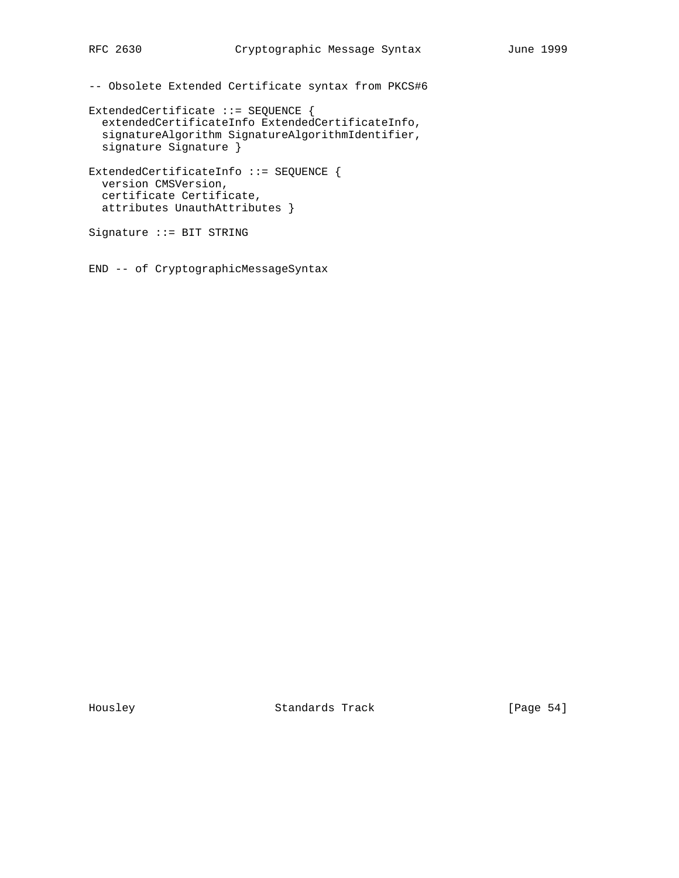-- Obsolete Extended Certificate syntax from PKCS#6

```
ExtendedCertificate ::= SEQUENCE {
  extendedCertificateInfo ExtendedCertificateInfo,
   signatureAlgorithm SignatureAlgorithmIdentifier,
  signature Signature }
ExtendedCertificateInfo ::= SEQUENCE {
```

```
 version CMSVersion,
 certificate Certificate,
 attributes UnauthAttributes }
```
Signature ::= BIT STRING

END -- of CryptographicMessageSyntax

Housley Standards Track [Page 54]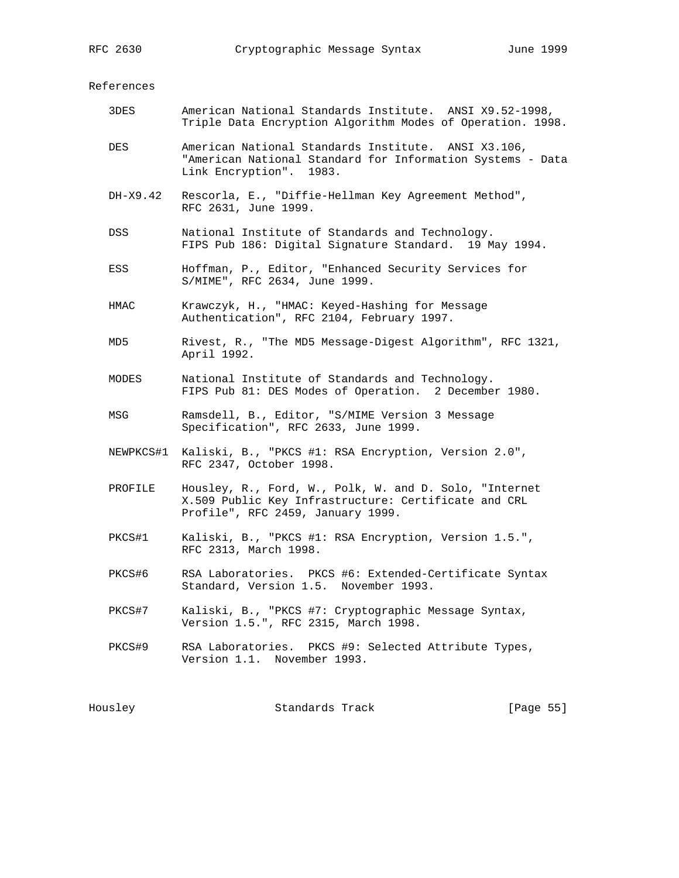References

| 3DES      | American National Standards Institute. ANSI X9.52-1998,<br>Triple Data Encryption Algorithm Modes of Operation. 1998.                               |  |
|-----------|-----------------------------------------------------------------------------------------------------------------------------------------------------|--|
| DES       | American National Standards Institute. ANSI X3.106,<br>"American National Standard for Information Systems - Data<br>Link Encryption". 1983.        |  |
| DH-X9.42  | Rescorla, E., "Diffie-Hellman Key Agreement Method",<br>RFC 2631, June 1999.                                                                        |  |
| DSS       | National Institute of Standards and Technology.<br>FIPS Pub 186: Digital Signature Standard. 19 May 1994.                                           |  |
| ESS       | Hoffman, P., Editor, "Enhanced Security Services for<br>S/MIME", RFC 2634, June 1999.                                                               |  |
| HMAC      | Krawczyk, H., "HMAC: Keyed-Hashing for Message<br>Authentication", RFC 2104, February 1997.                                                         |  |
| MD5       | Rivest, R., "The MD5 Message-Digest Algorithm", RFC 1321,<br>April 1992.                                                                            |  |
| MODES     | National Institute of Standards and Technology.<br>FIPS Pub 81: DES Modes of Operation. 2 December 1980.                                            |  |
| MSG       | Ramsdell, B., Editor, "S/MIME Version 3 Message<br>Specification", RFC 2633, June 1999.                                                             |  |
| NEWPKCS#1 | Kaliski, B., "PKCS #1: RSA Encryption, Version 2.0",<br>RFC 2347, October 1998.                                                                     |  |
| PROFILE   | Housley, R., Ford, W., Polk, W. and D. Solo, "Internet<br>X.509 Public Key Infrastructure: Certificate and CRL<br>Profile", RFC 2459, January 1999. |  |
| PKCS#1    | Kaliski, B., "PKCS #1: RSA Encryption, Version 1.5.",<br>RFC 2313, March 1998.                                                                      |  |
| PKCS#6    | RSA Laboratories. PKCS #6: Extended-Certificate Syntax<br>Standard, Version 1.5. November 1993.                                                     |  |
| PKCS#7    | Kaliski, B., "PKCS #7: Cryptographic Message Syntax,<br>Version 1.5.", RFC 2315, March 1998.                                                        |  |
| PKCS#9    | RSA Laboratories. PKCS #9: Selected Attribute Types,<br>Version 1.1. November 1993.                                                                 |  |
| Housley   | Standards Track<br>[Page 55]                                                                                                                        |  |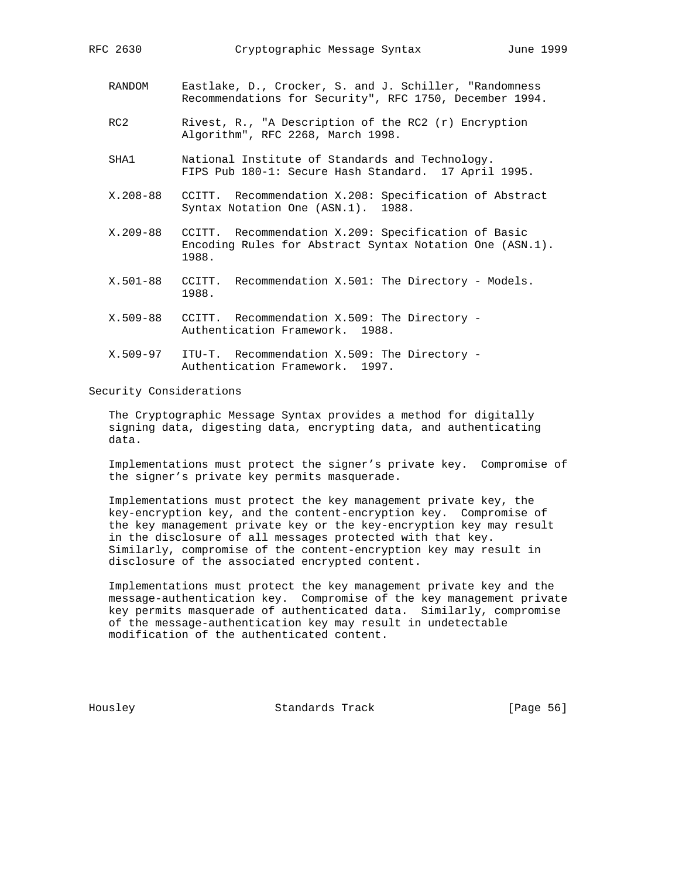- RANDOM Eastlake, D., Crocker, S. and J. Schiller, "Randomness Recommendations for Security", RFC 1750, December 1994.
- RC2 Rivest, R., "A Description of the RC2 (r) Encryption Algorithm", RFC 2268, March 1998.
- SHA1 National Institute of Standards and Technology. FIPS Pub 180-1: Secure Hash Standard. 17 April 1995.
- X.208-88 CCITT. Recommendation X.208: Specification of Abstract Syntax Notation One (ASN.1). 1988.
- X.209-88 CCITT. Recommendation X.209: Specification of Basic Encoding Rules for Abstract Syntax Notation One (ASN.1). 1988.
- X.501-88 CCITT. Recommendation X.501: The Directory Models. 1988.
- X.509-88 CCITT. Recommendation X.509: The Directory Authentication Framework. 1988.
- X.509-97 ITU-T. Recommendation X.509: The Directory Authentication Framework. 1997.

### Security Considerations

 The Cryptographic Message Syntax provides a method for digitally signing data, digesting data, encrypting data, and authenticating data.

 Implementations must protect the signer's private key. Compromise of the signer's private key permits masquerade.

 Implementations must protect the key management private key, the key-encryption key, and the content-encryption key. Compromise of the key management private key or the key-encryption key may result in the disclosure of all messages protected with that key. Similarly, compromise of the content-encryption key may result in disclosure of the associated encrypted content.

 Implementations must protect the key management private key and the message-authentication key. Compromise of the key management private key permits masquerade of authenticated data. Similarly, compromise of the message-authentication key may result in undetectable modification of the authenticated content.

Housley Standards Track [Page 56]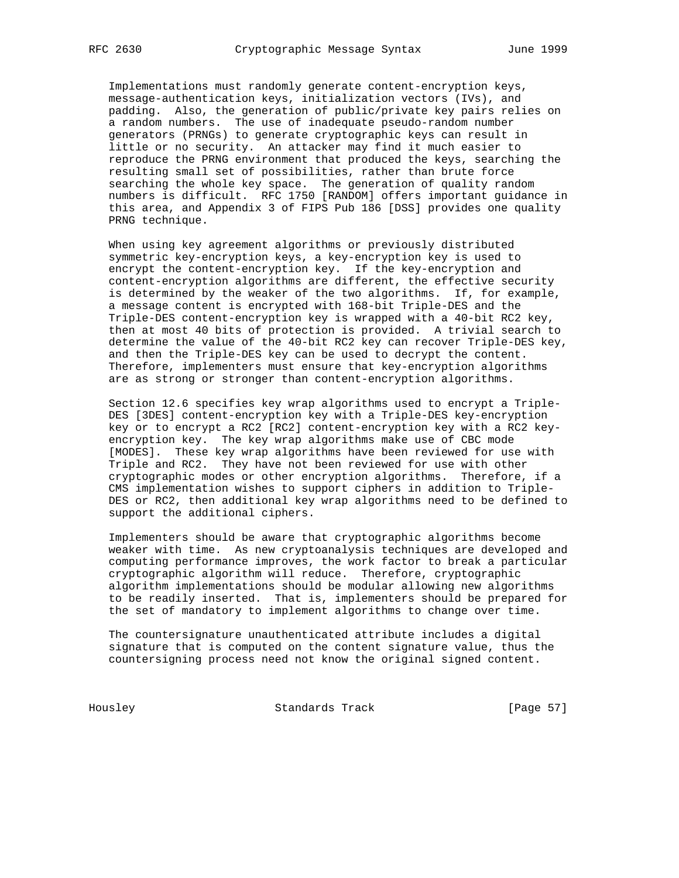Implementations must randomly generate content-encryption keys, message-authentication keys, initialization vectors (IVs), and padding. Also, the generation of public/private key pairs relies on a random numbers. The use of inadequate pseudo-random number generators (PRNGs) to generate cryptographic keys can result in little or no security. An attacker may find it much easier to reproduce the PRNG environment that produced the keys, searching the resulting small set of possibilities, rather than brute force searching the whole key space. The generation of quality random numbers is difficult. RFC 1750 [RANDOM] offers important guidance in this area, and Appendix 3 of FIPS Pub 186 [DSS] provides one quality PRNG technique.

 When using key agreement algorithms or previously distributed symmetric key-encryption keys, a key-encryption key is used to encrypt the content-encryption key. If the key-encryption and content-encryption algorithms are different, the effective security is determined by the weaker of the two algorithms. If, for example, a message content is encrypted with 168-bit Triple-DES and the Triple-DES content-encryption key is wrapped with a 40-bit RC2 key, then at most 40 bits of protection is provided. A trivial search to determine the value of the 40-bit RC2 key can recover Triple-DES key, and then the Triple-DES key can be used to decrypt the content. Therefore, implementers must ensure that key-encryption algorithms are as strong or stronger than content-encryption algorithms.

 Section 12.6 specifies key wrap algorithms used to encrypt a Triple- DES [3DES] content-encryption key with a Triple-DES key-encryption key or to encrypt a RC2 [RC2] content-encryption key with a RC2 key encryption key. The key wrap algorithms make use of CBC mode [MODES]. These key wrap algorithms have been reviewed for use with Triple and RC2. They have not been reviewed for use with other cryptographic modes or other encryption algorithms. Therefore, if a CMS implementation wishes to support ciphers in addition to Triple- DES or RC2, then additional key wrap algorithms need to be defined to support the additional ciphers.

 Implementers should be aware that cryptographic algorithms become weaker with time. As new cryptoanalysis techniques are developed and computing performance improves, the work factor to break a particular cryptographic algorithm will reduce. Therefore, cryptographic algorithm implementations should be modular allowing new algorithms to be readily inserted. That is, implementers should be prepared for the set of mandatory to implement algorithms to change over time.

 The countersignature unauthenticated attribute includes a digital signature that is computed on the content signature value, thus the countersigning process need not know the original signed content.

Housley Standards Track [Page 57]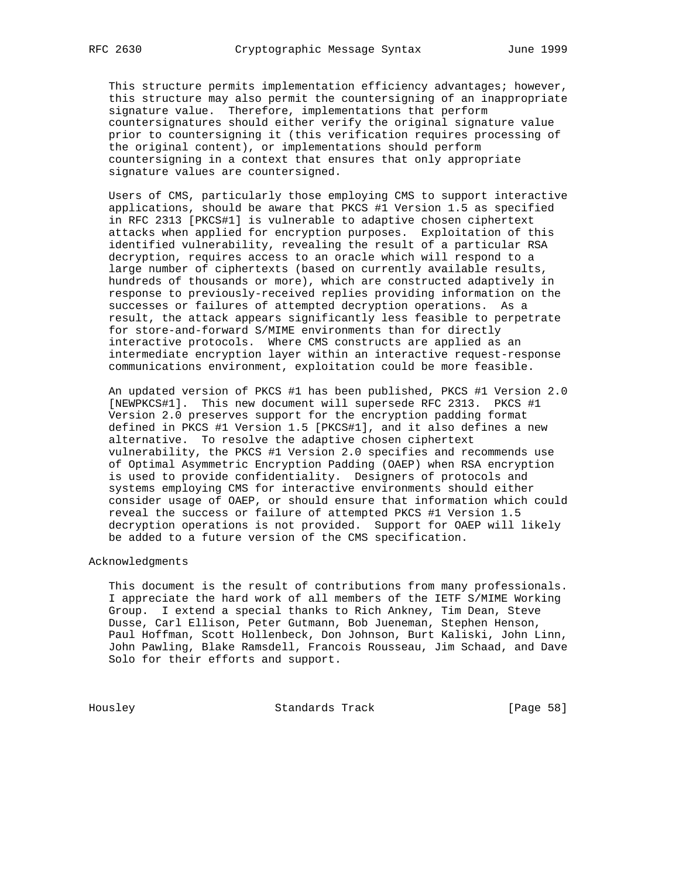This structure permits implementation efficiency advantages; however, this structure may also permit the countersigning of an inappropriate signature value. Therefore, implementations that perform countersignatures should either verify the original signature value prior to countersigning it (this verification requires processing of the original content), or implementations should perform countersigning in a context that ensures that only appropriate signature values are countersigned.

 Users of CMS, particularly those employing CMS to support interactive applications, should be aware that PKCS #1 Version 1.5 as specified in RFC 2313 [PKCS#1] is vulnerable to adaptive chosen ciphertext attacks when applied for encryption purposes. Exploitation of this identified vulnerability, revealing the result of a particular RSA decryption, requires access to an oracle which will respond to a large number of ciphertexts (based on currently available results, hundreds of thousands or more), which are constructed adaptively in response to previously-received replies providing information on the successes or failures of attempted decryption operations. As a result, the attack appears significantly less feasible to perpetrate for store-and-forward S/MIME environments than for directly interactive protocols. Where CMS constructs are applied as an intermediate encryption layer within an interactive request-response communications environment, exploitation could be more feasible.

 An updated version of PKCS #1 has been published, PKCS #1 Version 2.0 [NEWPKCS#1]. This new document will supersede RFC 2313. PKCS #1 Version 2.0 preserves support for the encryption padding format defined in PKCS #1 Version 1.5 [PKCS#1], and it also defines a new alternative. To resolve the adaptive chosen ciphertext vulnerability, the PKCS #1 Version 2.0 specifies and recommends use of Optimal Asymmetric Encryption Padding (OAEP) when RSA encryption is used to provide confidentiality. Designers of protocols and systems employing CMS for interactive environments should either consider usage of OAEP, or should ensure that information which could reveal the success or failure of attempted PKCS #1 Version 1.5 decryption operations is not provided. Support for OAEP will likely be added to a future version of the CMS specification.

## Acknowledgments

 This document is the result of contributions from many professionals. I appreciate the hard work of all members of the IETF S/MIME Working Group. I extend a special thanks to Rich Ankney, Tim Dean, Steve Dusse, Carl Ellison, Peter Gutmann, Bob Jueneman, Stephen Henson, Paul Hoffman, Scott Hollenbeck, Don Johnson, Burt Kaliski, John Linn, John Pawling, Blake Ramsdell, Francois Rousseau, Jim Schaad, and Dave Solo for their efforts and support.

Housley Standards Track [Page 58]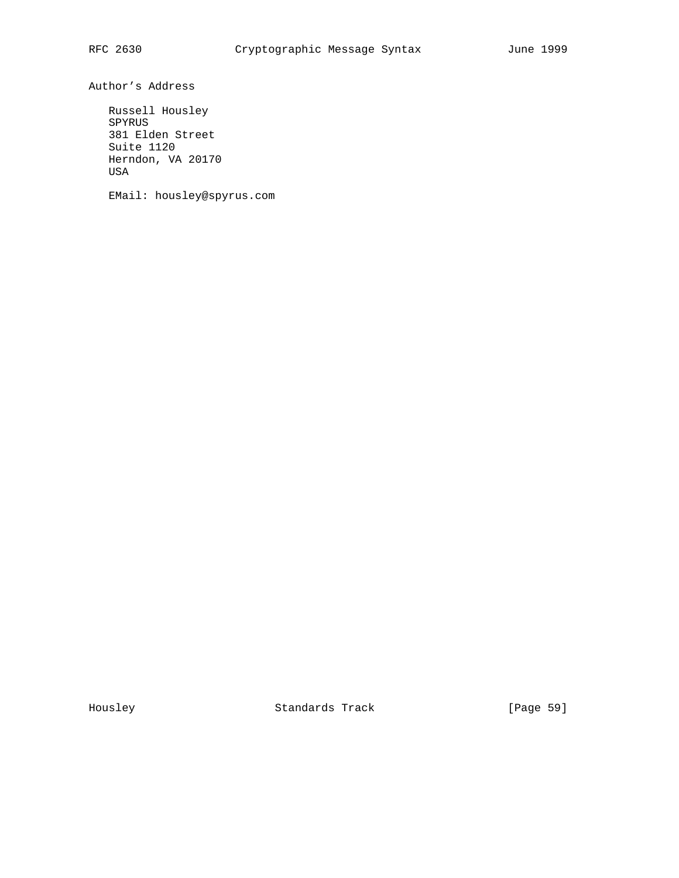Author's Address

 Russell Housley SPYRUS 381 Elden Street Suite 1120 Herndon, VA 20170 USA

EMail: housley@spyrus.com

Housley Standards Track [Page 59]